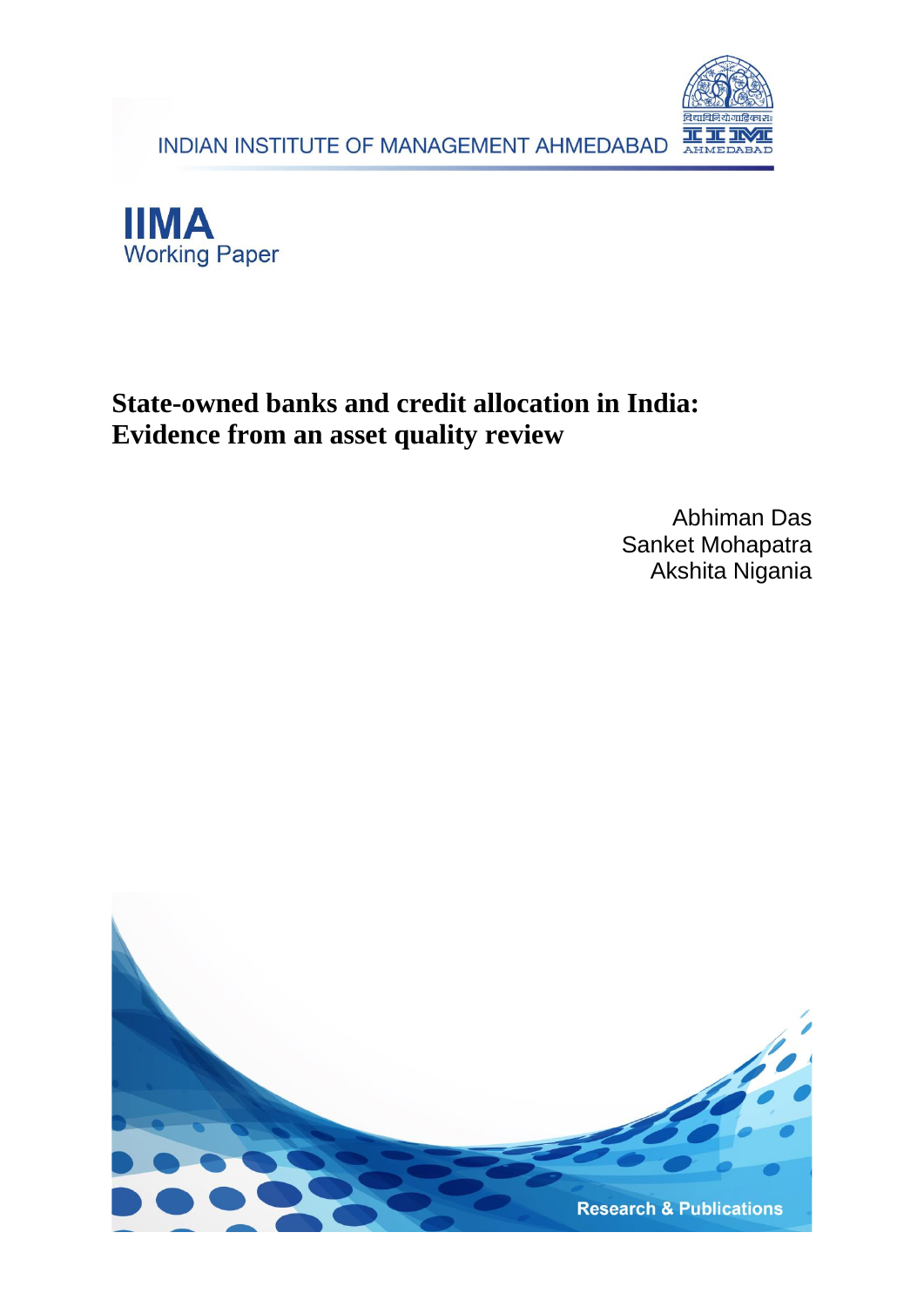INDIAN INSTITUTE OF MANAGEMENT AHMEDABAD





## **State-owned banks and credit allocation in India: Evidence from an asset quality review**

Abhiman Das Sanket Mohapatra Akshita Nigania

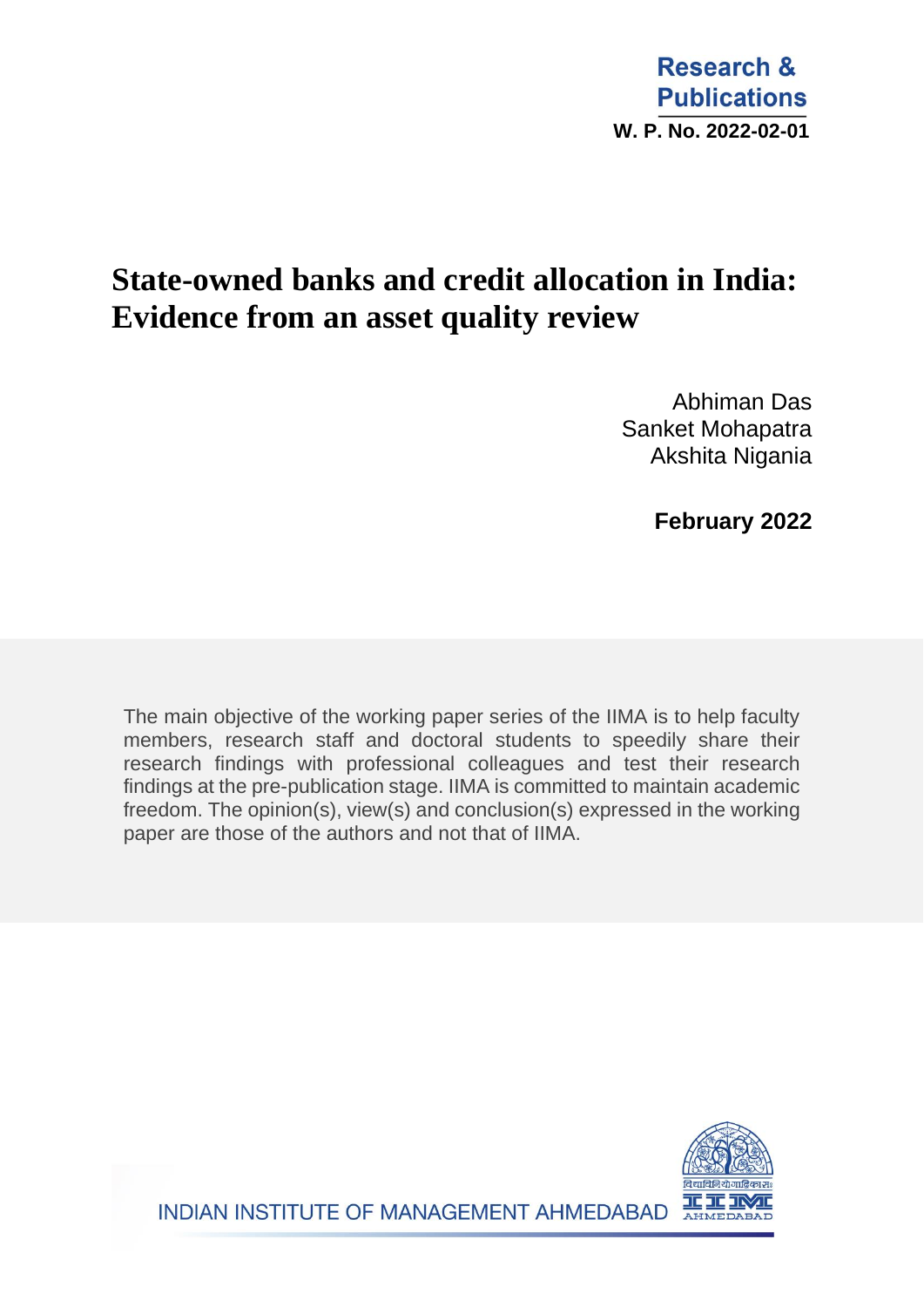## **State-owned banks and credit allocation in India: Evidence from an asset quality review**

Abhiman Das Sanket Mohapatra Akshita Nigania

 **February 2022**

The main objective of the working paper series of the IIMA is to help faculty members, research staff and doctoral students to speedily share their research findings with professional colleagues and test their research findings at the pre-publication stage. IIMA is committed to maintain academic freedom. The opinion(s), view(s) and conclusion(s) expressed in the working paper are those of the authors and not that of IIMA.



INDIAN INSTITUTE OF MANAGEMENT AHMEDABAD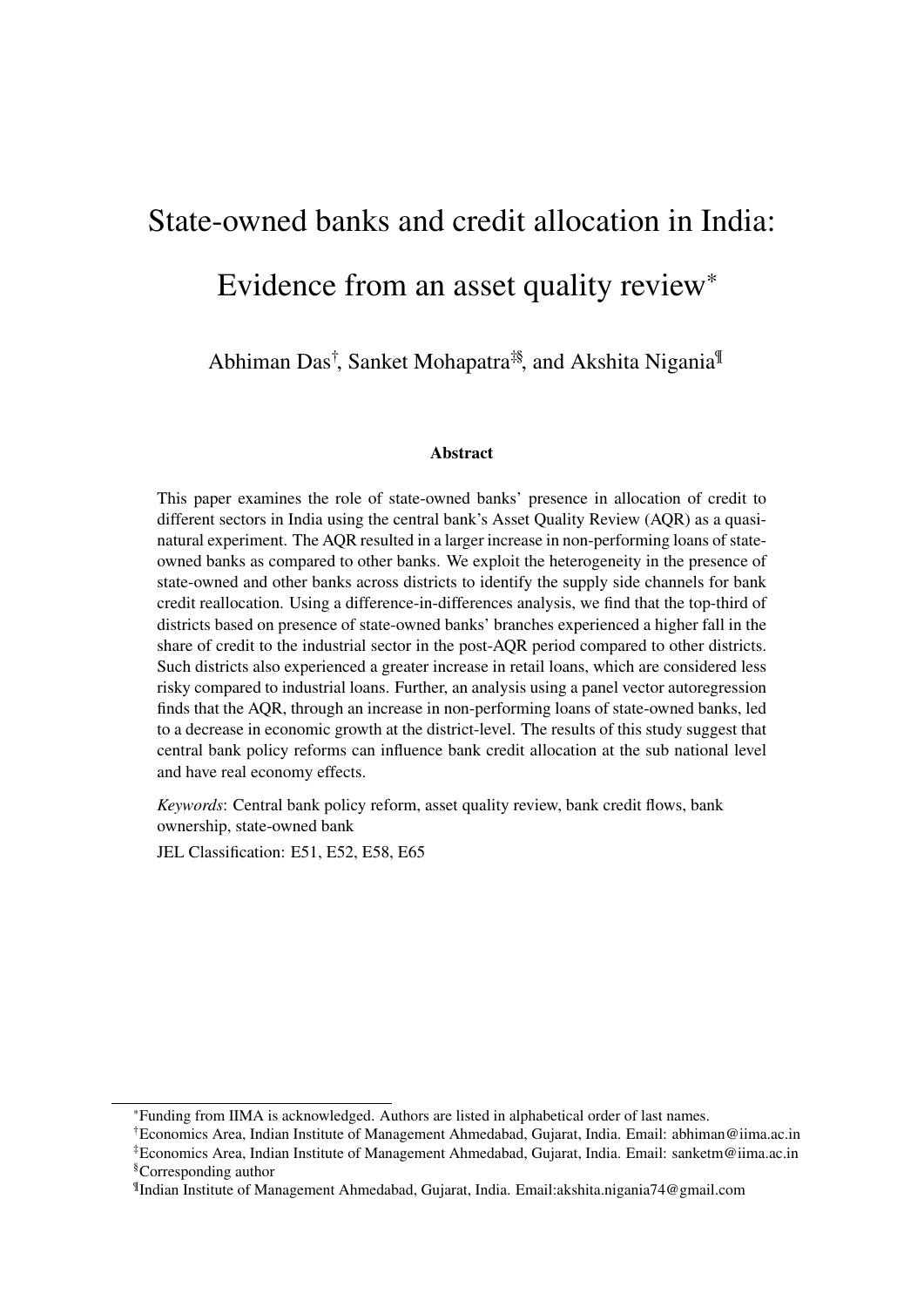# State-owned banks and credit allocation in India: Evidence from an asset quality review\*

Abhiman Das<sup>†</sup>, Sanket Mohapatra<sup>‡§</sup>, and Akshita Nigania<sup>¶</sup>

#### **Abstract**

This paper examines the role of state-owned banks' presence in allocation of credit to different sectors in India using the central bank's Asset Quality Review (AQR) as a quasinatural experiment. The AQR resulted in a larger increase in non-performing loans of stateowned banks as compared to other banks. We exploit the heterogeneity in the presence of state-owned and other banks across districts to identify the supply side channels for bank credit reallocation. Using a difference-in-differences analysis, we find that the top-third of districts based on presence of state-owned banks' branches experienced a higher fall in the share of credit to the industrial sector in the post-AQR period compared to other districts. Such districts also experienced a greater increase in retail loans, which are considered less risky compared to industrial loans. Further, an analysis using a panel vector autoregression finds that the AQR, through an increase in non-performing loans of state-owned banks, led to a decrease in economic growth at the district-level. The results of this study suggest that central bank policy reforms can influence bank credit allocation at the sub national level and have real economy effects.

*Keywords*: Central bank policy reform, asset quality review, bank credit flows, bank ownership, state-owned bank

JEL Classification: E51, E52, E58, E65

<sup>\*</sup>Funding from IIMA is acknowledged. Authors are listed in alphabetical order of last names.

<sup>†</sup>Economics Area, Indian Institute of Management Ahmedabad, Gujarat, India. Email: abhiman@iima.ac.in ‡Economics Area, Indian Institute of Management Ahmedabad, Gujarat, India. Email: sanketm@iima.ac.in §Corresponding author

<sup>¶</sup> Indian Institute of Management Ahmedabad, Gujarat, India. Email:akshita.nigania74@gmail.com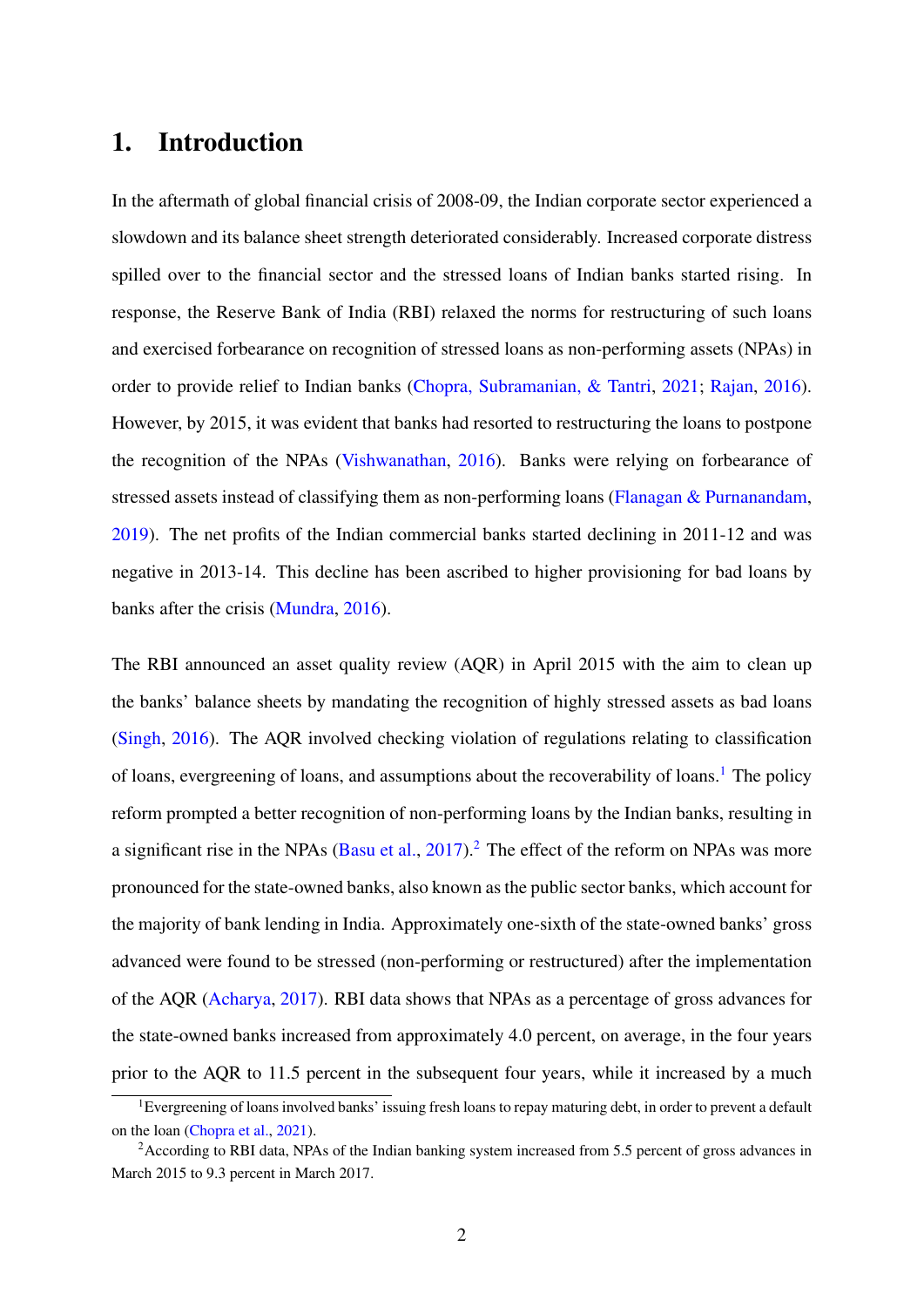## 1. Introduction

In the aftermath of global financial crisis of 2008-09, the Indian corporate sector experienced a slowdown and its balance sheet strength deteriorated considerably. Increased corporate distress spilled over to the financial sector and the stressed loans of Indian banks started rising. In response, the Reserve Bank of India (RBI) relaxed the norms for restructuring of such loans and exercised forbearance on recognition of stressed loans as non-performing assets (NPAs) in order to provide relief to Indian banks [\(Chopra, Subramanian, & Tantri,](#page-28-0) [2021;](#page-28-0) [Rajan,](#page-30-0) [2016\)](#page-30-0). However, by 2015, it was evident that banks had resorted to restructuring the loans to postpone the recognition of the NPAs [\(Vishwanathan,](#page-31-0) [2016\)](#page-31-0). Banks were relying on forbearance of stressed assets instead of classifying them as non-performing loans [\(Flanagan & Purnanandam,](#page-29-0) [2019\)](#page-29-0). The net profits of the Indian commercial banks started declining in 2011-12 and was negative in 2013-14. This decline has been ascribed to higher provisioning for bad loans by banks after the crisis [\(Mundra,](#page-30-1) [2016\)](#page-30-1).

The RBI announced an asset quality review (AQR) in April 2015 with the aim to clean up the banks' balance sheets by mandating the recognition of highly stressed assets as bad loans [\(Singh,](#page-30-2) [2016\)](#page-30-2). The AQR involved checking violation of regulations relating to classification of loans, evergreening of loans, and assumptions about the recoverability of loans.<sup>[1](#page-3-0)</sup> The policy reform prompted a better recognition of non-performing loans by the Indian banks, resulting in a significant rise in the NPAs [\(Basu et al.,](#page-27-0)  $2017$  $2017$ ).<sup>2</sup> The effect of the reform on NPAs was more pronounced for the state-owned banks, also known as the public sector banks, which account for the majority of bank lending in India. Approximately one-sixth of the state-owned banks' gross advanced were found to be stressed (non-performing or restructured) after the implementation of the AQR [\(Acharya,](#page-27-1) [2017\)](#page-27-1). RBI data shows that NPAs as a percentage of gross advances for the state-owned banks increased from approximately 4.0 percent, on average, in the four years prior to the AQR to 11.5 percent in the subsequent four years, while it increased by a much

<span id="page-3-0"></span><sup>&</sup>lt;sup>1</sup>Evergreening of loans involved banks' issuing fresh loans to repay maturing debt, in order to prevent a default on the loan [\(Chopra et al.,](#page-28-0) [2021\)](#page-28-0).

<span id="page-3-1"></span><sup>&</sup>lt;sup>2</sup>According to RBI data, NPAs of the Indian banking system increased from 5.5 percent of gross advances in March 2015 to 9.3 percent in March 2017.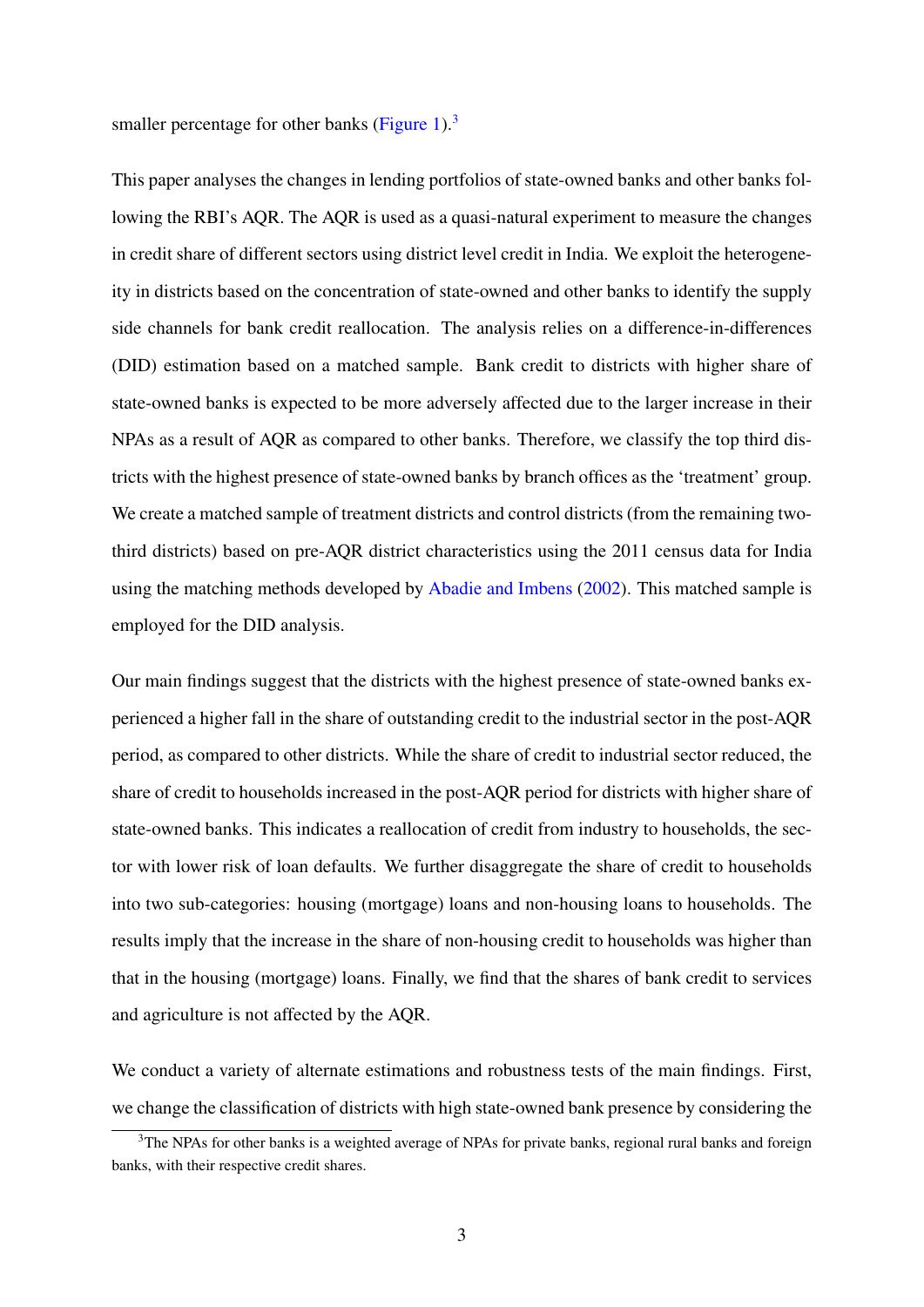smaller percentage for other banks [\(Figure 1\)](#page-32-0). $3$ 

This paper analyses the changes in lending portfolios of state-owned banks and other banks following the RBI's AQR. The AQR is used as a quasi-natural experiment to measure the changes in credit share of different sectors using district level credit in India. We exploit the heterogeneity in districts based on the concentration of state-owned and other banks to identify the supply side channels for bank credit reallocation. The analysis relies on a difference-in-differences (DID) estimation based on a matched sample. Bank credit to districts with higher share of state-owned banks is expected to be more adversely affected due to the larger increase in their NPAs as a result of AQR as compared to other banks. Therefore, we classify the top third districts with the highest presence of state-owned banks by branch offices as the 'treatment' group. We create a matched sample of treatment districts and control districts (from the remaining twothird districts) based on pre-AQR district characteristics using the 2011 census data for India using the matching methods developed by [Abadie and Imbens](#page-27-2) [\(2002\)](#page-27-2). This matched sample is employed for the DID analysis.

Our main findings suggest that the districts with the highest presence of state-owned banks experienced a higher fall in the share of outstanding credit to the industrial sector in the post-AQR period, as compared to other districts. While the share of credit to industrial sector reduced, the share of credit to households increased in the post-AQR period for districts with higher share of state-owned banks. This indicates a reallocation of credit from industry to households, the sector with lower risk of loan defaults. We further disaggregate the share of credit to households into two sub-categories: housing (mortgage) loans and non-housing loans to households. The results imply that the increase in the share of non-housing credit to households was higher than that in the housing (mortgage) loans. Finally, we find that the shares of bank credit to services and agriculture is not affected by the AQR.

We conduct a variety of alternate estimations and robustness tests of the main findings. First, we change the classification of districts with high state-owned bank presence by considering the

<span id="page-4-0"></span><sup>&</sup>lt;sup>3</sup>The NPAs for other banks is a weighted average of NPAs for private banks, regional rural banks and foreign banks, with their respective credit shares.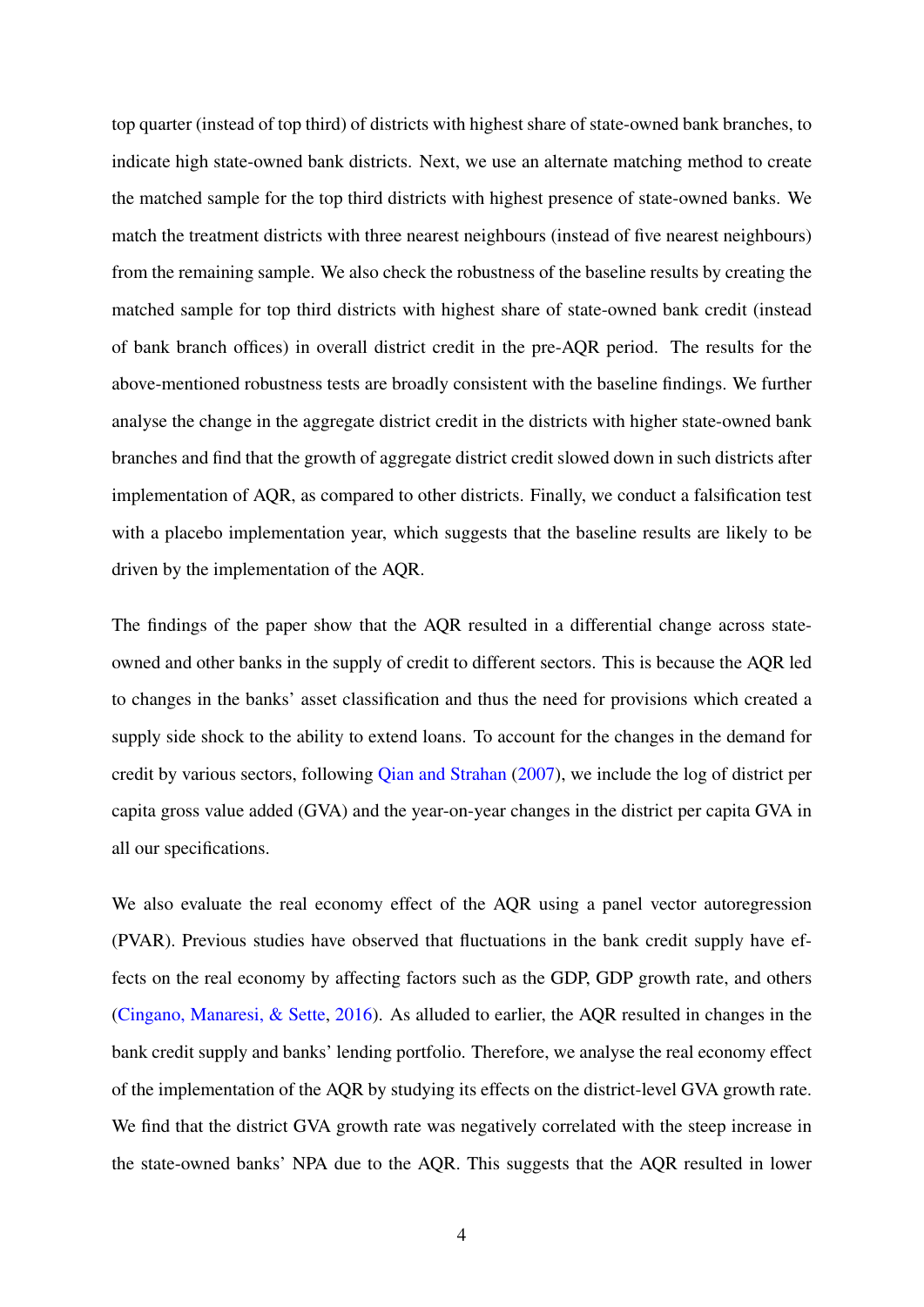top quarter (instead of top third) of districts with highest share of state-owned bank branches, to indicate high state-owned bank districts. Next, we use an alternate matching method to create the matched sample for the top third districts with highest presence of state-owned banks. We match the treatment districts with three nearest neighbours (instead of five nearest neighbours) from the remaining sample. We also check the robustness of the baseline results by creating the matched sample for top third districts with highest share of state-owned bank credit (instead of bank branch offices) in overall district credit in the pre-AQR period. The results for the above-mentioned robustness tests are broadly consistent with the baseline findings. We further analyse the change in the aggregate district credit in the districts with higher state-owned bank branches and find that the growth of aggregate district credit slowed down in such districts after implementation of AQR, as compared to other districts. Finally, we conduct a falsification test with a placebo implementation year, which suggests that the baseline results are likely to be driven by the implementation of the AQR.

The findings of the paper show that the AQR resulted in a differential change across stateowned and other banks in the supply of credit to different sectors. This is because the AQR led to changes in the banks' asset classification and thus the need for provisions which created a supply side shock to the ability to extend loans. To account for the changes in the demand for credit by various sectors, following [Qian and Strahan](#page-30-3) [\(2007\)](#page-30-3), we include the log of district per capita gross value added (GVA) and the year-on-year changes in the district per capita GVA in all our specifications.

We also evaluate the real economy effect of the AQR using a panel vector autoregression (PVAR). Previous studies have observed that fluctuations in the bank credit supply have effects on the real economy by affecting factors such as the GDP, GDP growth rate, and others [\(Cingano, Manaresi, & Sette,](#page-28-1) [2016\)](#page-28-1). As alluded to earlier, the AQR resulted in changes in the bank credit supply and banks' lending portfolio. Therefore, we analyse the real economy effect of the implementation of the AQR by studying its effects on the district-level GVA growth rate. We find that the district GVA growth rate was negatively correlated with the steep increase in the state-owned banks' NPA due to the AQR. This suggests that the AQR resulted in lower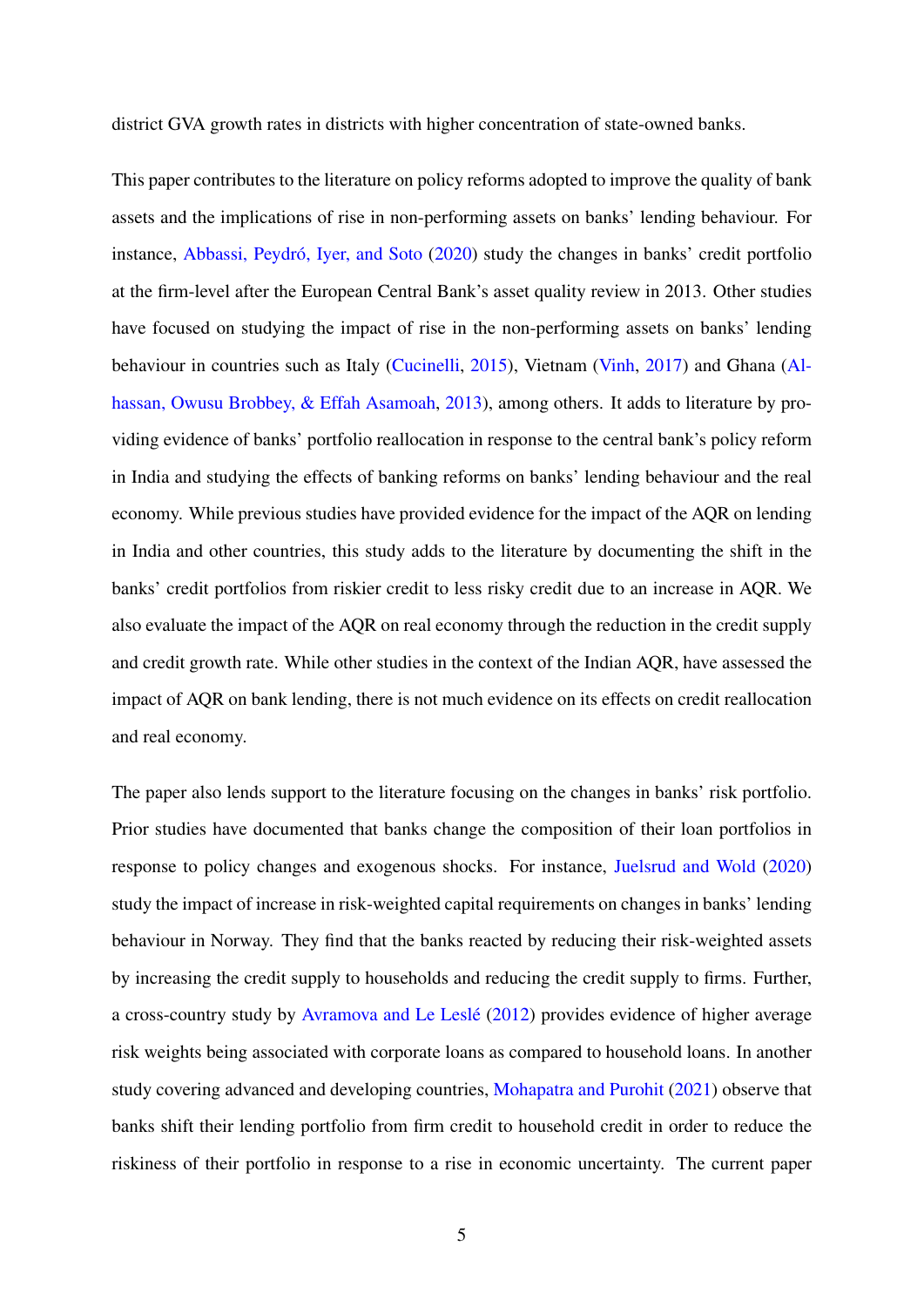district GVA growth rates in districts with higher concentration of state-owned banks.

This paper contributes to the literature on policy reforms adopted to improve the quality of bank assets and the implications of rise in non-performing assets on banks' lending behaviour. For instance, Abbassi, Peydró, Iyer, and Soto [\(2020\)](#page-27-3) study the changes in banks' credit portfolio at the firm-level after the European Central Bank's asset quality review in 2013. Other studies have focused on studying the impact of rise in the non-performing assets on banks' lending behaviour in countries such as Italy [\(Cucinelli,](#page-28-2) [2015\)](#page-28-2), Vietnam [\(Vinh,](#page-30-4) [2017\)](#page-30-4) and Ghana [\(Al](#page-27-4)[hassan, Owusu Brobbey, & Effah Asamoah,](#page-27-4) [2013\)](#page-27-4), among others. It adds to literature by providing evidence of banks' portfolio reallocation in response to the central bank's policy reform in India and studying the effects of banking reforms on banks' lending behaviour and the real economy. While previous studies have provided evidence for the impact of the AQR on lending in India and other countries, this study adds to the literature by documenting the shift in the banks' credit portfolios from riskier credit to less risky credit due to an increase in AQR. We also evaluate the impact of the AQR on real economy through the reduction in the credit supply and credit growth rate. While other studies in the context of the Indian AQR, have assessed the impact of AQR on bank lending, there is not much evidence on its effects on credit reallocation and real economy.

The paper also lends support to the literature focusing on the changes in banks' risk portfolio. Prior studies have documented that banks change the composition of their loan portfolios in response to policy changes and exogenous shocks. For instance, [Juelsrud and Wold](#page-29-1) [\(2020\)](#page-29-1) study the impact of increase in risk-weighted capital requirements on changes in banks' lending behaviour in Norway. They find that the banks reacted by reducing their risk-weighted assets by increasing the credit supply to households and reducing the credit supply to firms. Further, a cross-country study by Avramova and Le Leslé [\(2012\)](#page-27-5) provides evidence of higher average risk weights being associated with corporate loans as compared to household loans. In another study covering advanced and developing countries, [Mohapatra and Purohit](#page-30-5) [\(2021\)](#page-30-5) observe that banks shift their lending portfolio from firm credit to household credit in order to reduce the riskiness of their portfolio in response to a rise in economic uncertainty. The current paper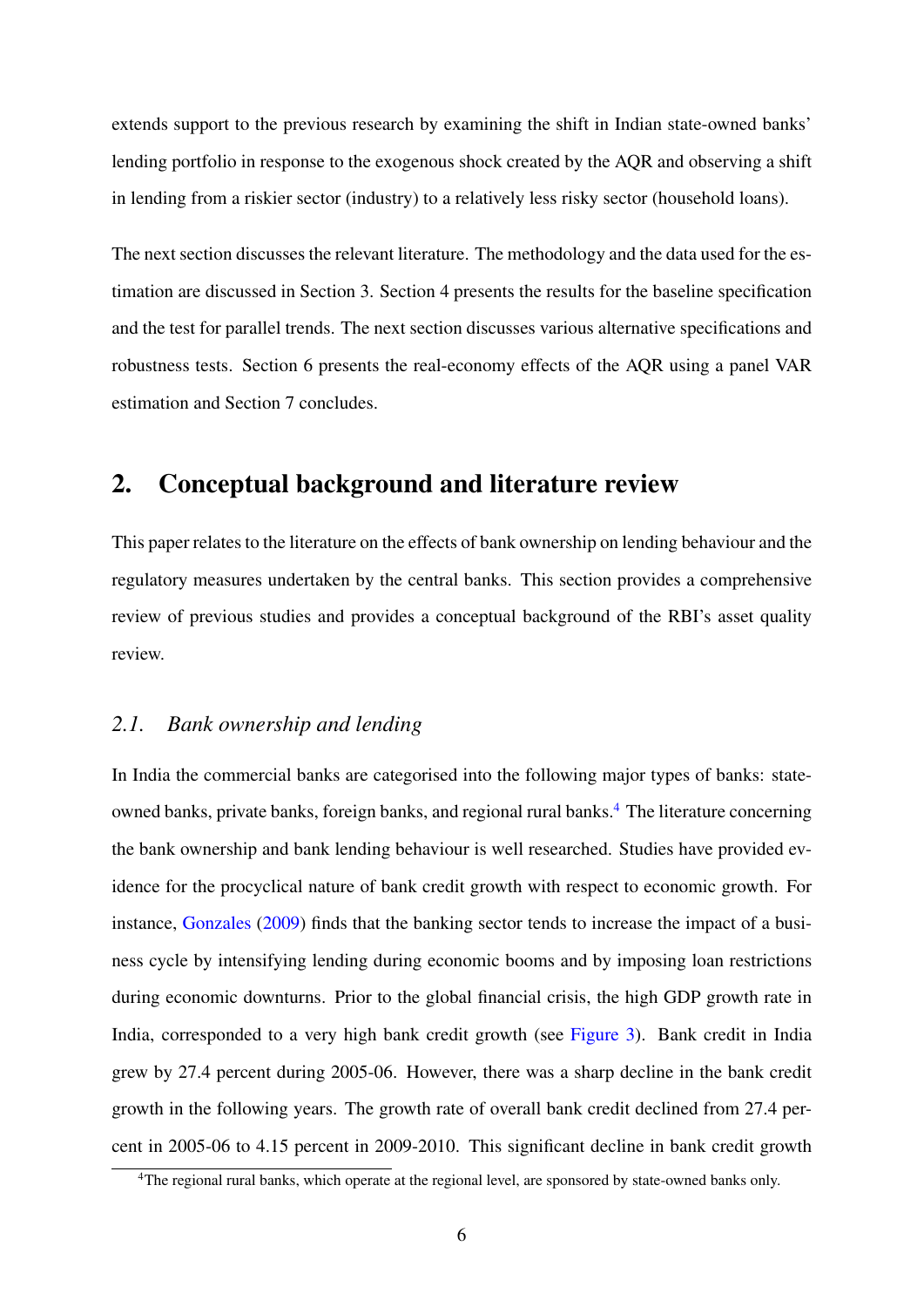extends support to the previous research by examining the shift in Indian state-owned banks' lending portfolio in response to the exogenous shock created by the AQR and observing a shift in lending from a riskier sector (industry) to a relatively less risky sector (household loans).

The next section discusses the relevant literature. The methodology and the data used for the estimation are discussed in Section 3. Section 4 presents the results for the baseline specification and the test for parallel trends. The next section discusses various alternative specifications and robustness tests. Section 6 presents the real-economy effects of the AQR using a panel VAR estimation and Section 7 concludes.

### 2. Conceptual background and literature review

This paper relates to the literature on the effects of bank ownership on lending behaviour and the regulatory measures undertaken by the central banks. This section provides a comprehensive review of previous studies and provides a conceptual background of the RBI's asset quality review.

#### *2.1. Bank ownership and lending*

In India the commercial banks are categorised into the following major types of banks: state-owned banks, private banks, foreign banks, and regional rural banks.<sup>[4](#page-7-0)</sup> The literature concerning the bank ownership and bank lending behaviour is well researched. Studies have provided evidence for the procyclical nature of bank credit growth with respect to economic growth. For instance, [Gonzales](#page-29-2) [\(2009\)](#page-29-2) finds that the banking sector tends to increase the impact of a business cycle by intensifying lending during economic booms and by imposing loan restrictions during economic downturns. Prior to the global financial crisis, the high GDP growth rate in India, corresponded to a very high bank credit growth (see [Figure 3\)](#page-34-0). Bank credit in India grew by 27.4 percent during 2005-06. However, there was a sharp decline in the bank credit growth in the following years. The growth rate of overall bank credit declined from 27.4 percent in 2005-06 to 4.15 percent in 2009-2010. This significant decline in bank credit growth

<span id="page-7-0"></span><sup>&</sup>lt;sup>4</sup>The regional rural banks, which operate at the regional level, are sponsored by state-owned banks only.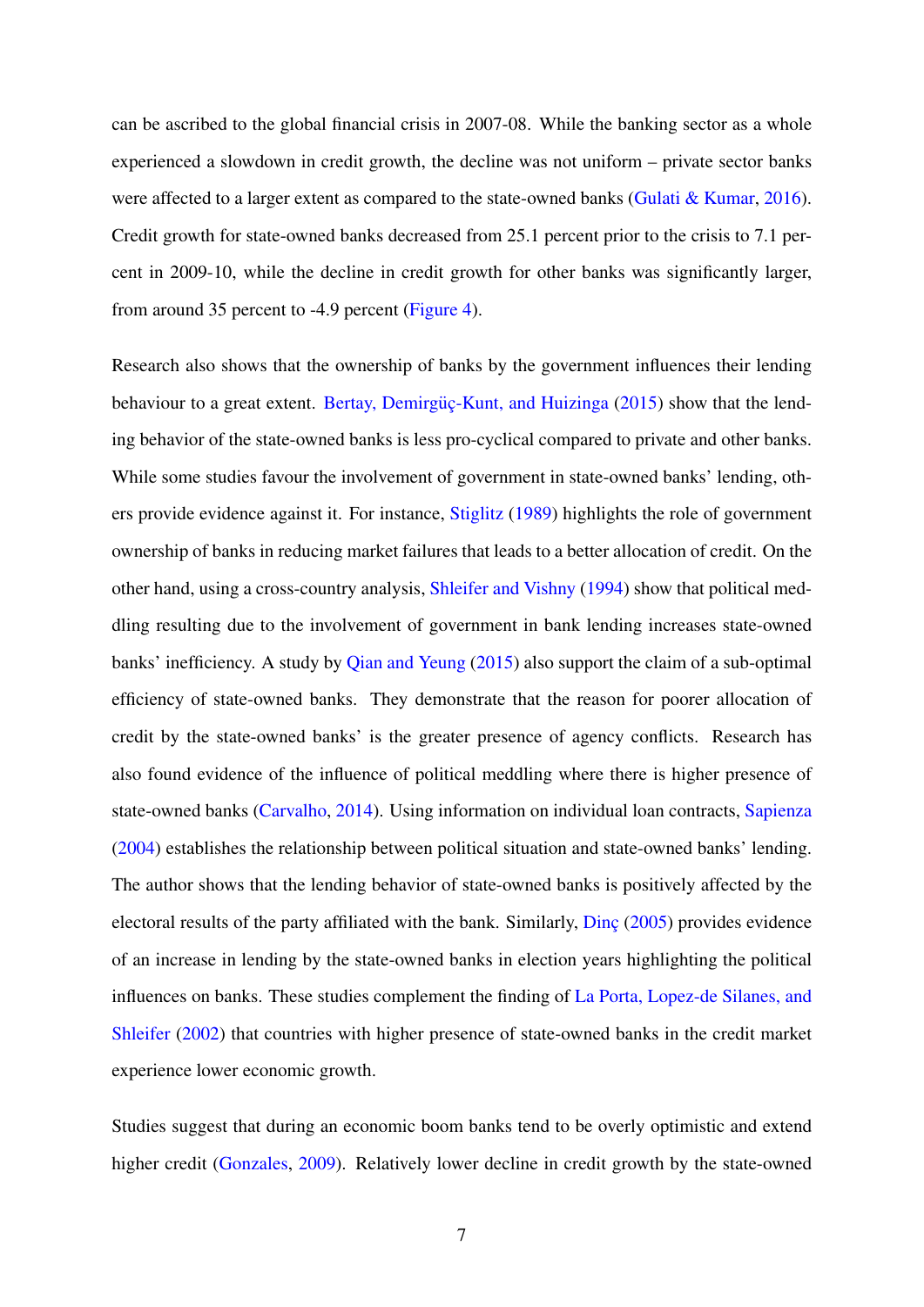can be ascribed to the global financial crisis in 2007-08. While the banking sector as a whole experienced a slowdown in credit growth, the decline was not uniform – private sector banks were affected to a larger extent as compared to the state-owned banks [\(Gulati & Kumar,](#page-29-3) [2016\)](#page-29-3). Credit growth for state-owned banks decreased from 25.1 percent prior to the crisis to 7.1 percent in 2009-10, while the decline in credit growth for other banks was significantly larger, from around 35 percent to -4.9 percent [\(Figure 4\)](#page-35-0).

Research also shows that the ownership of banks by the government influences their lending behaviour to a great extent. Bertay, Demirgüç-Kunt, and Huizinga [\(2015\)](#page-28-3) show that the lending behavior of the state-owned banks is less pro-cyclical compared to private and other banks. While some studies favour the involvement of government in state-owned banks' lending, others provide evidence against it. For instance, [Stiglitz](#page-30-6) [\(1989\)](#page-30-6) highlights the role of government ownership of banks in reducing market failures that leads to a better allocation of credit. On the other hand, using a cross-country analysis, [Shleifer and Vishny](#page-30-7) [\(1994\)](#page-30-7) show that political meddling resulting due to the involvement of government in bank lending increases state-owned banks' inefficiency. A study by [Qian and Yeung](#page-30-8) [\(2015\)](#page-30-8) also support the claim of a sub-optimal efficiency of state-owned banks. They demonstrate that the reason for poorer allocation of credit by the state-owned banks' is the greater presence of agency conflicts. Research has also found evidence of the influence of political meddling where there is higher presence of state-owned banks [\(Carvalho,](#page-28-4) [2014\)](#page-28-4). Using information on individual loan contracts, [Sapienza](#page-30-9) [\(2004\)](#page-30-9) establishes the relationship between political situation and state-owned banks' lending. The author shows that the lending behavior of state-owned banks is positively affected by the electoral results of the party affiliated with the bank. Similarly,  $\overline{\text{Dinc}}$  [\(2005\)](#page-28-5) provides evidence of an increase in lending by the state-owned banks in election years highlighting the political influences on banks. These studies complement the finding of [La Porta, Lopez-de Silanes, and](#page-29-4) [Shleifer](#page-29-4) [\(2002\)](#page-29-4) that countries with higher presence of state-owned banks in the credit market experience lower economic growth.

Studies suggest that during an economic boom banks tend to be overly optimistic and extend higher credit [\(Gonzales,](#page-29-2) [2009\)](#page-29-2). Relatively lower decline in credit growth by the state-owned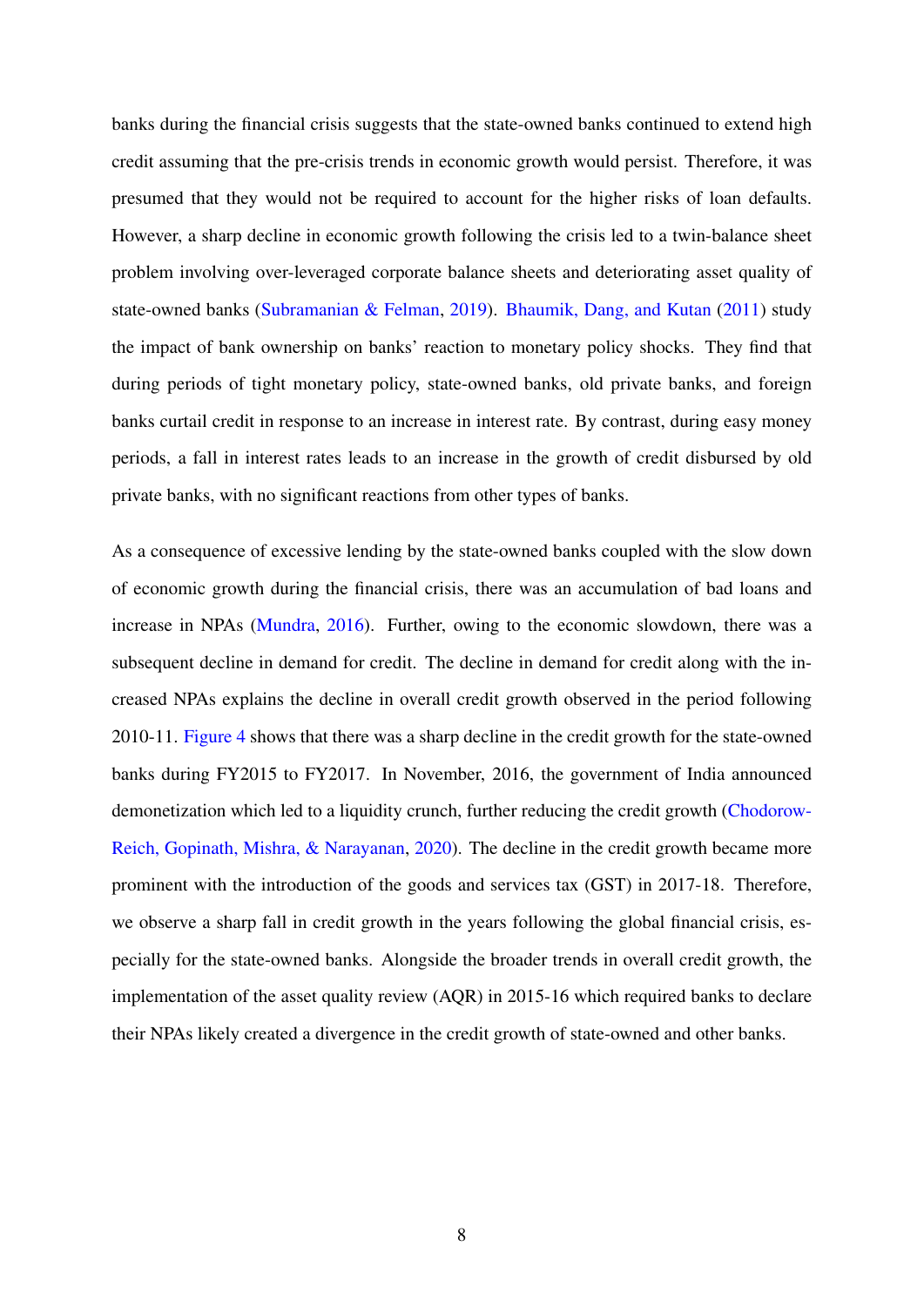banks during the financial crisis suggests that the state-owned banks continued to extend high credit assuming that the pre-crisis trends in economic growth would persist. Therefore, it was presumed that they would not be required to account for the higher risks of loan defaults. However, a sharp decline in economic growth following the crisis led to a twin-balance sheet problem involving over-leveraged corporate balance sheets and deteriorating asset quality of state-owned banks [\(Subramanian & Felman,](#page-30-10) [2019\)](#page-30-10). [Bhaumik, Dang, and Kutan](#page-28-6) [\(2011\)](#page-28-6) study the impact of bank ownership on banks' reaction to monetary policy shocks. They find that during periods of tight monetary policy, state-owned banks, old private banks, and foreign banks curtail credit in response to an increase in interest rate. By contrast, during easy money periods, a fall in interest rates leads to an increase in the growth of credit disbursed by old private banks, with no significant reactions from other types of banks.

As a consequence of excessive lending by the state-owned banks coupled with the slow down of economic growth during the financial crisis, there was an accumulation of bad loans and increase in NPAs [\(Mundra,](#page-30-1) [2016\)](#page-30-1). Further, owing to the economic slowdown, there was a subsequent decline in demand for credit. The decline in demand for credit along with the increased NPAs explains the decline in overall credit growth observed in the period following 2010-11. [Figure 4](#page-35-0) shows that there was a sharp decline in the credit growth for the state-owned banks during FY2015 to FY2017. In November, 2016, the government of India announced demonetization which led to a liquidity crunch, further reducing the credit growth [\(Chodorow-](#page-28-7)[Reich, Gopinath, Mishra, & Narayanan,](#page-28-7) [2020\)](#page-28-7). The decline in the credit growth became more prominent with the introduction of the goods and services tax (GST) in 2017-18. Therefore, we observe a sharp fall in credit growth in the years following the global financial crisis, especially for the state-owned banks. Alongside the broader trends in overall credit growth, the implementation of the asset quality review (AQR) in 2015-16 which required banks to declare their NPAs likely created a divergence in the credit growth of state-owned and other banks.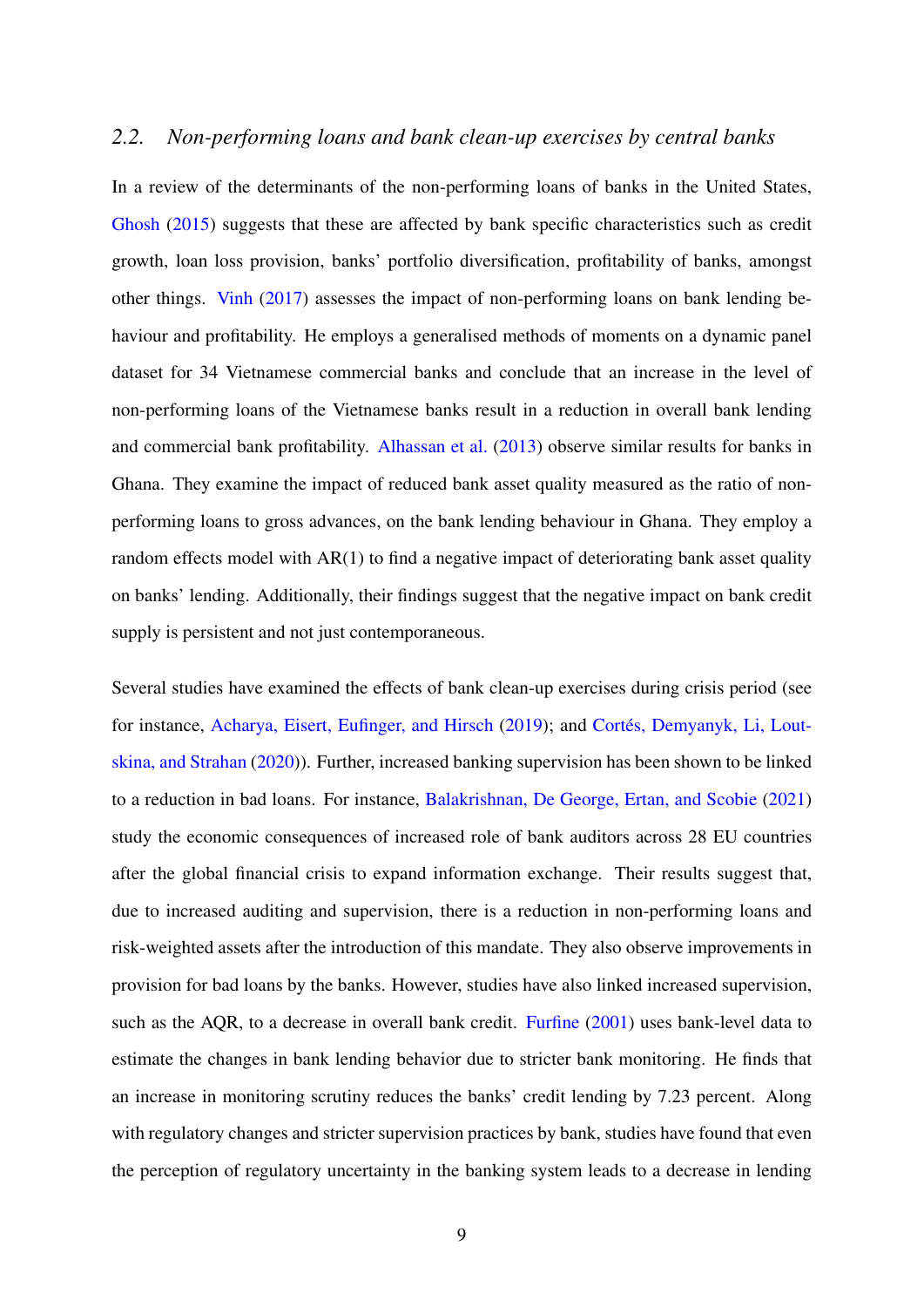#### *2.2. Non-performing loans and bank clean-up exercises by central banks*

In a review of the determinants of the non-performing loans of banks in the United States, [Ghosh](#page-29-5) [\(2015\)](#page-29-5) suggests that these are affected by bank specific characteristics such as credit growth, loan loss provision, banks' portfolio diversification, profitability of banks, amongst other things. [Vinh](#page-30-4) [\(2017\)](#page-30-4) assesses the impact of non-performing loans on bank lending behaviour and profitability. He employs a generalised methods of moments on a dynamic panel dataset for 34 Vietnamese commercial banks and conclude that an increase in the level of non-performing loans of the Vietnamese banks result in a reduction in overall bank lending and commercial bank profitability. [Alhassan et al.](#page-27-4) [\(2013\)](#page-27-4) observe similar results for banks in Ghana. They examine the impact of reduced bank asset quality measured as the ratio of nonperforming loans to gross advances, on the bank lending behaviour in Ghana. They employ a random effects model with AR(1) to find a negative impact of deteriorating bank asset quality on banks' lending. Additionally, their findings suggest that the negative impact on bank credit supply is persistent and not just contemporaneous.

Several studies have examined the effects of bank clean-up exercises during crisis period (see for instance, [Acharya, Eisert, Eufinger, and Hirsch](#page-27-6) [\(2019\)](#page-27-6); and Cortés, Demyanyk, Li, Lout[skina, and Strahan](#page-28-8) [\(2020\)](#page-28-8)). Further, increased banking supervision has been shown to be linked to a reduction in bad loans. For instance, [Balakrishnan, De George, Ertan, and Scobie](#page-27-7) [\(2021\)](#page-27-7) study the economic consequences of increased role of bank auditors across 28 EU countries after the global financial crisis to expand information exchange. Their results suggest that, due to increased auditing and supervision, there is a reduction in non-performing loans and risk-weighted assets after the introduction of this mandate. They also observe improvements in provision for bad loans by the banks. However, studies have also linked increased supervision, such as the AQR, to a decrease in overall bank credit. [Furfine](#page-29-6) [\(2001\)](#page-29-6) uses bank-level data to estimate the changes in bank lending behavior due to stricter bank monitoring. He finds that an increase in monitoring scrutiny reduces the banks' credit lending by 7.23 percent. Along with regulatory changes and stricter supervision practices by bank, studies have found that even the perception of regulatory uncertainty in the banking system leads to a decrease in lending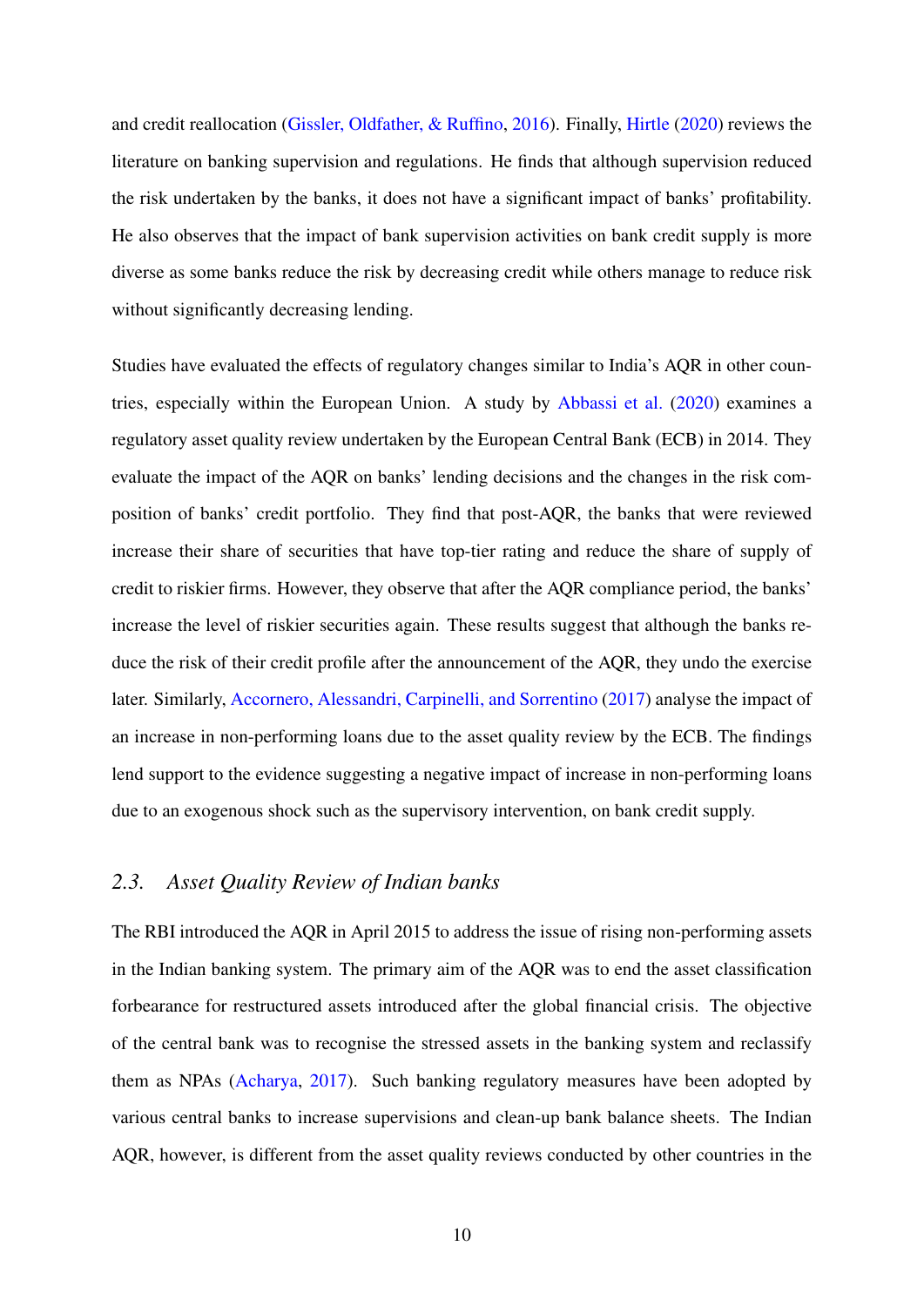and credit reallocation [\(Gissler, Oldfather, & Ruffino,](#page-29-7) [2016\)](#page-29-7). Finally, [Hirtle](#page-29-8) [\(2020\)](#page-29-8) reviews the literature on banking supervision and regulations. He finds that although supervision reduced the risk undertaken by the banks, it does not have a significant impact of banks' profitability. He also observes that the impact of bank supervision activities on bank credit supply is more diverse as some banks reduce the risk by decreasing credit while others manage to reduce risk without significantly decreasing lending.

Studies have evaluated the effects of regulatory changes similar to India's AQR in other countries, especially within the European Union. A study by [Abbassi et al.](#page-27-3) [\(2020\)](#page-27-3) examines a regulatory asset quality review undertaken by the European Central Bank (ECB) in 2014. They evaluate the impact of the AQR on banks' lending decisions and the changes in the risk composition of banks' credit portfolio. They find that post-AQR, the banks that were reviewed increase their share of securities that have top-tier rating and reduce the share of supply of credit to riskier firms. However, they observe that after the AQR compliance period, the banks' increase the level of riskier securities again. These results suggest that although the banks reduce the risk of their credit profile after the announcement of the AQR, they undo the exercise later. Similarly, [Accornero, Alessandri, Carpinelli, and Sorrentino](#page-27-8) [\(2017\)](#page-27-8) analyse the impact of an increase in non-performing loans due to the asset quality review by the ECB. The findings lend support to the evidence suggesting a negative impact of increase in non-performing loans due to an exogenous shock such as the supervisory intervention, on bank credit supply.

#### *2.3. Asset Quality Review of Indian banks*

The RBI introduced the AQR in April 2015 to address the issue of rising non-performing assets in the Indian banking system. The primary aim of the AQR was to end the asset classification forbearance for restructured assets introduced after the global financial crisis. The objective of the central bank was to recognise the stressed assets in the banking system and reclassify them as NPAs [\(Acharya,](#page-27-1) [2017\)](#page-27-1). Such banking regulatory measures have been adopted by various central banks to increase supervisions and clean-up bank balance sheets. The Indian AQR, however, is different from the asset quality reviews conducted by other countries in the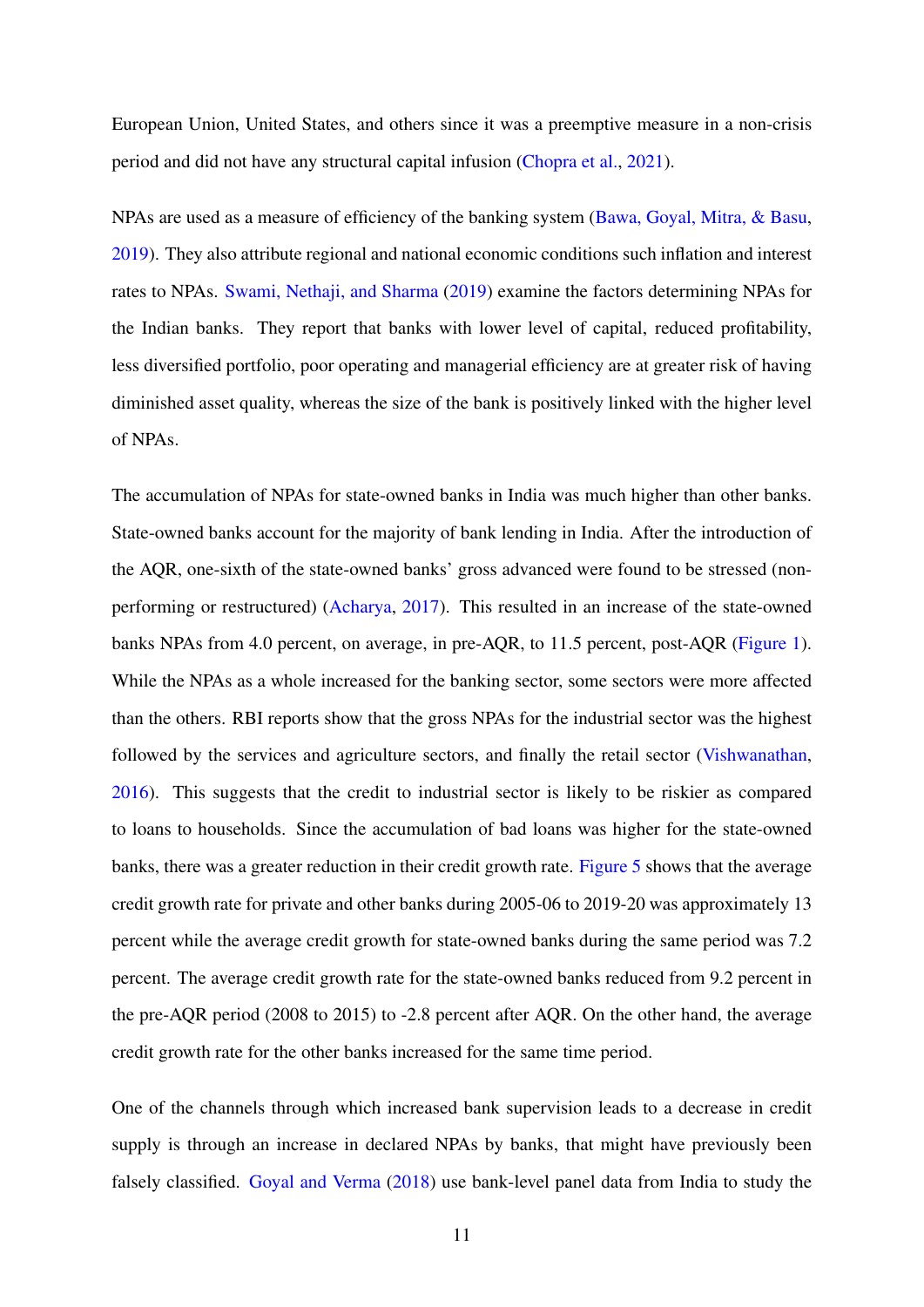European Union, United States, and others since it was a preemptive measure in a non-crisis period and did not have any structural capital infusion [\(Chopra et al.,](#page-28-0) [2021\)](#page-28-0).

NPAs are used as a measure of efficiency of the banking system [\(Bawa, Goyal, Mitra, & Basu,](#page-27-9) [2019\)](#page-27-9). They also attribute regional and national economic conditions such inflation and interest rates to NPAs. [Swami, Nethaji, and Sharma](#page-30-11) [\(2019\)](#page-30-11) examine the factors determining NPAs for the Indian banks. They report that banks with lower level of capital, reduced profitability, less diversified portfolio, poor operating and managerial efficiency are at greater risk of having diminished asset quality, whereas the size of the bank is positively linked with the higher level of NPAs.

The accumulation of NPAs for state-owned banks in India was much higher than other banks. State-owned banks account for the majority of bank lending in India. After the introduction of the AQR, one-sixth of the state-owned banks' gross advanced were found to be stressed (nonperforming or restructured) [\(Acharya,](#page-27-1) [2017\)](#page-27-1). This resulted in an increase of the state-owned banks NPAs from 4.0 percent, on average, in pre-AQR, to 11.5 percent, post-AQR [\(Figure 1\)](#page-32-0). While the NPAs as a whole increased for the banking sector, some sectors were more affected than the others. RBI reports show that the gross NPAs for the industrial sector was the highest followed by the services and agriculture sectors, and finally the retail sector [\(Vishwanathan,](#page-31-0) [2016\)](#page-31-0). This suggests that the credit to industrial sector is likely to be riskier as compared to loans to households. Since the accumulation of bad loans was higher for the state-owned banks, there was a greater reduction in their credit growth rate. [Figure 5](#page-36-0) shows that the average credit growth rate for private and other banks during 2005-06 to 2019-20 was approximately 13 percent while the average credit growth for state-owned banks during the same period was 7.2 percent. The average credit growth rate for the state-owned banks reduced from 9.2 percent in the pre-AQR period (2008 to 2015) to -2.8 percent after AQR. On the other hand, the average credit growth rate for the other banks increased for the same time period.

One of the channels through which increased bank supervision leads to a decrease in credit supply is through an increase in declared NPAs by banks, that might have previously been falsely classified. [Goyal and Verma](#page-29-9) [\(2018\)](#page-29-9) use bank-level panel data from India to study the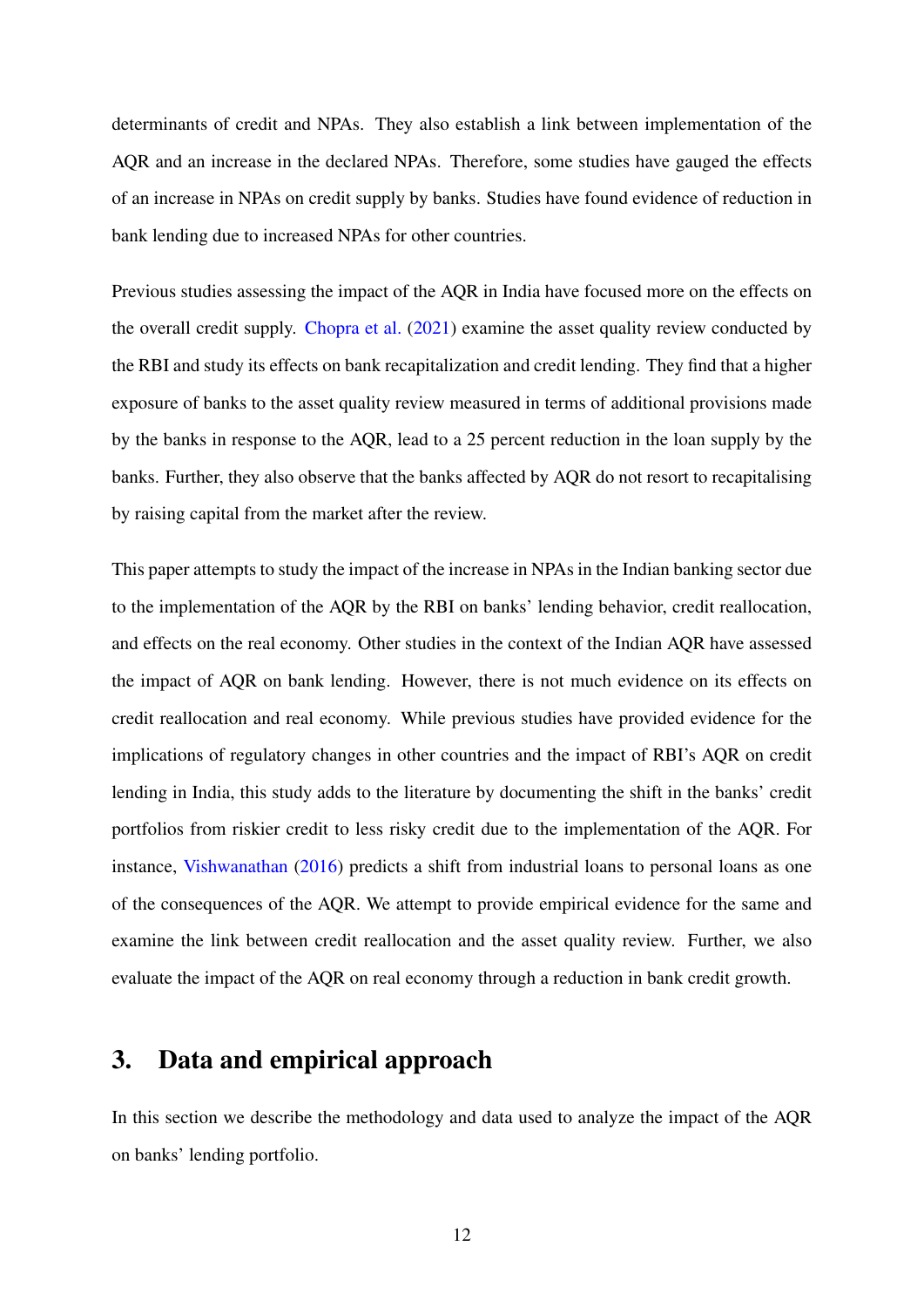determinants of credit and NPAs. They also establish a link between implementation of the AQR and an increase in the declared NPAs. Therefore, some studies have gauged the effects of an increase in NPAs on credit supply by banks. Studies have found evidence of reduction in bank lending due to increased NPAs for other countries.

Previous studies assessing the impact of the AQR in India have focused more on the effects on the overall credit supply. [Chopra et al.](#page-28-0) [\(2021\)](#page-28-0) examine the asset quality review conducted by the RBI and study its effects on bank recapitalization and credit lending. They find that a higher exposure of banks to the asset quality review measured in terms of additional provisions made by the banks in response to the AQR, lead to a 25 percent reduction in the loan supply by the banks. Further, they also observe that the banks affected by AQR do not resort to recapitalising by raising capital from the market after the review.

This paper attempts to study the impact of the increase in NPAs in the Indian banking sector due to the implementation of the AQR by the RBI on banks' lending behavior, credit reallocation, and effects on the real economy. Other studies in the context of the Indian AQR have assessed the impact of AQR on bank lending. However, there is not much evidence on its effects on credit reallocation and real economy. While previous studies have provided evidence for the implications of regulatory changes in other countries and the impact of RBI's AQR on credit lending in India, this study adds to the literature by documenting the shift in the banks' credit portfolios from riskier credit to less risky credit due to the implementation of the AQR. For instance, [Vishwanathan](#page-31-0) [\(2016\)](#page-31-0) predicts a shift from industrial loans to personal loans as one of the consequences of the AQR. We attempt to provide empirical evidence for the same and examine the link between credit reallocation and the asset quality review. Further, we also evaluate the impact of the AQR on real economy through a reduction in bank credit growth.

## 3. Data and empirical approach

In this section we describe the methodology and data used to analyze the impact of the AQR on banks' lending portfolio.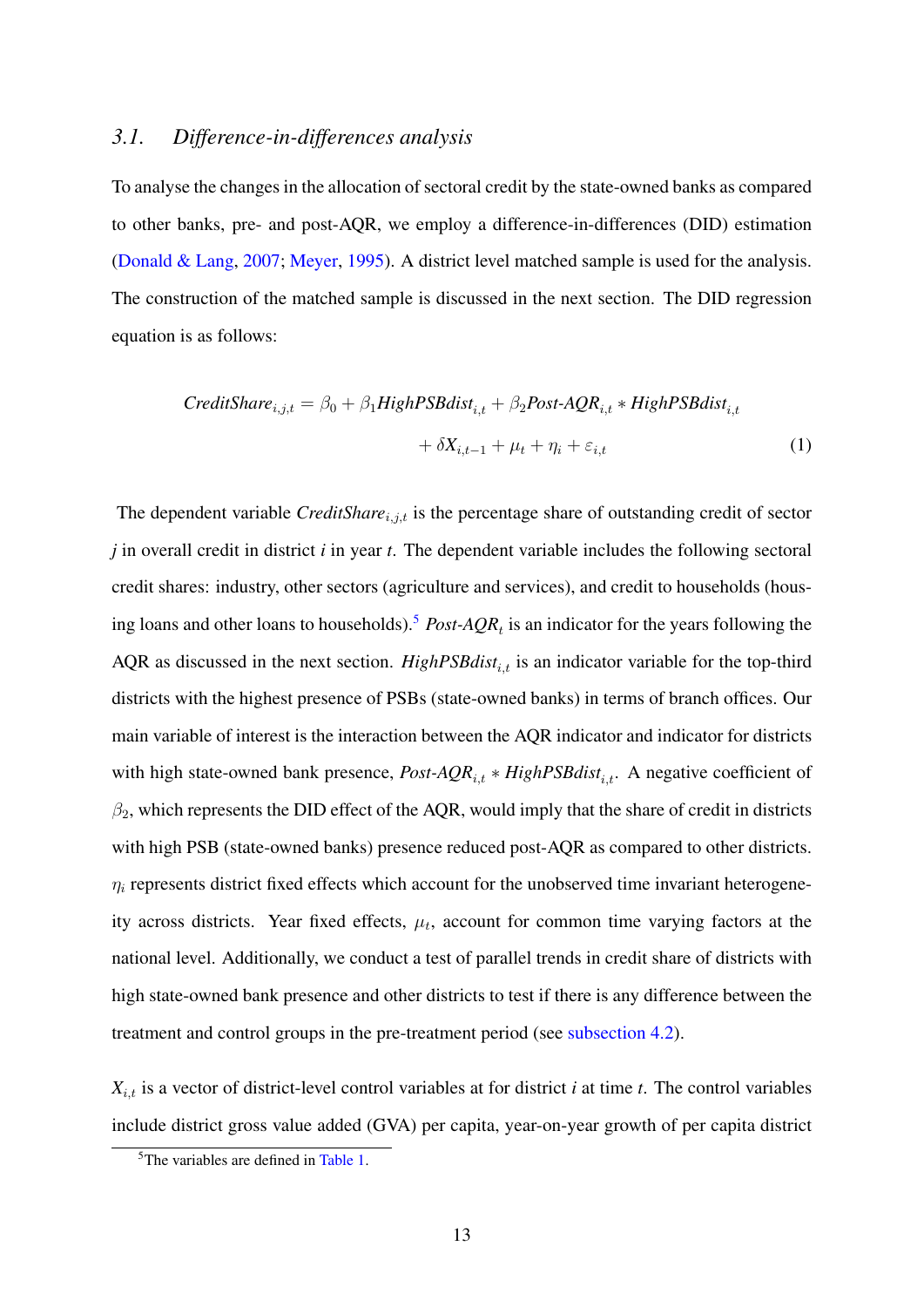#### *3.1. Difference-in-differences analysis*

To analyse the changes in the allocation of sectoral credit by the state-owned banks as compared to other banks, pre- and post-AQR, we employ a difference-in-differences (DID) estimation [\(Donald & Lang,](#page-28-9) [2007;](#page-28-9) [Meyer,](#page-29-10) [1995\)](#page-29-10). A district level matched sample is used for the analysis. The construction of the matched sample is discussed in the next section. The DID regression equation is as follows:

$$
CreditShare_{i,j,t} = \beta_0 + \beta_1 High PSB dist_{i,t} + \beta_2 Post \cdot AQR_{i,t} * High PSB dist_{i,t} + \delta X_{i,t-1} + \mu_t + \eta_i + \varepsilon_{i,t}
$$
 (1)

The dependent variable *CreditShare*<sub>*i,j,t*</sub> is the percentage share of outstanding credit of sector *j* in overall credit in district *i* in year *t*. The dependent variable includes the following sectoral credit shares: industry, other sectors (agriculture and services), and credit to households (hous-ing loans and other loans to households).<sup>[5](#page-14-0)</sup> *Post-AQR<sub>t</sub>* is an indicator for the years following the AQR as discussed in the next section.  $HighPSBdist_{i,t}$  is an indicator variable for the top-third districts with the highest presence of PSBs (state-owned banks) in terms of branch offices. Our main variable of interest is the interaction between the AQR indicator and indicator for districts with high state-owned bank presence, *Post-AQR*<sub>i,t</sub> ∗ *HighPSBdist*<sub>i,t</sub>. A negative coefficient of  $\beta_2$ , which represents the DID effect of the AQR, would imply that the share of credit in districts with high PSB (state-owned banks) presence reduced post-AQR as compared to other districts.  $\eta_i$  represents district fixed effects which account for the unobserved time invariant heterogeneity across districts. Year fixed effects,  $\mu_t$ , account for common time varying factors at the national level. Additionally, we conduct a test of parallel trends in credit share of districts with high state-owned bank presence and other districts to test if there is any difference between the treatment and control groups in the pre-treatment period (see [subsection 4.2\)](#page-18-0).

 $X_{i,t}$  is a vector of district-level control variables at for district *i* at time *t*. The control variables include district gross value added (GVA) per capita, year-on-year growth of per capita district

<span id="page-14-0"></span><sup>&</sup>lt;sup>5</sup>The variables are defined in [Table 1.](#page-37-0)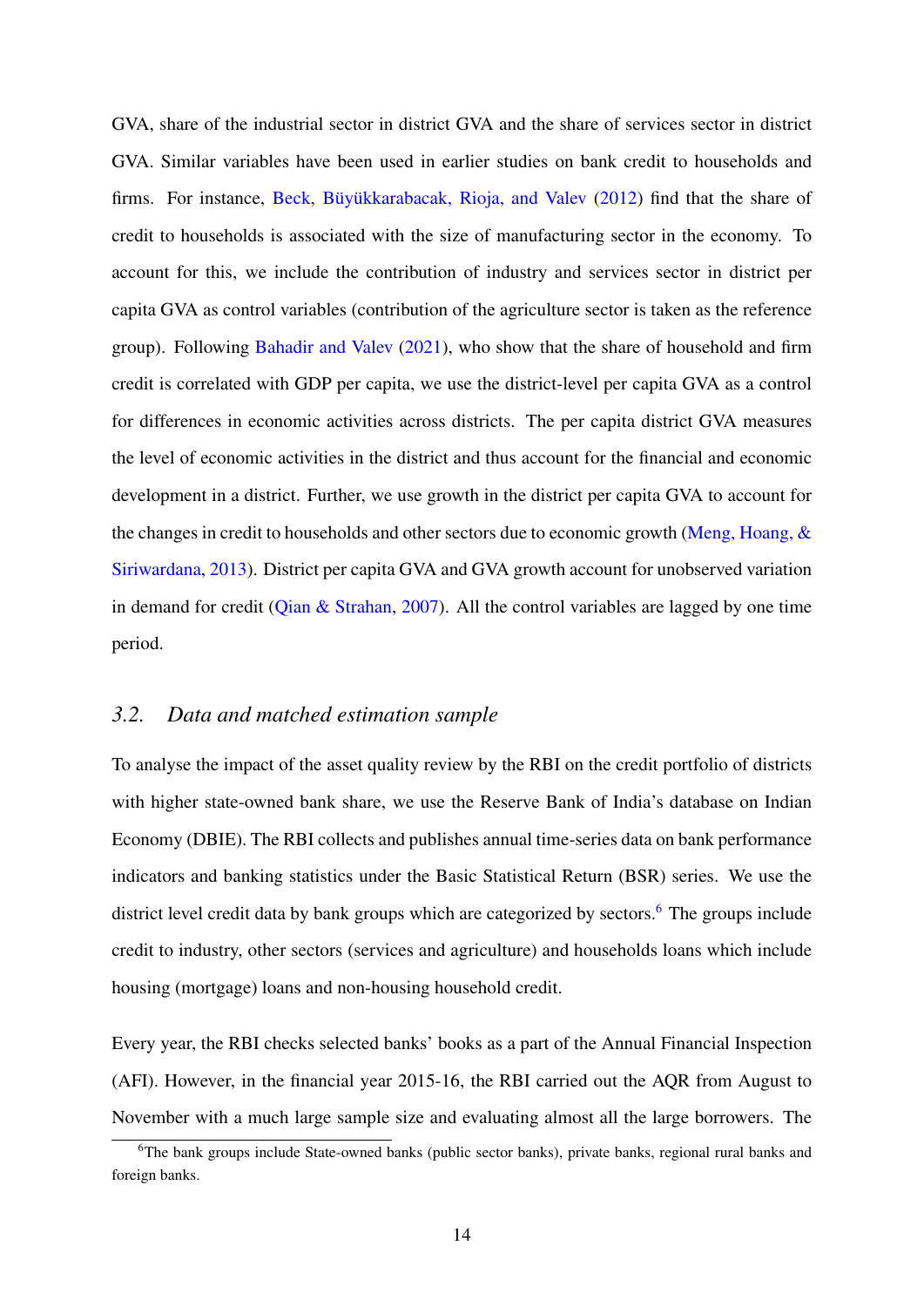GVA, share of the industrial sector in district GVA and the share of services sector in district GVA. Similar variables have been used in earlier studies on bank credit to households and firms. For instance, Beck, Büyükkarabacak, Rioja, and Valev [\(2012\)](#page-28-10) find that the share of credit to households is associated with the size of manufacturing sector in the economy. To account for this, we include the contribution of industry and services sector in district per capita GVA as control variables (contribution of the agriculture sector is taken as the reference group). Following [Bahadir and Valev](#page-27-10) [\(2021\)](#page-27-10), who show that the share of household and firm credit is correlated with GDP per capita, we use the district-level per capita GVA as a control for differences in economic activities across districts. The per capita district GVA measures the level of economic activities in the district and thus account for the financial and economic development in a district. Further, we use growth in the district per capita GVA to account for the changes in credit to households and other sectors due to economic growth (Meng, Hoang,  $\&$ [Siriwardana,](#page-29-11) [2013\)](#page-29-11). District per capita GVA and GVA growth account for unobserved variation in demand for credit [\(Qian & Strahan,](#page-30-3) [2007\)](#page-30-3). All the control variables are lagged by one time period.

#### *3.2. Data and matched estimation sample*

To analyse the impact of the asset quality review by the RBI on the credit portfolio of districts with higher state-owned bank share, we use the Reserve Bank of India's database on Indian Economy (DBIE). The RBI collects and publishes annual time-series data on bank performance indicators and banking statistics under the Basic Statistical Return (BSR) series. We use the district level credit data by bank groups which are categorized by sectors.<sup>[6](#page-15-0)</sup> The groups include credit to industry, other sectors (services and agriculture) and households loans which include housing (mortgage) loans and non-housing household credit.

Every year, the RBI checks selected banks' books as a part of the Annual Financial Inspection (AFI). However, in the financial year 2015-16, the RBI carried out the AQR from August to November with a much large sample size and evaluating almost all the large borrowers. The

<span id="page-15-0"></span><sup>&</sup>lt;sup>6</sup>The bank groups include State-owned banks (public sector banks), private banks, regional rural banks and foreign banks.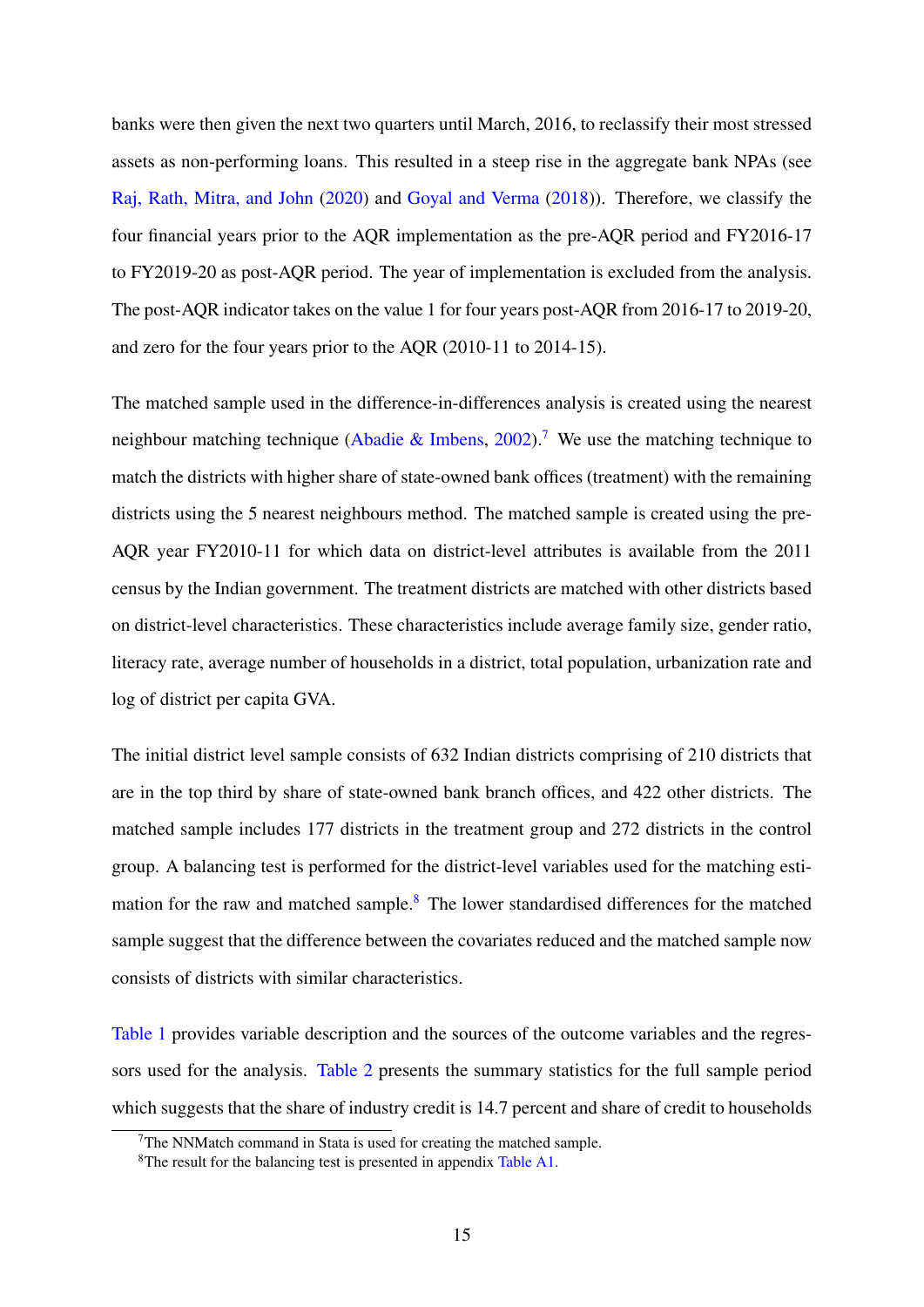banks were then given the next two quarters until March, 2016, to reclassify their most stressed assets as non-performing loans. This resulted in a steep rise in the aggregate bank NPAs (see [Raj, Rath, Mitra, and John](#page-30-12) [\(2020\)](#page-30-12) and [Goyal and Verma](#page-29-9) [\(2018\)](#page-29-9)). Therefore, we classify the four financial years prior to the AQR implementation as the pre-AQR period and FY2016-17 to FY2019-20 as post-AQR period. The year of implementation is excluded from the analysis. The post-AQR indicator takes on the value 1 for four years post-AQR from 2016-17 to 2019-20, and zero for the four years prior to the AQR (2010-11 to 2014-15).

The matched sample used in the difference-in-differences analysis is created using the nearest neighbour matching technique [\(Abadie & Imbens,](#page-27-2) [2002\)](#page-27-2).<sup>[7](#page-16-0)</sup> We use the matching technique to match the districts with higher share of state-owned bank offices (treatment) with the remaining districts using the 5 nearest neighbours method. The matched sample is created using the pre-AQR year FY2010-11 for which data on district-level attributes is available from the 2011 census by the Indian government. The treatment districts are matched with other districts based on district-level characteristics. These characteristics include average family size, gender ratio, literacy rate, average number of households in a district, total population, urbanization rate and log of district per capita GVA.

The initial district level sample consists of 632 Indian districts comprising of 210 districts that are in the top third by share of state-owned bank branch offices, and 422 other districts. The matched sample includes 177 districts in the treatment group and 272 districts in the control group. A balancing test is performed for the district-level variables used for the matching estimation for the raw and matched sample.[8](#page-16-1) The lower standardised differences for the matched sample suggest that the difference between the covariates reduced and the matched sample now consists of districts with similar characteristics.

[Table 1](#page-37-0) provides variable description and the sources of the outcome variables and the regressors used for the analysis. [Table 2](#page-38-0) presents the summary statistics for the full sample period which suggests that the share of industry credit is 14.7 percent and share of credit to households

<span id="page-16-1"></span><span id="page-16-0"></span> $7$ The NNMatch command in Stata is used for creating the matched sample.

<sup>8</sup>The result for the balancing test is presented in appendix [Table A1.](#page-45-0)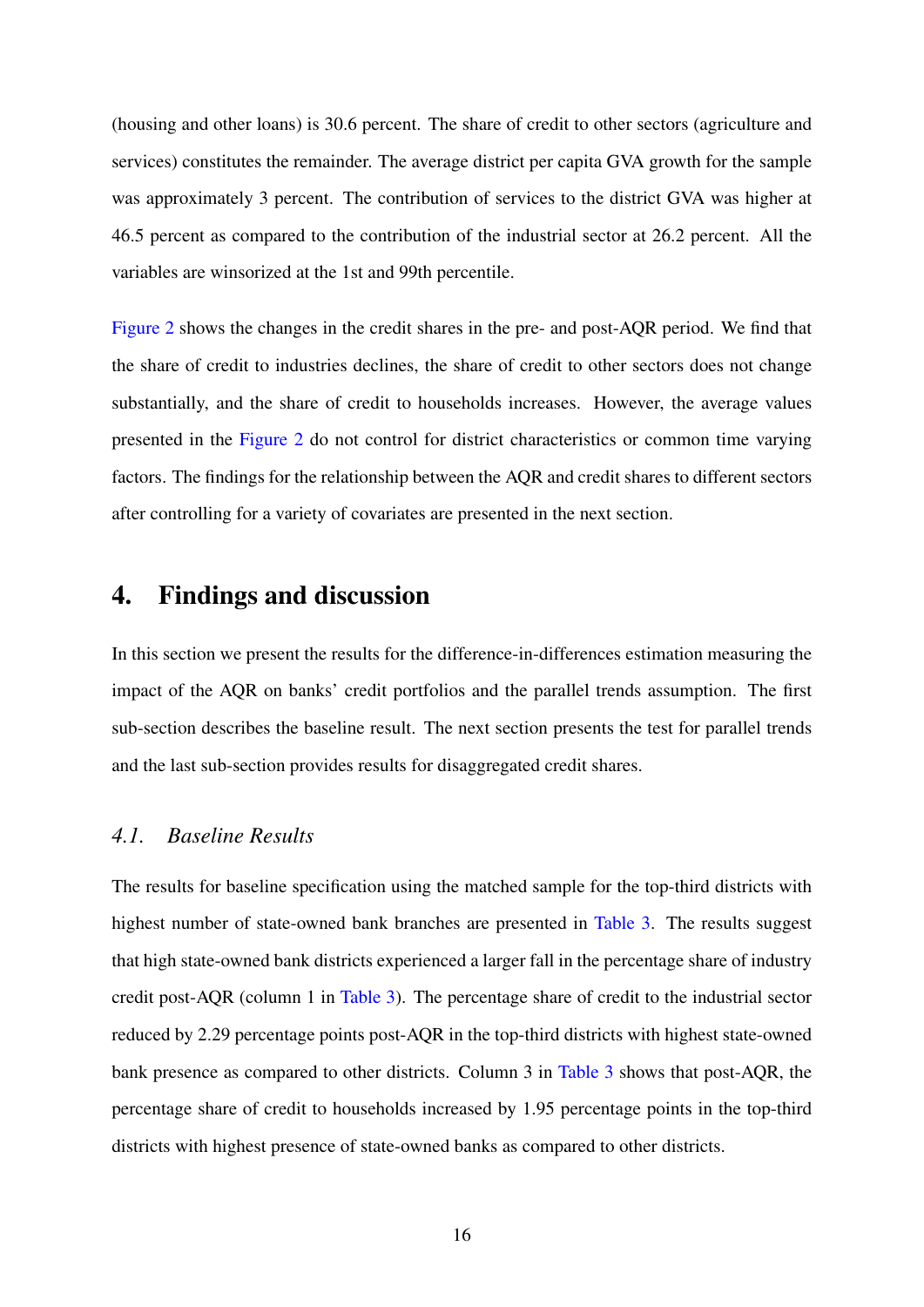(housing and other loans) is 30.6 percent. The share of credit to other sectors (agriculture and services) constitutes the remainder. The average district per capita GVA growth for the sample was approximately 3 percent. The contribution of services to the district GVA was higher at 46.5 percent as compared to the contribution of the industrial sector at 26.2 percent. All the variables are winsorized at the 1st and 99th percentile.

[Figure 2](#page-33-0) shows the changes in the credit shares in the pre- and post-AQR period. We find that the share of credit to industries declines, the share of credit to other sectors does not change substantially, and the share of credit to households increases. However, the average values presented in the [Figure 2](#page-33-0) do not control for district characteristics or common time varying factors. The findings for the relationship between the AQR and credit shares to different sectors after controlling for a variety of covariates are presented in the next section.

## 4. Findings and discussion

In this section we present the results for the difference-in-differences estimation measuring the impact of the AQR on banks' credit portfolios and the parallel trends assumption. The first sub-section describes the baseline result. The next section presents the test for parallel trends and the last sub-section provides results for disaggregated credit shares.

#### *4.1. Baseline Results*

The results for baseline specification using the matched sample for the top-third districts with highest number of state-owned bank branches are presented in [Table 3.](#page-39-0) The results suggest that high state-owned bank districts experienced a larger fall in the percentage share of industry credit post-AQR (column 1 in [Table 3\)](#page-39-0). The percentage share of credit to the industrial sector reduced by 2.29 percentage points post-AQR in the top-third districts with highest state-owned bank presence as compared to other districts. Column 3 in [Table 3](#page-39-0) shows that post-AQR, the percentage share of credit to households increased by 1.95 percentage points in the top-third districts with highest presence of state-owned banks as compared to other districts.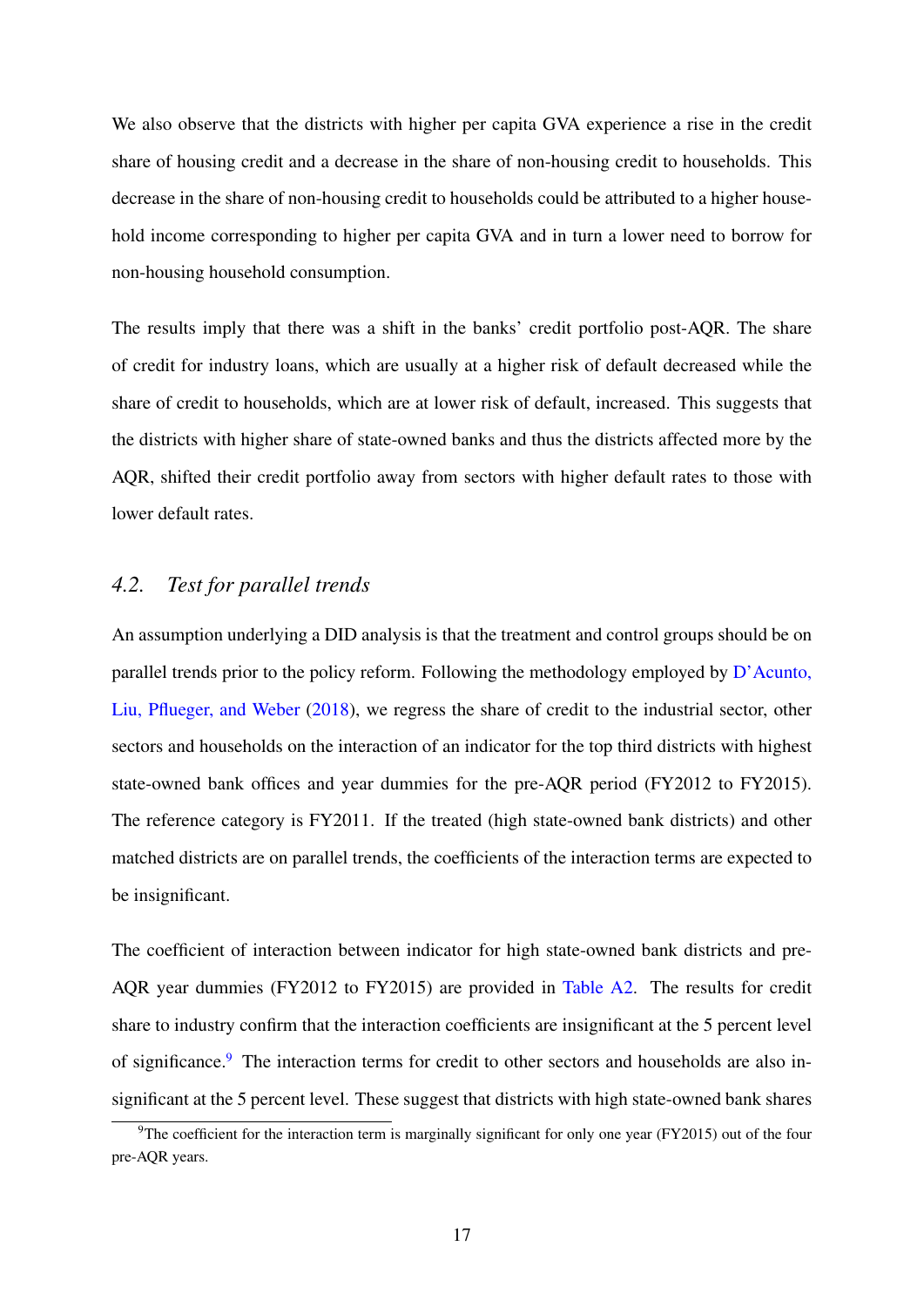We also observe that the districts with higher per capita GVA experience a rise in the credit share of housing credit and a decrease in the share of non-housing credit to households. This decrease in the share of non-housing credit to households could be attributed to a higher household income corresponding to higher per capita GVA and in turn a lower need to borrow for non-housing household consumption.

The results imply that there was a shift in the banks' credit portfolio post-AQR. The share of credit for industry loans, which are usually at a higher risk of default decreased while the share of credit to households, which are at lower risk of default, increased. This suggests that the districts with higher share of state-owned banks and thus the districts affected more by the AQR, shifted their credit portfolio away from sectors with higher default rates to those with lower default rates.

#### <span id="page-18-0"></span>*4.2. Test for parallel trends*

An assumption underlying a DID analysis is that the treatment and control groups should be on parallel trends prior to the policy reform. Following the methodology employed by  $D^{\prime}$ Acunto, [Liu, Pflueger, and Weber](#page-29-12) [\(2018\)](#page-29-12), we regress the share of credit to the industrial sector, other sectors and households on the interaction of an indicator for the top third districts with highest state-owned bank offices and year dummies for the pre-AQR period (FY2012 to FY2015). The reference category is FY2011. If the treated (high state-owned bank districts) and other matched districts are on parallel trends, the coefficients of the interaction terms are expected to be insignificant.

The coefficient of interaction between indicator for high state-owned bank districts and pre-AQR year dummies (FY2012 to FY2015) are provided in [Table A2.](#page-46-0) The results for credit share to industry confirm that the interaction coefficients are insignificant at the 5 percent level of significance.[9](#page-18-1) The interaction terms for credit to other sectors and households are also insignificant at the 5 percent level. These suggest that districts with high state-owned bank shares

<span id="page-18-1"></span><sup>&</sup>lt;sup>9</sup>The coefficient for the interaction term is marginally significant for only one year (FY2015) out of the four pre-AQR years.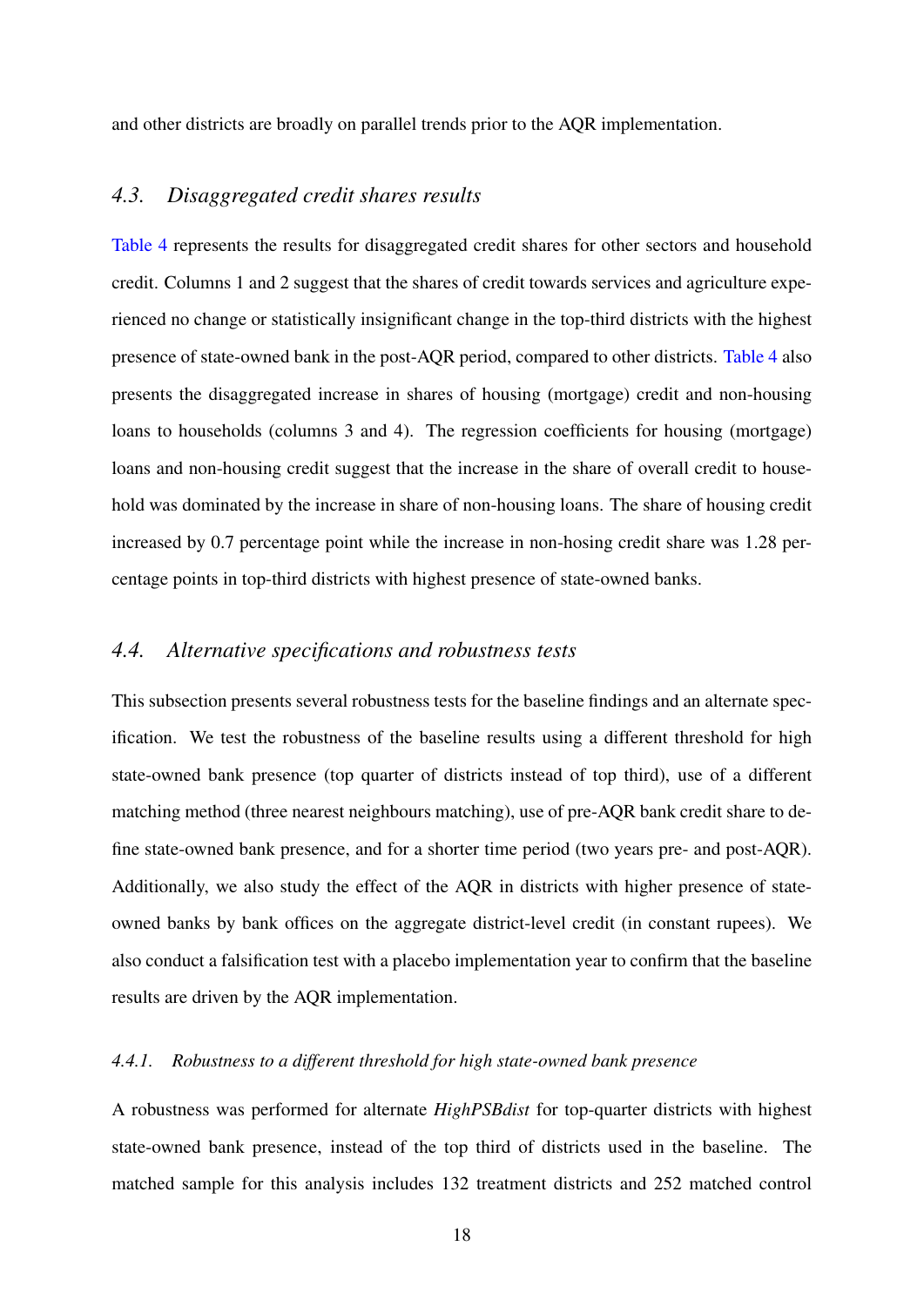and other districts are broadly on parallel trends prior to the AQR implementation.

#### *4.3. Disaggregated credit shares results*

[Table 4](#page-40-0) represents the results for disaggregated credit shares for other sectors and household credit. Columns 1 and 2 suggest that the shares of credit towards services and agriculture experienced no change or statistically insignificant change in the top-third districts with the highest presence of state-owned bank in the post-AQR period, compared to other districts. [Table 4](#page-40-0) also presents the disaggregated increase in shares of housing (mortgage) credit and non-housing loans to households (columns 3 and 4). The regression coefficients for housing (mortgage) loans and non-housing credit suggest that the increase in the share of overall credit to household was dominated by the increase in share of non-housing loans. The share of housing credit increased by 0.7 percentage point while the increase in non-hosing credit share was 1.28 percentage points in top-third districts with highest presence of state-owned banks.

#### *4.4. Alternative specifications and robustness tests*

This subsection presents several robustness tests for the baseline findings and an alternate specification. We test the robustness of the baseline results using a different threshold for high state-owned bank presence (top quarter of districts instead of top third), use of a different matching method (three nearest neighbours matching), use of pre-AQR bank credit share to define state-owned bank presence, and for a shorter time period (two years pre- and post-AQR). Additionally, we also study the effect of the AQR in districts with higher presence of stateowned banks by bank offices on the aggregate district-level credit (in constant rupees). We also conduct a falsification test with a placebo implementation year to confirm that the baseline results are driven by the AQR implementation.

#### *4.4.1. Robustness to a different threshold for high state-owned bank presence*

A robustness was performed for alternate *HighPSBdist* for top-quarter districts with highest state-owned bank presence, instead of the top third of districts used in the baseline. The matched sample for this analysis includes 132 treatment districts and 252 matched control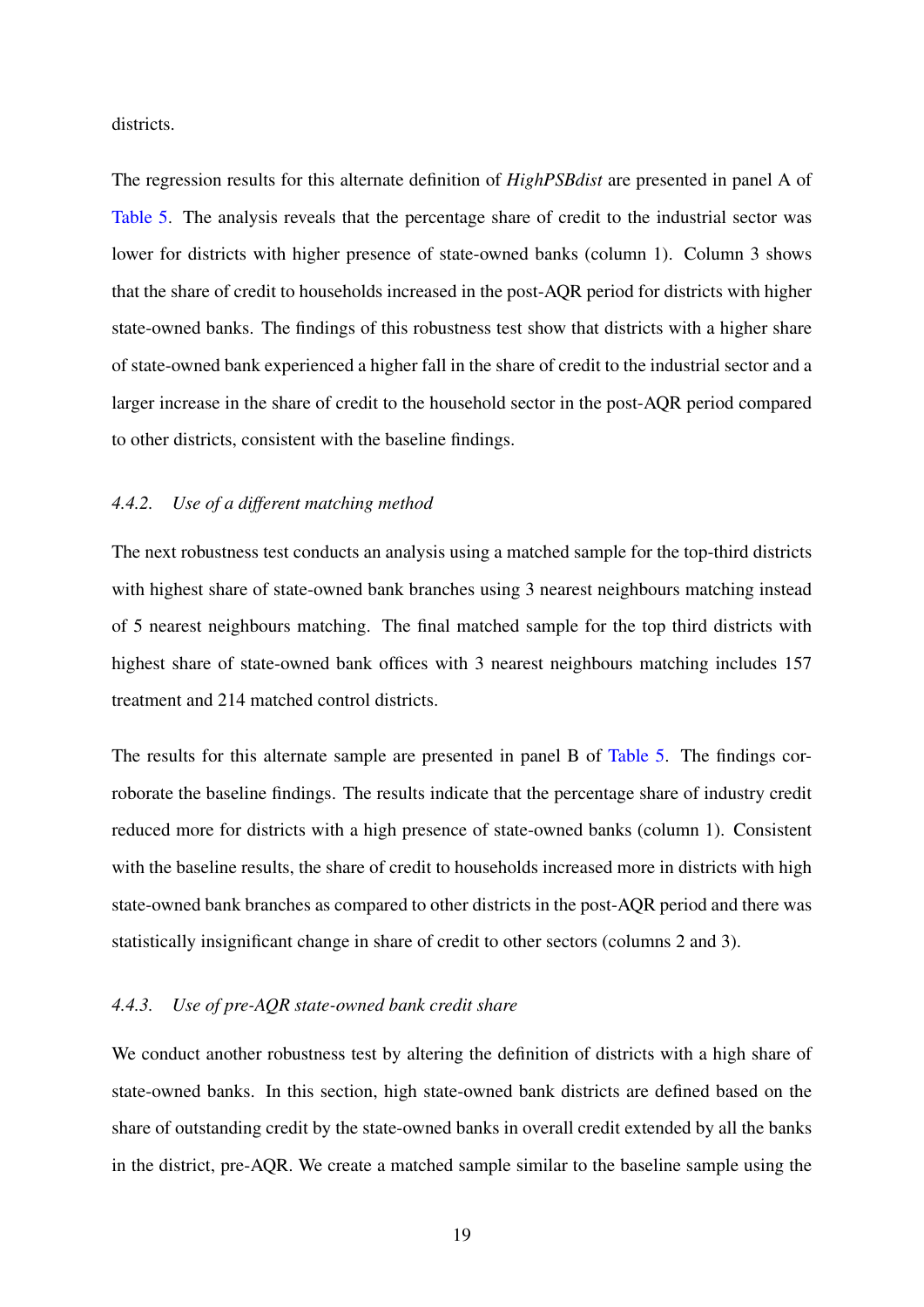districts.

The regression results for this alternate definition of *HighPSBdist* are presented in panel A of [Table 5.](#page-41-0) The analysis reveals that the percentage share of credit to the industrial sector was lower for districts with higher presence of state-owned banks (column 1). Column 3 shows that the share of credit to households increased in the post-AQR period for districts with higher state-owned banks. The findings of this robustness test show that districts with a higher share of state-owned bank experienced a higher fall in the share of credit to the industrial sector and a larger increase in the share of credit to the household sector in the post-AQR period compared to other districts, consistent with the baseline findings.

#### *4.4.2. Use of a different matching method*

The next robustness test conducts an analysis using a matched sample for the top-third districts with highest share of state-owned bank branches using 3 nearest neighbours matching instead of 5 nearest neighbours matching. The final matched sample for the top third districts with highest share of state-owned bank offices with 3 nearest neighbours matching includes 157 treatment and 214 matched control districts.

The results for this alternate sample are presented in panel B of [Table 5.](#page-41-0) The findings corroborate the baseline findings. The results indicate that the percentage share of industry credit reduced more for districts with a high presence of state-owned banks (column 1). Consistent with the baseline results, the share of credit to households increased more in districts with high state-owned bank branches as compared to other districts in the post-AQR period and there was statistically insignificant change in share of credit to other sectors (columns 2 and 3).

#### *4.4.3. Use of pre-AQR state-owned bank credit share*

We conduct another robustness test by altering the definition of districts with a high share of state-owned banks. In this section, high state-owned bank districts are defined based on the share of outstanding credit by the state-owned banks in overall credit extended by all the banks in the district, pre-AQR. We create a matched sample similar to the baseline sample using the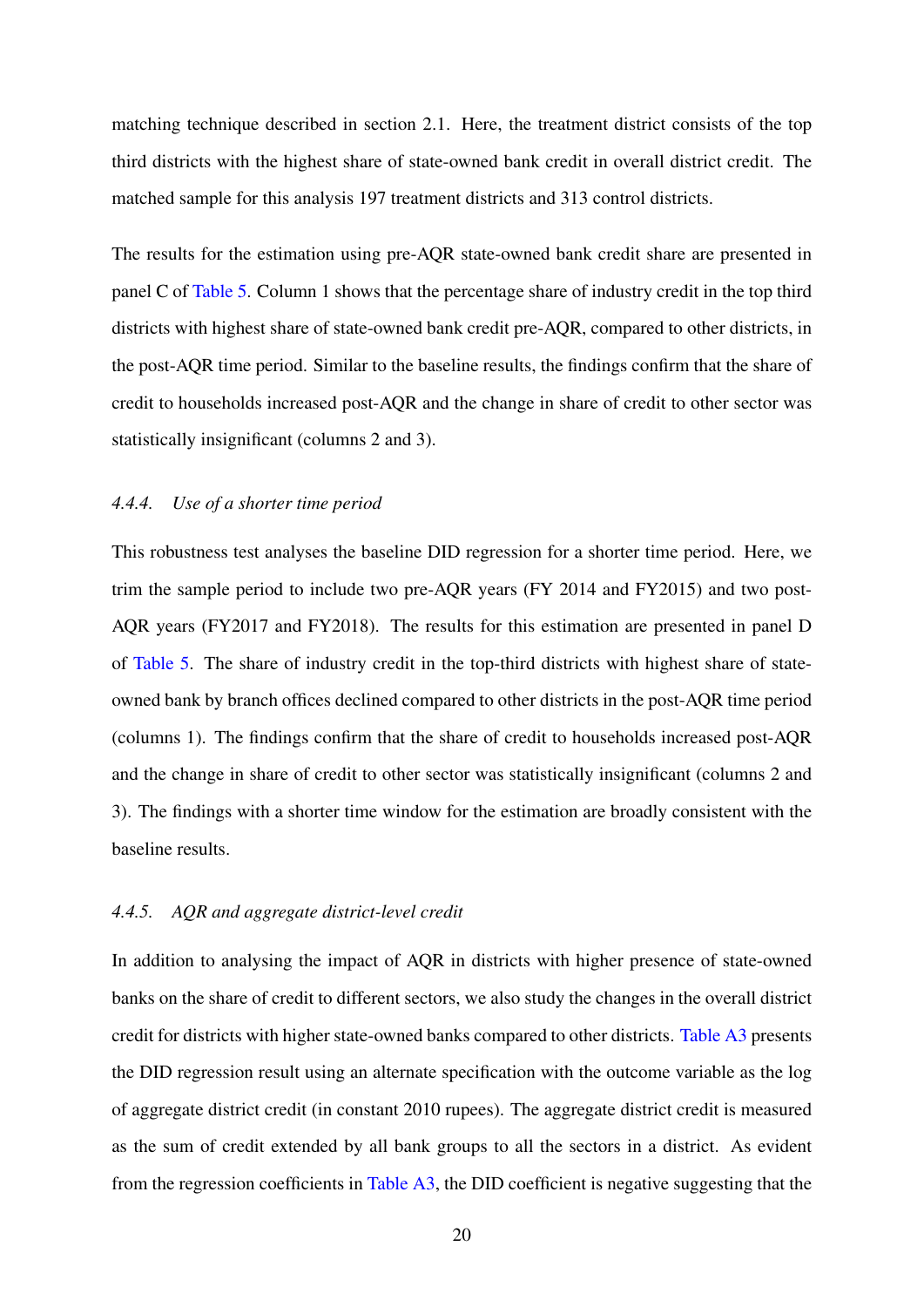matching technique described in section 2.1. Here, the treatment district consists of the top third districts with the highest share of state-owned bank credit in overall district credit. The matched sample for this analysis 197 treatment districts and 313 control districts.

The results for the estimation using pre-AQR state-owned bank credit share are presented in panel C of [Table 5.](#page-41-0) Column 1 shows that the percentage share of industry credit in the top third districts with highest share of state-owned bank credit pre-AQR, compared to other districts, in the post-AQR time period. Similar to the baseline results, the findings confirm that the share of credit to households increased post-AQR and the change in share of credit to other sector was statistically insignificant (columns 2 and 3).

#### *4.4.4. Use of a shorter time period*

This robustness test analyses the baseline DID regression for a shorter time period. Here, we trim the sample period to include two pre-AQR years (FY 2014 and FY2015) and two post-AQR years (FY2017 and FY2018). The results for this estimation are presented in panel D of [Table 5.](#page-41-0) The share of industry credit in the top-third districts with highest share of stateowned bank by branch offices declined compared to other districts in the post-AQR time period (columns 1). The findings confirm that the share of credit to households increased post-AQR and the change in share of credit to other sector was statistically insignificant (columns 2 and 3). The findings with a shorter time window for the estimation are broadly consistent with the baseline results.

#### *4.4.5. AQR and aggregate district-level credit*

In addition to analysing the impact of AQR in districts with higher presence of state-owned banks on the share of credit to different sectors, we also study the changes in the overall district credit for districts with higher state-owned banks compared to other districts. [Table A3](#page-47-0) presents the DID regression result using an alternate specification with the outcome variable as the log of aggregate district credit (in constant 2010 rupees). The aggregate district credit is measured as the sum of credit extended by all bank groups to all the sectors in a district. As evident from the regression coefficients in [Table A3,](#page-47-0) the DID coefficient is negative suggesting that the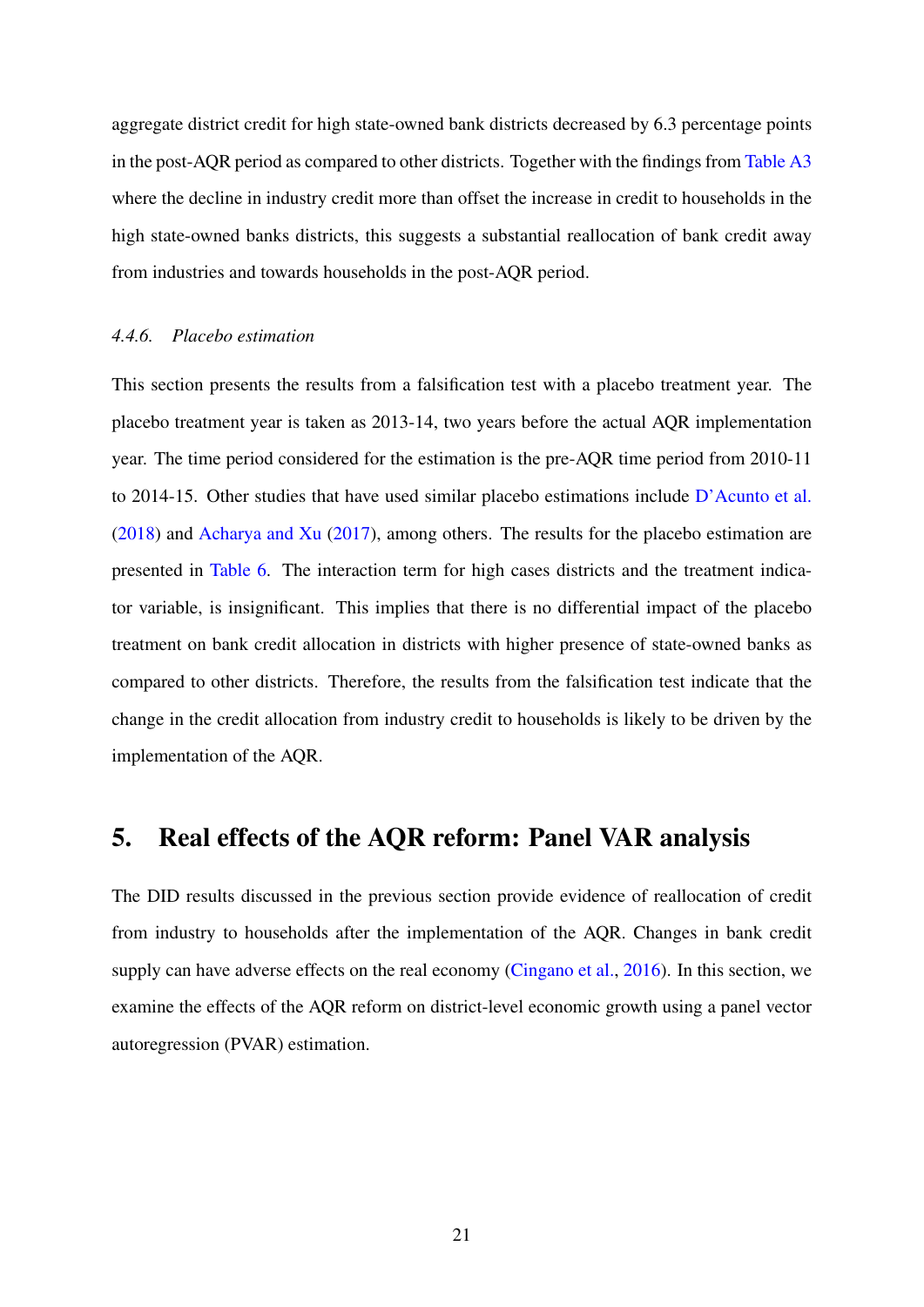aggregate district credit for high state-owned bank districts decreased by 6.3 percentage points in the post-AQR period as compared to other districts. Together with the findings from [Table A3](#page-47-0) where the decline in industry credit more than offset the increase in credit to households in the high state-owned banks districts, this suggests a substantial reallocation of bank credit away from industries and towards households in the post-AQR period.

#### *4.4.6. Placebo estimation*

This section presents the results from a falsification test with a placebo treatment year. The placebo treatment year is taken as 2013-14, two years before the actual AQR implementation year. The time period considered for the estimation is the pre-AQR time period from 2010-11 to 2014-15. Other studies that have used similar placebo estimations include [D'Acunto et al.](#page-29-12) [\(2018\)](#page-29-12) and [Acharya and Xu](#page-27-11) [\(2017\)](#page-27-11), among others. The results for the placebo estimation are presented in [Table 6.](#page-42-0) The interaction term for high cases districts and the treatment indicator variable, is insignificant. This implies that there is no differential impact of the placebo treatment on bank credit allocation in districts with higher presence of state-owned banks as compared to other districts. Therefore, the results from the falsification test indicate that the change in the credit allocation from industry credit to households is likely to be driven by the implementation of the AQR.

### 5. Real effects of the AQR reform: Panel VAR analysis

The DID results discussed in the previous section provide evidence of reallocation of credit from industry to households after the implementation of the AQR. Changes in bank credit supply can have adverse effects on the real economy [\(Cingano et al.,](#page-28-1) [2016\)](#page-28-1). In this section, we examine the effects of the AQR reform on district-level economic growth using a panel vector autoregression (PVAR) estimation.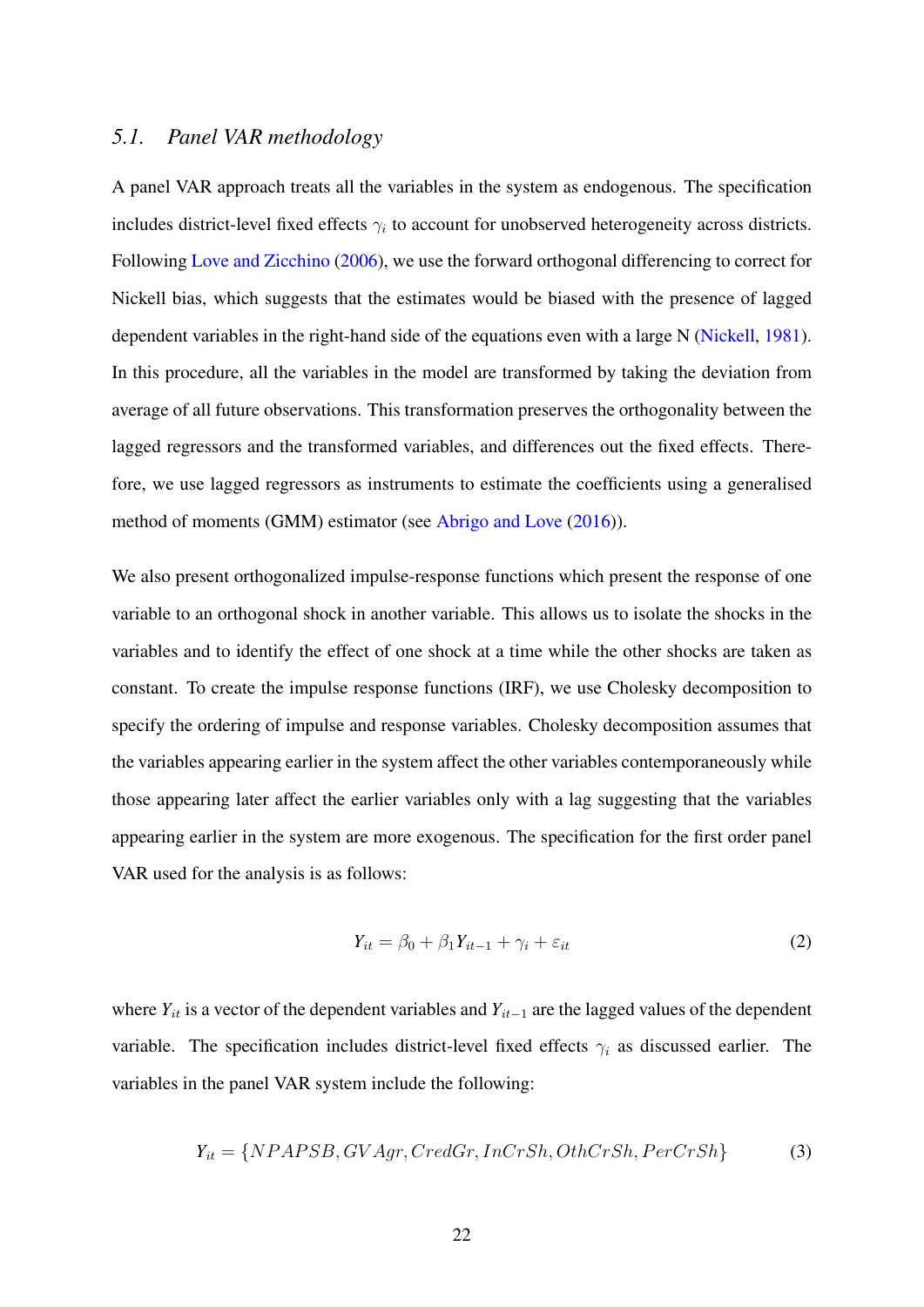#### *5.1. Panel VAR methodology*

A panel VAR approach treats all the variables in the system as endogenous. The specification includes district-level fixed effects  $\gamma_i$  to account for unobserved heterogeneity across districts. Following [Love and Zicchino](#page-29-13) [\(2006\)](#page-29-13), we use the forward orthogonal differencing to correct for Nickell bias, which suggests that the estimates would be biased with the presence of lagged dependent variables in the right-hand side of the equations even with a large N [\(Nickell,](#page-30-13) [1981\)](#page-30-13). In this procedure, all the variables in the model are transformed by taking the deviation from average of all future observations. This transformation preserves the orthogonality between the lagged regressors and the transformed variables, and differences out the fixed effects. Therefore, we use lagged regressors as instruments to estimate the coefficients using a generalised method of moments (GMM) estimator (see [Abrigo and Love](#page-27-12) [\(2016\)](#page-27-12)).

We also present orthogonalized impulse-response functions which present the response of one variable to an orthogonal shock in another variable. This allows us to isolate the shocks in the variables and to identify the effect of one shock at a time while the other shocks are taken as constant. To create the impulse response functions (IRF), we use Cholesky decomposition to specify the ordering of impulse and response variables. Cholesky decomposition assumes that the variables appearing earlier in the system affect the other variables contemporaneously while those appearing later affect the earlier variables only with a lag suggesting that the variables appearing earlier in the system are more exogenous. The specification for the first order panel VAR used for the analysis is as follows:

$$
Y_{it} = \beta_0 + \beta_1 Y_{it-1} + \gamma_i + \varepsilon_{it} \tag{2}
$$

where  $Y_{it}$  is a vector of the dependent variables and  $Y_{it-1}$  are the lagged values of the dependent variable. The specification includes district-level fixed effects  $\gamma_i$  as discussed earlier. The variables in the panel VAR system include the following:

$$
Y_{it} = \{NPAPSB, GVAgr, CredGr, InCrSh, OthCrSh, PerCrSh\}
$$
 (3)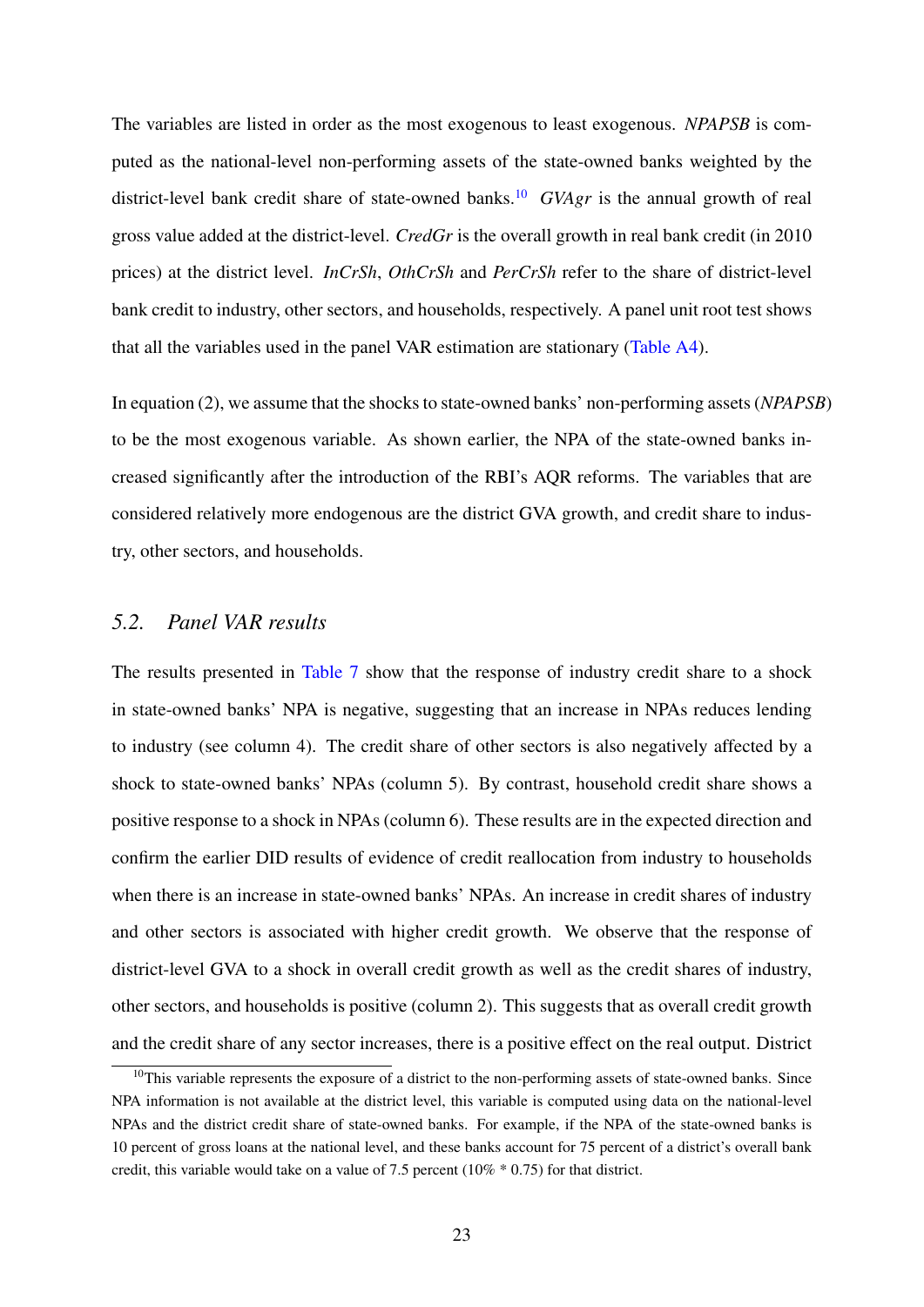The variables are listed in order as the most exogenous to least exogenous. *NPAPSB* is computed as the national-level non-performing assets of the state-owned banks weighted by the district-level bank credit share of state-owned banks.<sup>[10](#page-24-0)</sup> *GVAgr* is the annual growth of real gross value added at the district-level. *CredGr* is the overall growth in real bank credit (in 2010 prices) at the district level. *InCrSh*, *OthCrSh* and *PerCrSh* refer to the share of district-level bank credit to industry, other sectors, and households, respectively. A panel unit root test shows that all the variables used in the panel VAR estimation are stationary [\(Table A4\)](#page-48-0).

In equation (2), we assume that the shocks to state-owned banks' non-performing assets (*NPAPSB*) to be the most exogenous variable. As shown earlier, the NPA of the state-owned banks increased significantly after the introduction of the RBI's AQR reforms. The variables that are considered relatively more endogenous are the district GVA growth, and credit share to industry, other sectors, and households.

#### *5.2. Panel VAR results*

The results presented in [Table 7](#page-43-0) show that the response of industry credit share to a shock in state-owned banks' NPA is negative, suggesting that an increase in NPAs reduces lending to industry (see column 4). The credit share of other sectors is also negatively affected by a shock to state-owned banks' NPAs (column 5). By contrast, household credit share shows a positive response to a shock in NPAs (column 6). These results are in the expected direction and confirm the earlier DID results of evidence of credit reallocation from industry to households when there is an increase in state-owned banks' NPAs. An increase in credit shares of industry and other sectors is associated with higher credit growth. We observe that the response of district-level GVA to a shock in overall credit growth as well as the credit shares of industry, other sectors, and households is positive (column 2). This suggests that as overall credit growth and the credit share of any sector increases, there is a positive effect on the real output. District

<span id="page-24-0"></span><sup>&</sup>lt;sup>10</sup>This variable represents the exposure of a district to the non-performing assets of state-owned banks. Since NPA information is not available at the district level, this variable is computed using data on the national-level NPAs and the district credit share of state-owned banks. For example, if the NPA of the state-owned banks is 10 percent of gross loans at the national level, and these banks account for 75 percent of a district's overall bank credit, this variable would take on a value of 7.5 percent (10% \* 0.75) for that district.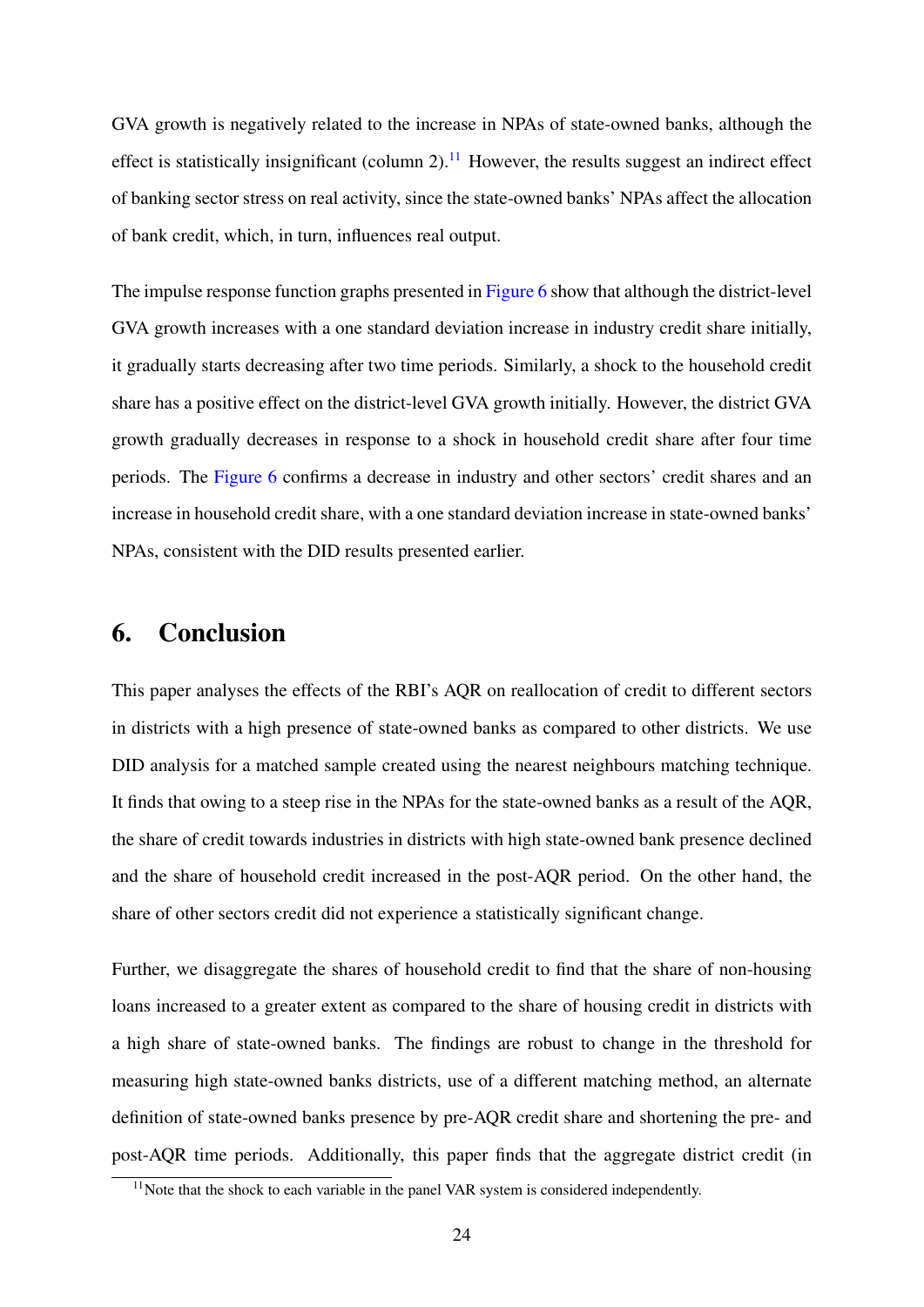GVA growth is negatively related to the increase in NPAs of state-owned banks, although the effect is statistically insignificant (column 2).<sup>[11](#page-25-0)</sup> However, the results suggest an indirect effect of banking sector stress on real activity, since the state-owned banks' NPAs affect the allocation of bank credit, which, in turn, influences real output.

The impulse response function graphs presented in [Figure 6](#page-44-0) show that although the district-level GVA growth increases with a one standard deviation increase in industry credit share initially, it gradually starts decreasing after two time periods. Similarly, a shock to the household credit share has a positive effect on the district-level GVA growth initially. However, the district GVA growth gradually decreases in response to a shock in household credit share after four time periods. The [Figure 6](#page-44-0) confirms a decrease in industry and other sectors' credit shares and an increase in household credit share, with a one standard deviation increase in state-owned banks' NPAs, consistent with the DID results presented earlier.

## 6. Conclusion

This paper analyses the effects of the RBI's AQR on reallocation of credit to different sectors in districts with a high presence of state-owned banks as compared to other districts. We use DID analysis for a matched sample created using the nearest neighbours matching technique. It finds that owing to a steep rise in the NPAs for the state-owned banks as a result of the AQR, the share of credit towards industries in districts with high state-owned bank presence declined and the share of household credit increased in the post-AQR period. On the other hand, the share of other sectors credit did not experience a statistically significant change.

Further, we disaggregate the shares of household credit to find that the share of non-housing loans increased to a greater extent as compared to the share of housing credit in districts with a high share of state-owned banks. The findings are robust to change in the threshold for measuring high state-owned banks districts, use of a different matching method, an alternate definition of state-owned banks presence by pre-AQR credit share and shortening the pre- and post-AQR time periods. Additionally, this paper finds that the aggregate district credit (in

<span id="page-25-0"></span> $11$ Note that the shock to each variable in the panel VAR system is considered independently.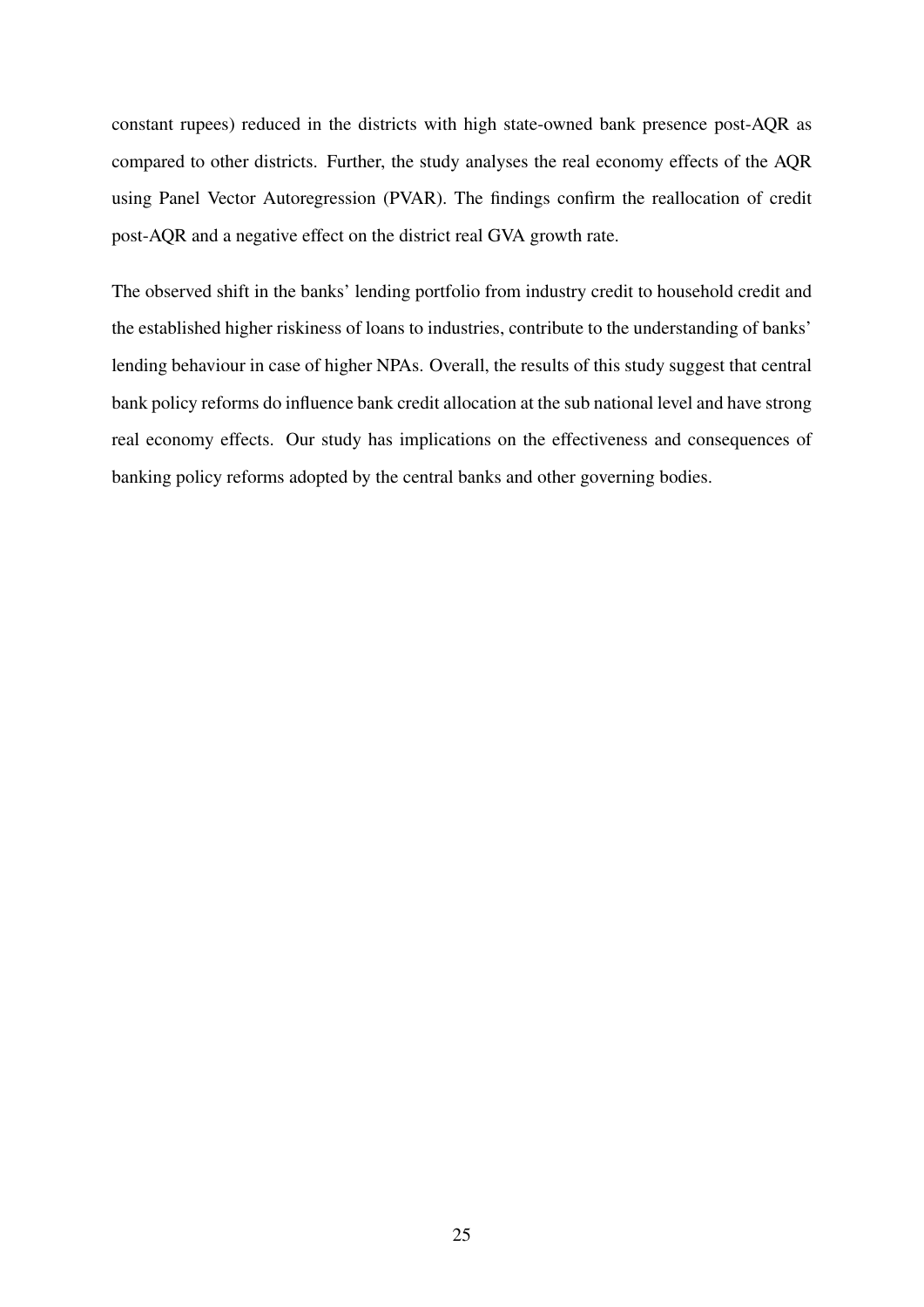constant rupees) reduced in the districts with high state-owned bank presence post-AQR as compared to other districts. Further, the study analyses the real economy effects of the AQR using Panel Vector Autoregression (PVAR). The findings confirm the reallocation of credit post-AQR and a negative effect on the district real GVA growth rate.

The observed shift in the banks' lending portfolio from industry credit to household credit and the established higher riskiness of loans to industries, contribute to the understanding of banks' lending behaviour in case of higher NPAs. Overall, the results of this study suggest that central bank policy reforms do influence bank credit allocation at the sub national level and have strong real economy effects. Our study has implications on the effectiveness and consequences of banking policy reforms adopted by the central banks and other governing bodies.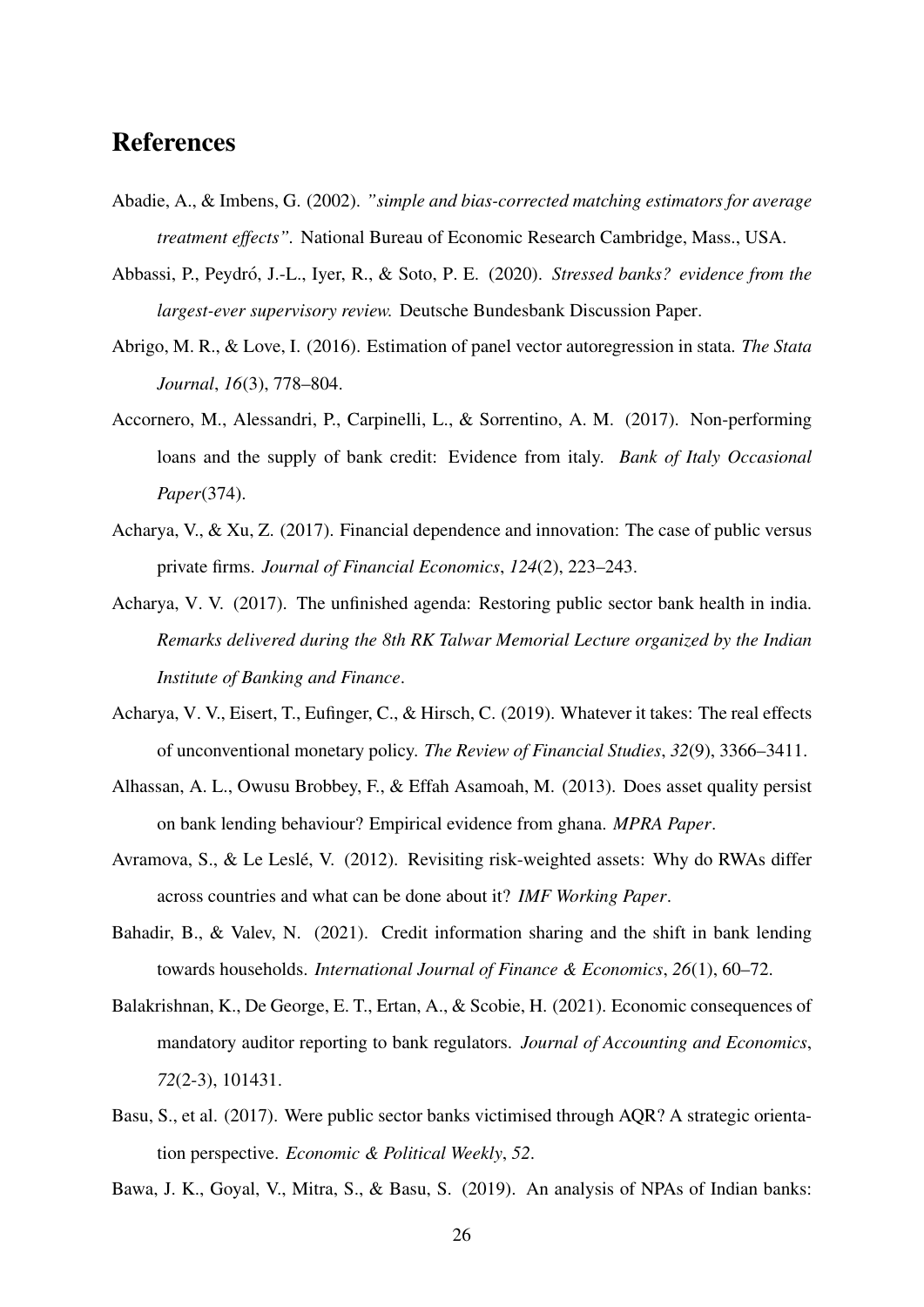## References

- <span id="page-27-2"></span>Abadie, A., & Imbens, G. (2002). *"simple and bias-corrected matching estimators for average treatment effects".* National Bureau of Economic Research Cambridge, Mass., USA.
- <span id="page-27-3"></span>Abbassi, P., Peydró, J.-L., Iyer, R., & Soto, P. E. (2020). Stressed banks? evidence from the *largest-ever supervisory review.* Deutsche Bundesbank Discussion Paper.
- <span id="page-27-12"></span>Abrigo, M. R., & Love, I. (2016). Estimation of panel vector autoregression in stata. *The Stata Journal*, *16*(3), 778–804.
- <span id="page-27-8"></span>Accornero, M., Alessandri, P., Carpinelli, L., & Sorrentino, A. M. (2017). Non-performing loans and the supply of bank credit: Evidence from italy. *Bank of Italy Occasional Paper*(374).
- <span id="page-27-11"></span>Acharya, V., & Xu, Z. (2017). Financial dependence and innovation: The case of public versus private firms. *Journal of Financial Economics*, *124*(2), 223–243.
- <span id="page-27-1"></span>Acharya, V. V. (2017). The unfinished agenda: Restoring public sector bank health in india. *Remarks delivered during the 8th RK Talwar Memorial Lecture organized by the Indian Institute of Banking and Finance*.
- <span id="page-27-6"></span>Acharya, V. V., Eisert, T., Eufinger, C., & Hirsch, C. (2019). Whatever it takes: The real effects of unconventional monetary policy. *The Review of Financial Studies*, *32*(9), 3366–3411.
- <span id="page-27-4"></span>Alhassan, A. L., Owusu Brobbey, F., & Effah Asamoah, M. (2013). Does asset quality persist on bank lending behaviour? Empirical evidence from ghana. *MPRA Paper*.
- <span id="page-27-5"></span>Avramova, S., & Le Leslé, V. (2012). Revisiting risk-weighted assets: Why do RWAs differ across countries and what can be done about it? *IMF Working Paper*.
- <span id="page-27-10"></span>Bahadir, B., & Valev, N. (2021). Credit information sharing and the shift in bank lending towards households. *International Journal of Finance & Economics*, *26*(1), 60–72.
- <span id="page-27-7"></span>Balakrishnan, K., De George, E. T., Ertan, A., & Scobie, H. (2021). Economic consequences of mandatory auditor reporting to bank regulators. *Journal of Accounting and Economics*, *72*(2-3), 101431.
- <span id="page-27-0"></span>Basu, S., et al. (2017). Were public sector banks victimised through AQR? A strategic orientation perspective. *Economic & Political Weekly*, *52*.

<span id="page-27-9"></span>Bawa, J. K., Goyal, V., Mitra, S., & Basu, S. (2019). An analysis of NPAs of Indian banks: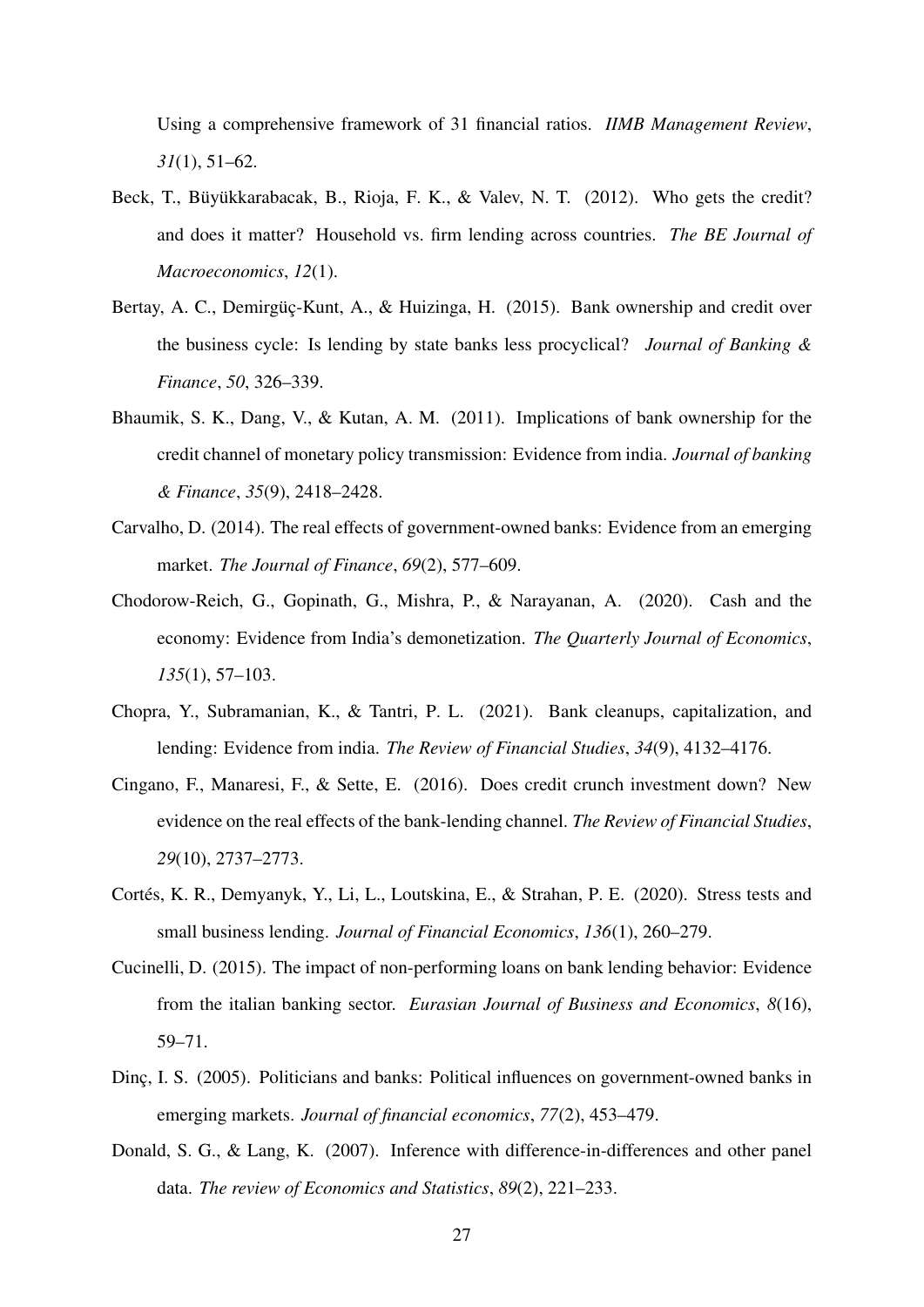Using a comprehensive framework of 31 financial ratios. *IIMB Management Review*, *31*(1), 51–62.

- <span id="page-28-10"></span>Beck, T., Büyükkarabacak, B., Rioja, F. K., & Valev, N. T. (2012). Who gets the credit? and does it matter? Household vs. firm lending across countries. *The BE Journal of Macroeconomics*, *12*(1).
- <span id="page-28-3"></span>Bertay, A. C., Demirgüç-Kunt, A., & Huizinga, H. (2015). Bank ownership and credit over the business cycle: Is lending by state banks less procyclical? *Journal of Banking & Finance*, *50*, 326–339.
- <span id="page-28-6"></span>Bhaumik, S. K., Dang, V., & Kutan, A. M. (2011). Implications of bank ownership for the credit channel of monetary policy transmission: Evidence from india. *Journal of banking & Finance*, *35*(9), 2418–2428.
- <span id="page-28-4"></span>Carvalho, D. (2014). The real effects of government-owned banks: Evidence from an emerging market. *The Journal of Finance*, *69*(2), 577–609.
- <span id="page-28-7"></span>Chodorow-Reich, G., Gopinath, G., Mishra, P., & Narayanan, A. (2020). Cash and the economy: Evidence from India's demonetization. *The Quarterly Journal of Economics*, *135*(1), 57–103.
- <span id="page-28-0"></span>Chopra, Y., Subramanian, K., & Tantri, P. L. (2021). Bank cleanups, capitalization, and lending: Evidence from india. *The Review of Financial Studies*, *34*(9), 4132–4176.
- <span id="page-28-1"></span>Cingano, F., Manaresi, F., & Sette, E. (2016). Does credit crunch investment down? New evidence on the real effects of the bank-lending channel. *The Review of Financial Studies*, *29*(10), 2737–2773.
- <span id="page-28-8"></span>Cortés, K. R., Demyanyk, Y., Li, L., Loutskina, E., & Strahan, P. E. (2020). Stress tests and small business lending. *Journal of Financial Economics*, *136*(1), 260–279.
- <span id="page-28-2"></span>Cucinelli, D. (2015). The impact of non-performing loans on bank lending behavior: Evidence from the italian banking sector. *Eurasian Journal of Business and Economics*, *8*(16), 59–71.
- <span id="page-28-5"></span>Dinc, I. S. (2005). Politicians and banks: Political influences on government-owned banks in emerging markets. *Journal of financial economics*, *77*(2), 453–479.
- <span id="page-28-9"></span>Donald, S. G., & Lang, K. (2007). Inference with difference-in-differences and other panel data. *The review of Economics and Statistics*, *89*(2), 221–233.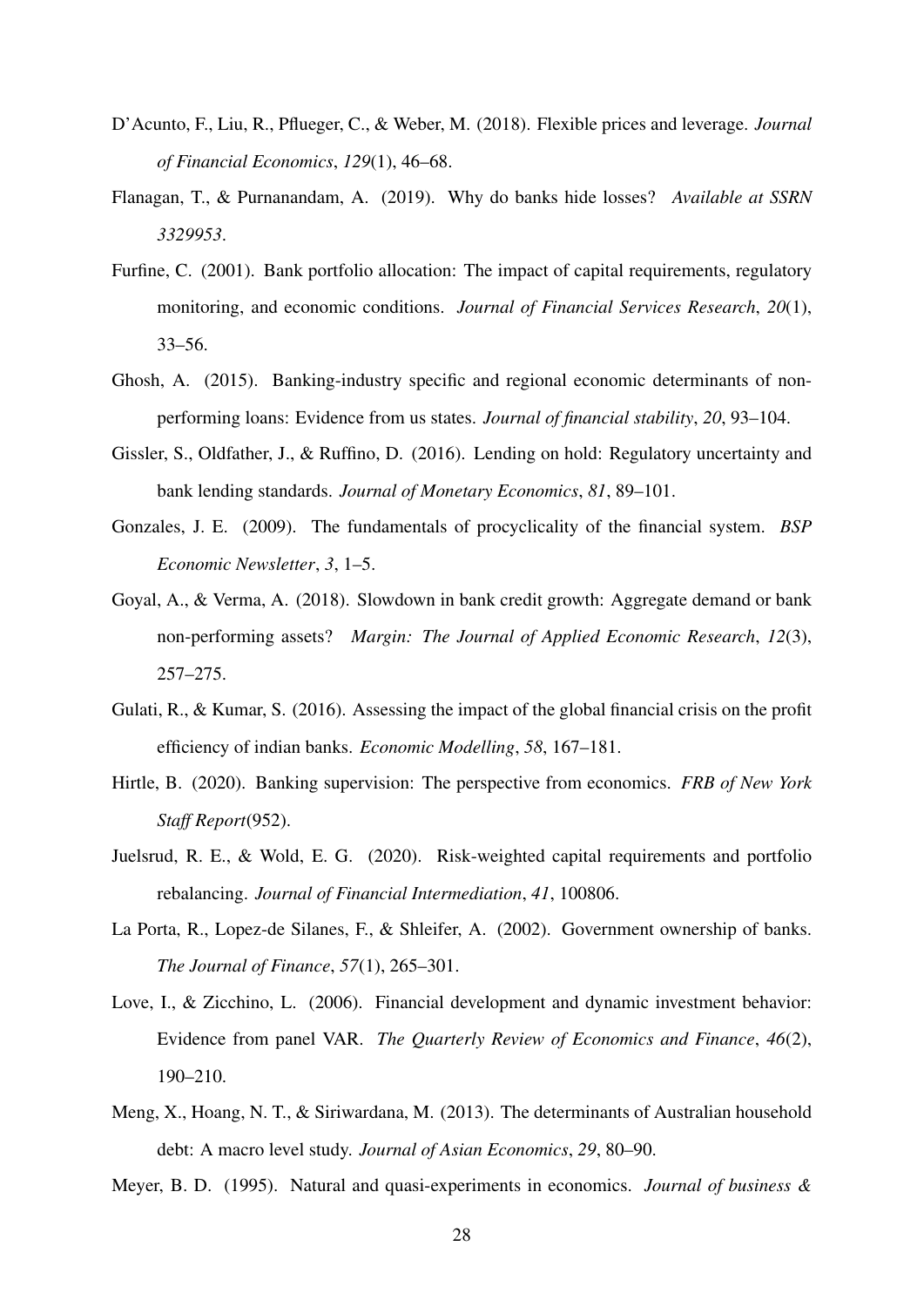- <span id="page-29-12"></span>D'Acunto, F., Liu, R., Pflueger, C., & Weber, M. (2018). Flexible prices and leverage. *Journal of Financial Economics*, *129*(1), 46–68.
- <span id="page-29-0"></span>Flanagan, T., & Purnanandam, A. (2019). Why do banks hide losses? *Available at SSRN 3329953*.
- <span id="page-29-6"></span>Furfine, C. (2001). Bank portfolio allocation: The impact of capital requirements, regulatory monitoring, and economic conditions. *Journal of Financial Services Research*, *20*(1), 33–56.
- <span id="page-29-5"></span>Ghosh, A. (2015). Banking-industry specific and regional economic determinants of nonperforming loans: Evidence from us states. *Journal of financial stability*, *20*, 93–104.
- <span id="page-29-7"></span>Gissler, S., Oldfather, J., & Ruffino, D. (2016). Lending on hold: Regulatory uncertainty and bank lending standards. *Journal of Monetary Economics*, *81*, 89–101.
- <span id="page-29-2"></span>Gonzales, J. E. (2009). The fundamentals of procyclicality of the financial system. *BSP Economic Newsletter*, *3*, 1–5.
- <span id="page-29-9"></span>Goyal, A., & Verma, A. (2018). Slowdown in bank credit growth: Aggregate demand or bank non-performing assets? *Margin: The Journal of Applied Economic Research*, *12*(3), 257–275.
- <span id="page-29-3"></span>Gulati, R., & Kumar, S. (2016). Assessing the impact of the global financial crisis on the profit efficiency of indian banks. *Economic Modelling*, *58*, 167–181.
- <span id="page-29-8"></span>Hirtle, B. (2020). Banking supervision: The perspective from economics. *FRB of New York Staff Report*(952).
- <span id="page-29-1"></span>Juelsrud, R. E., & Wold, E. G. (2020). Risk-weighted capital requirements and portfolio rebalancing. *Journal of Financial Intermediation*, *41*, 100806.
- <span id="page-29-4"></span>La Porta, R., Lopez-de Silanes, F., & Shleifer, A. (2002). Government ownership of banks. *The Journal of Finance*, *57*(1), 265–301.
- <span id="page-29-13"></span>Love, I., & Zicchino, L. (2006). Financial development and dynamic investment behavior: Evidence from panel VAR. *The Quarterly Review of Economics and Finance*, *46*(2), 190–210.
- <span id="page-29-11"></span>Meng, X., Hoang, N. T., & Siriwardana, M. (2013). The determinants of Australian household debt: A macro level study. *Journal of Asian Economics*, *29*, 80–90.

<span id="page-29-10"></span>Meyer, B. D. (1995). Natural and quasi-experiments in economics. *Journal of business &*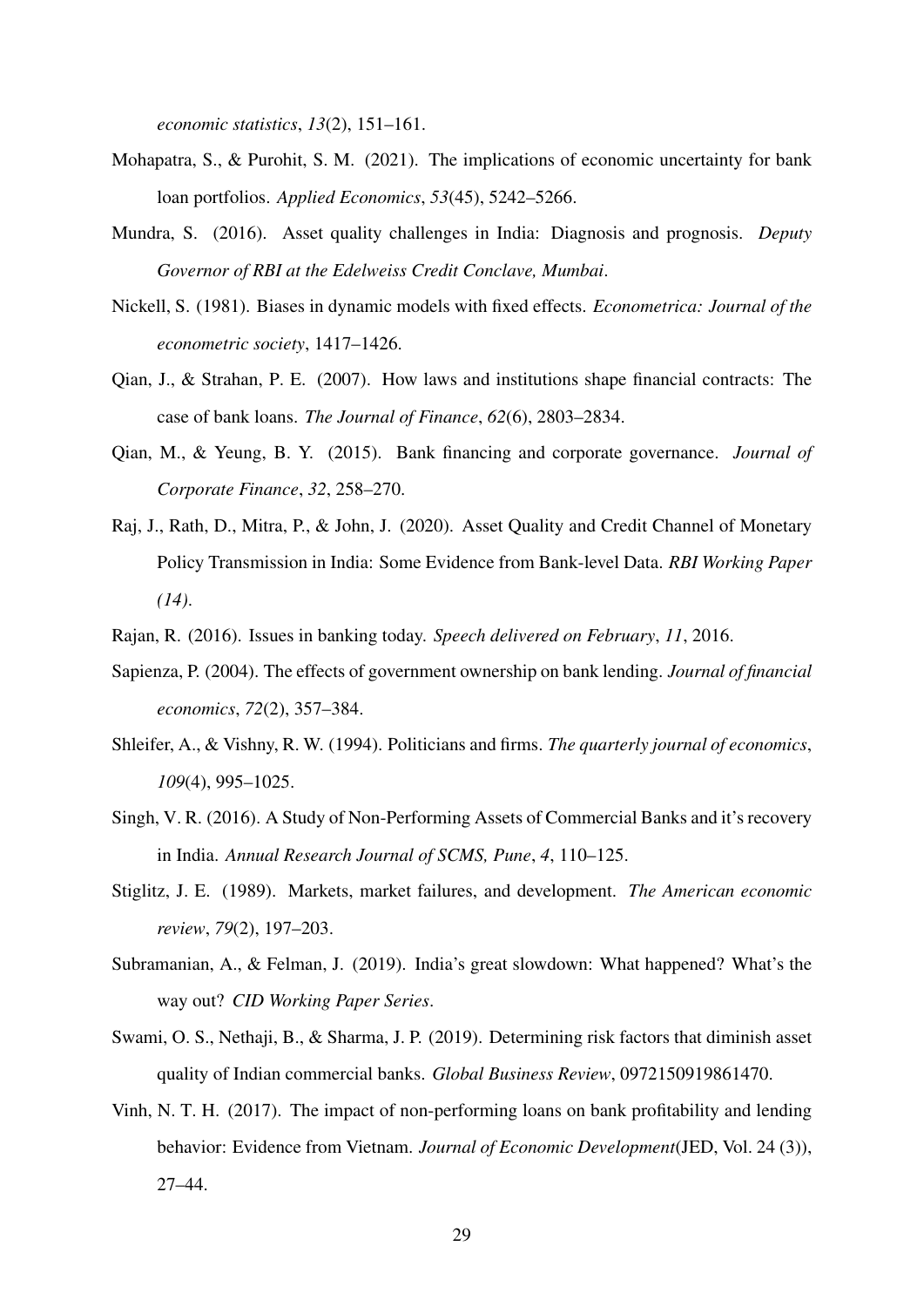*economic statistics*, *13*(2), 151–161.

- <span id="page-30-5"></span>Mohapatra, S., & Purohit, S. M. (2021). The implications of economic uncertainty for bank loan portfolios. *Applied Economics*, *53*(45), 5242–5266.
- <span id="page-30-1"></span>Mundra, S. (2016). Asset quality challenges in India: Diagnosis and prognosis. *Deputy Governor of RBI at the Edelweiss Credit Conclave, Mumbai*.
- <span id="page-30-13"></span>Nickell, S. (1981). Biases in dynamic models with fixed effects. *Econometrica: Journal of the econometric society*, 1417–1426.
- <span id="page-30-3"></span>Qian, J., & Strahan, P. E. (2007). How laws and institutions shape financial contracts: The case of bank loans. *The Journal of Finance*, *62*(6), 2803–2834.
- <span id="page-30-8"></span>Qian, M., & Yeung, B. Y. (2015). Bank financing and corporate governance. *Journal of Corporate Finance*, *32*, 258–270.
- <span id="page-30-12"></span>Raj, J., Rath, D., Mitra, P., & John, J. (2020). Asset Quality and Credit Channel of Monetary Policy Transmission in India: Some Evidence from Bank-level Data. *RBI Working Paper (14)*.
- <span id="page-30-9"></span><span id="page-30-0"></span>Rajan, R. (2016). Issues in banking today. *Speech delivered on February*, *11*, 2016.
- Sapienza, P. (2004). The effects of government ownership on bank lending. *Journal of financial economics*, *72*(2), 357–384.
- <span id="page-30-7"></span>Shleifer, A., & Vishny, R. W. (1994). Politicians and firms. *The quarterly journal of economics*, *109*(4), 995–1025.
- <span id="page-30-2"></span>Singh, V. R. (2016). A Study of Non-Performing Assets of Commercial Banks and it's recovery in India. *Annual Research Journal of SCMS, Pune*, *4*, 110–125.
- <span id="page-30-6"></span>Stiglitz, J. E. (1989). Markets, market failures, and development. *The American economic review*, *79*(2), 197–203.
- <span id="page-30-10"></span>Subramanian, A., & Felman, J. (2019). India's great slowdown: What happened? What's the way out? *CID Working Paper Series*.
- <span id="page-30-11"></span>Swami, O. S., Nethaji, B., & Sharma, J. P. (2019). Determining risk factors that diminish asset quality of Indian commercial banks. *Global Business Review*, 0972150919861470.
- <span id="page-30-4"></span>Vinh, N. T. H. (2017). The impact of non-performing loans on bank profitability and lending behavior: Evidence from Vietnam. *Journal of Economic Development*(JED, Vol. 24 (3)), 27–44.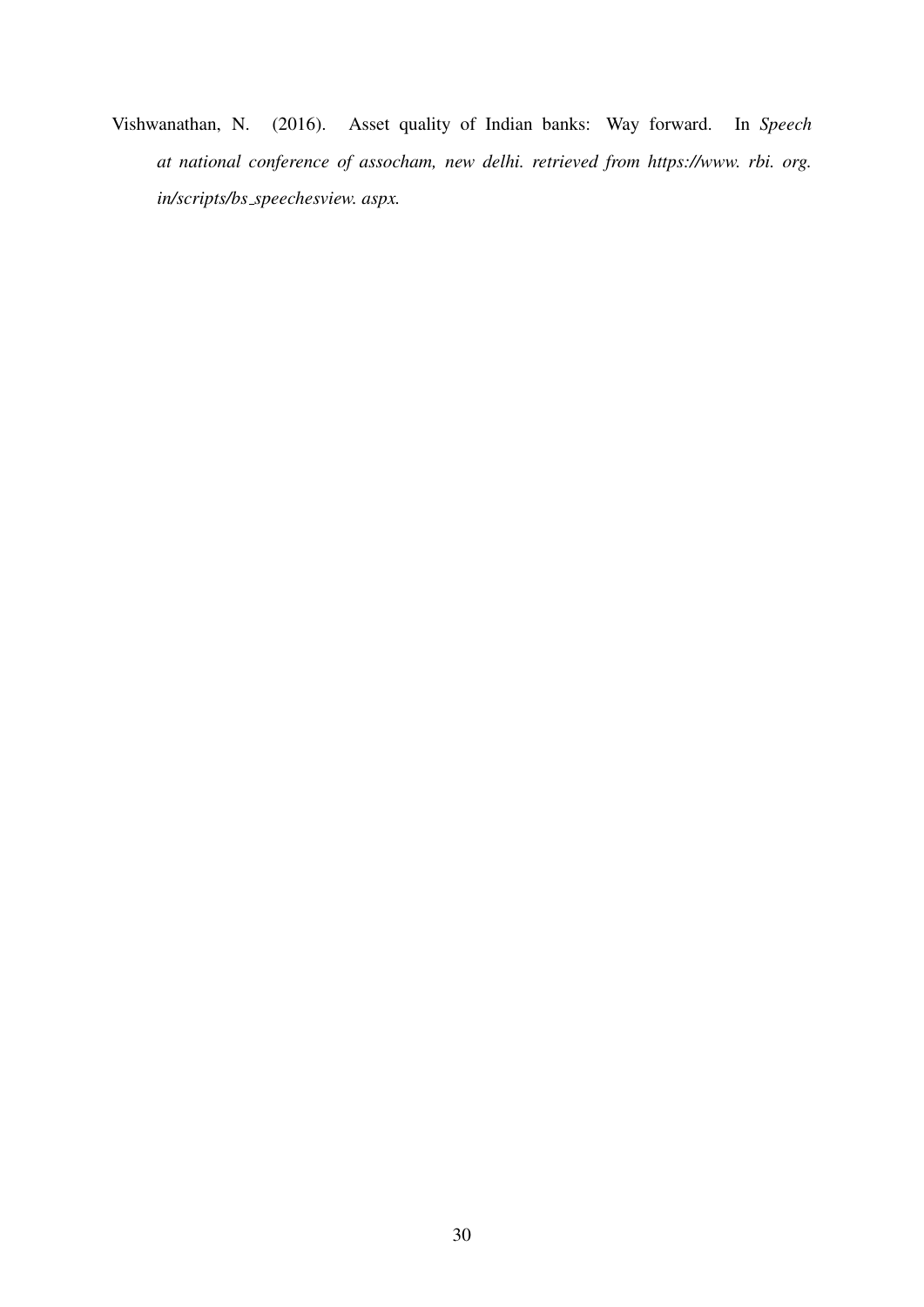<span id="page-31-0"></span>Vishwanathan, N. (2016). Asset quality of Indian banks: Way forward. In *Speech at national conference of assocham, new delhi. retrieved from https://www. rbi. org. in/scripts/bs speechesview. aspx.*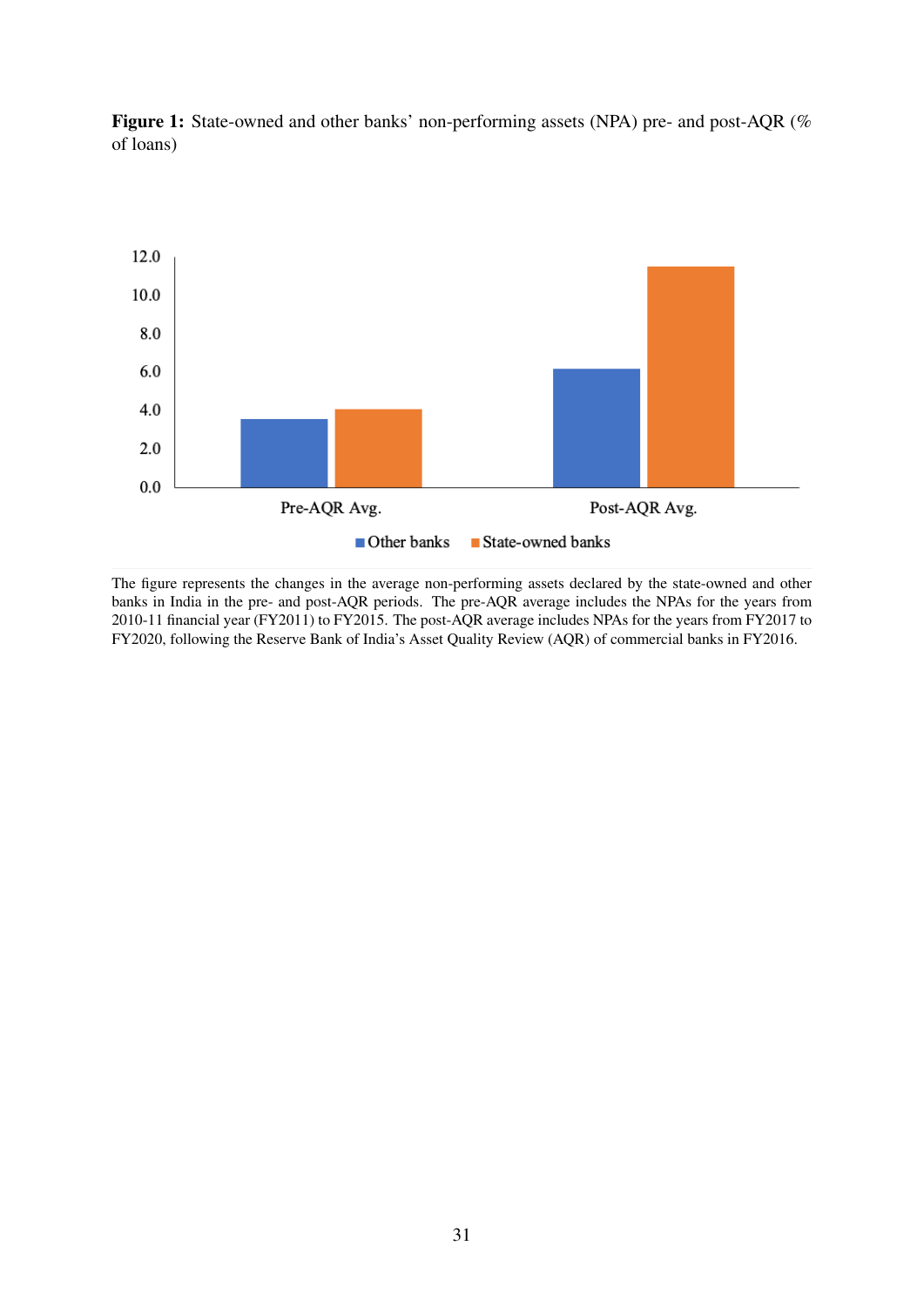

<span id="page-32-0"></span>Figure 1: State-owned and other banks' non-performing assets (NPA) pre- and post-AQR (% of loans)

The figure represents the changes in the average non-performing assets declared by the state-owned and other banks in India in the pre- and post-AQR periods. The pre-AQR average includes the NPAs for the years from 2010-11 financial year (FY2011) to FY2015. The post-AQR average includes NPAs for the years from FY2017 to FY2020, following the Reserve Bank of India's Asset Quality Review (AQR) of commercial banks in FY2016.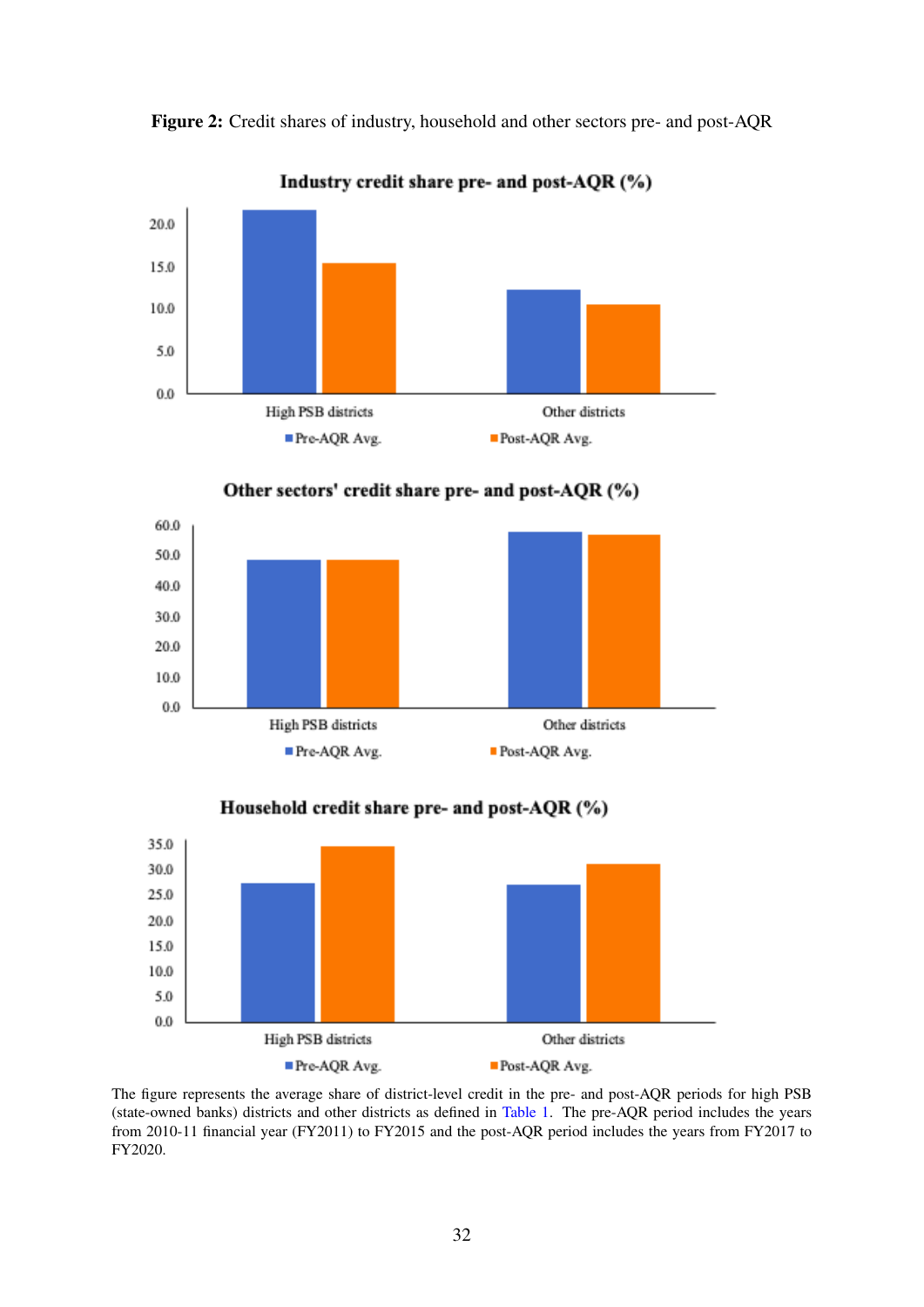

<span id="page-33-0"></span>Figure 2: Credit shares of industry, household and other sectors pre- and post-AQR







Household credit share pre- and post-AQR (%)

The figure represents the average share of district-level credit in the pre- and post-AQR periods for high PSB (state-owned banks) districts and other districts as defined in [Table 1.](#page-37-0) The pre-AQR period includes the years from 2010-11 financial year (FY2011) to FY2015 and the post-AQR period includes the years from FY2017 to FY2020.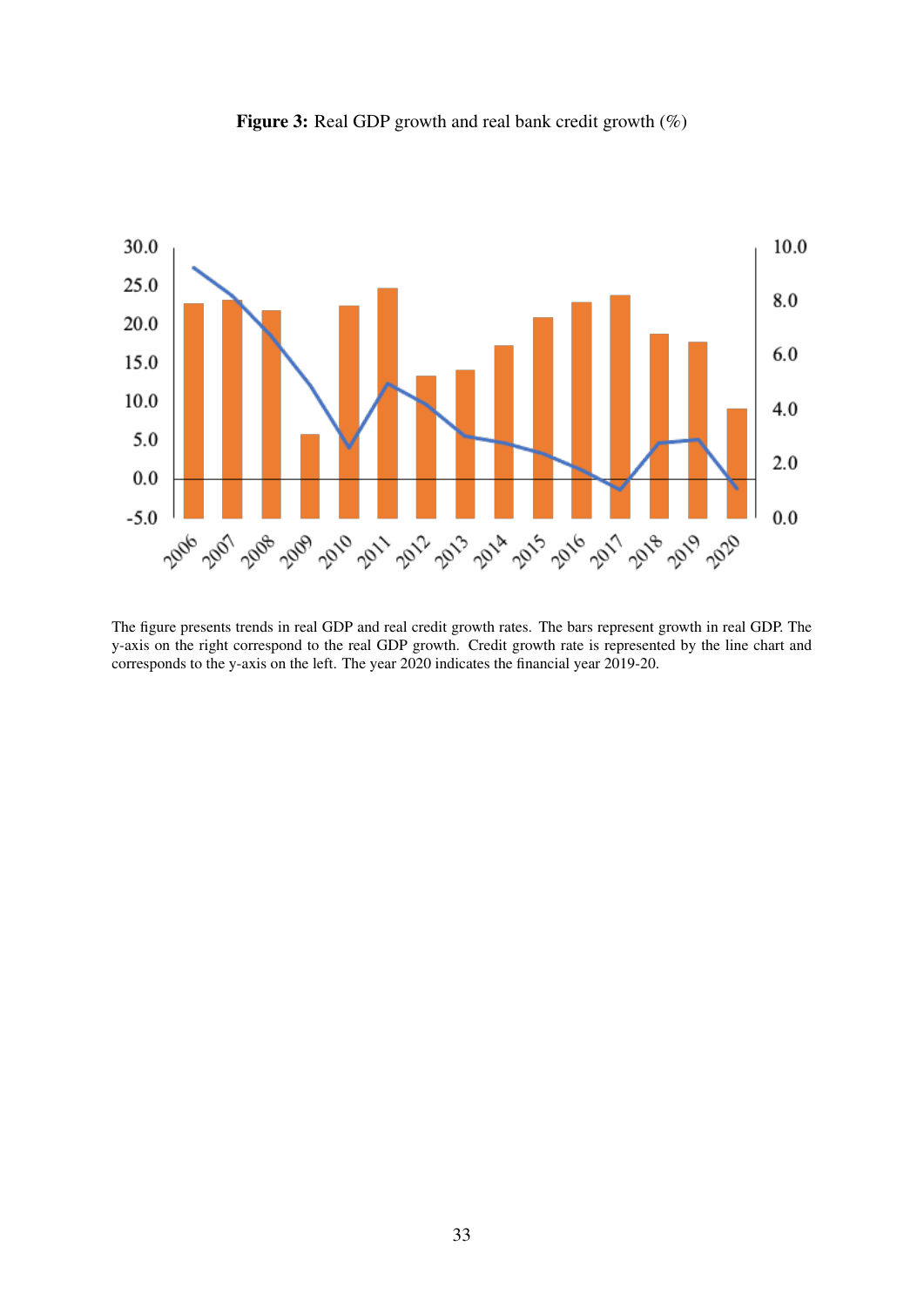<span id="page-34-0"></span>

Figure 3: Real GDP growth and real bank credit growth  $(\%)$ 

The figure presents trends in real GDP and real credit growth rates. The bars represent growth in real GDP. The y-axis on the right correspond to the real GDP growth. Credit growth rate is represented by the line chart and corresponds to the y-axis on the left. The year 2020 indicates the financial year 2019-20.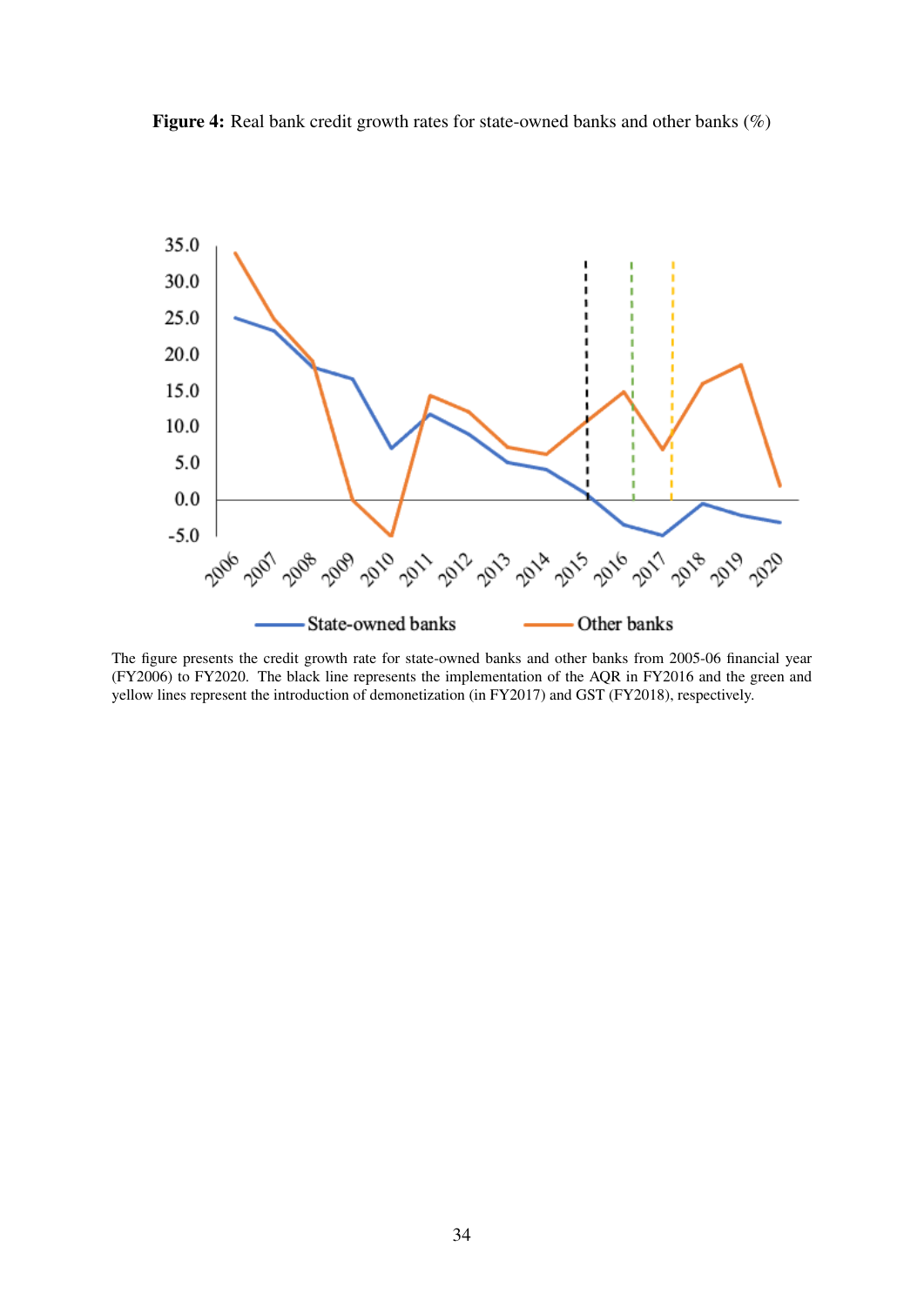<span id="page-35-0"></span>Figure 4: Real bank credit growth rates for state-owned banks and other banks (%)



The figure presents the credit growth rate for state-owned banks and other banks from 2005-06 financial year (FY2006) to FY2020. The black line represents the implementation of the AQR in FY2016 and the green and yellow lines represent the introduction of demonetization (in FY2017) and GST (FY2018), respectively.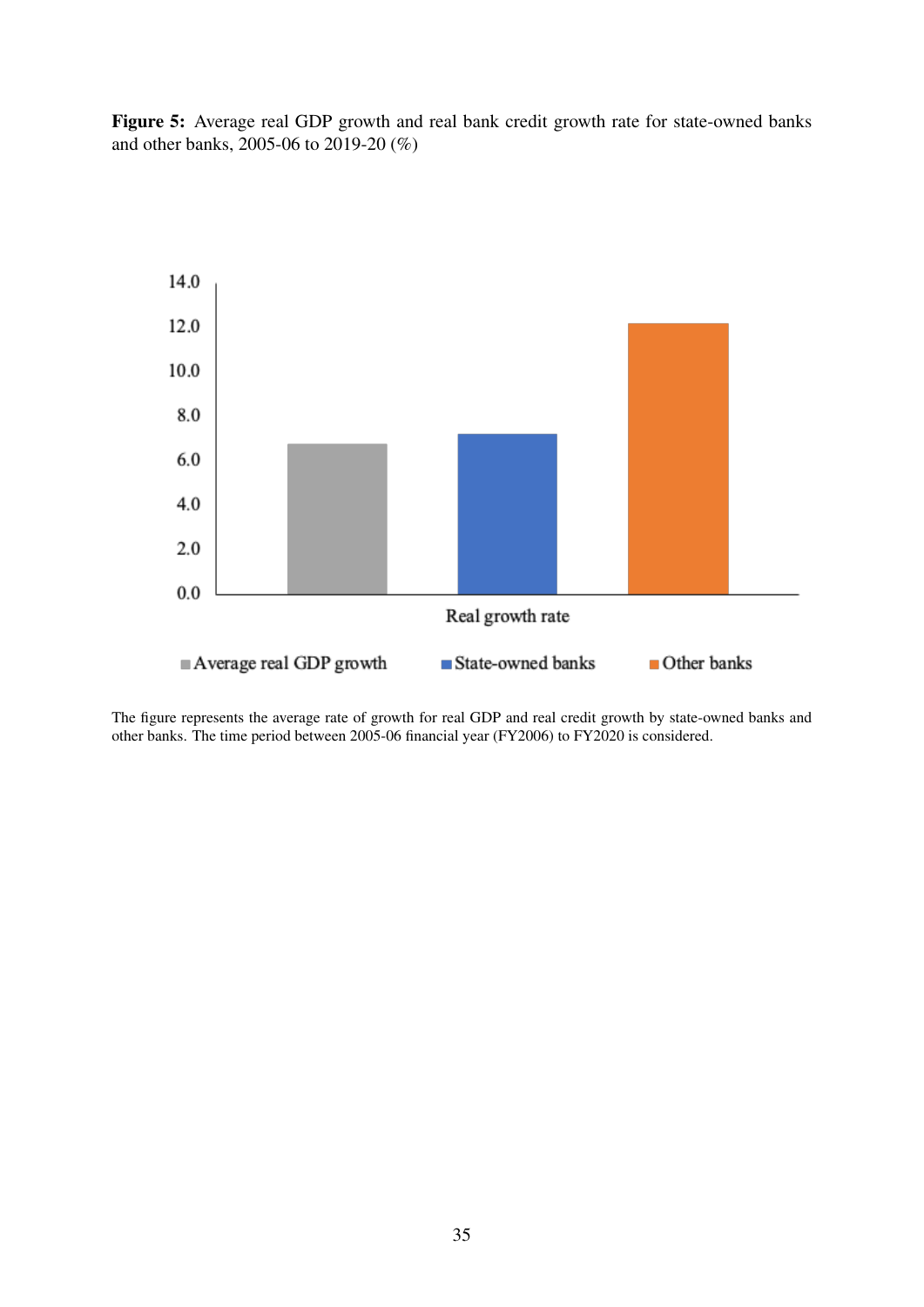<span id="page-36-0"></span>Figure 5: Average real GDP growth and real bank credit growth rate for state-owned banks and other banks, 2005-06 to 2019-20 (%)



The figure represents the average rate of growth for real GDP and real credit growth by state-owned banks and other banks. The time period between 2005-06 financial year (FY2006) to FY2020 is considered.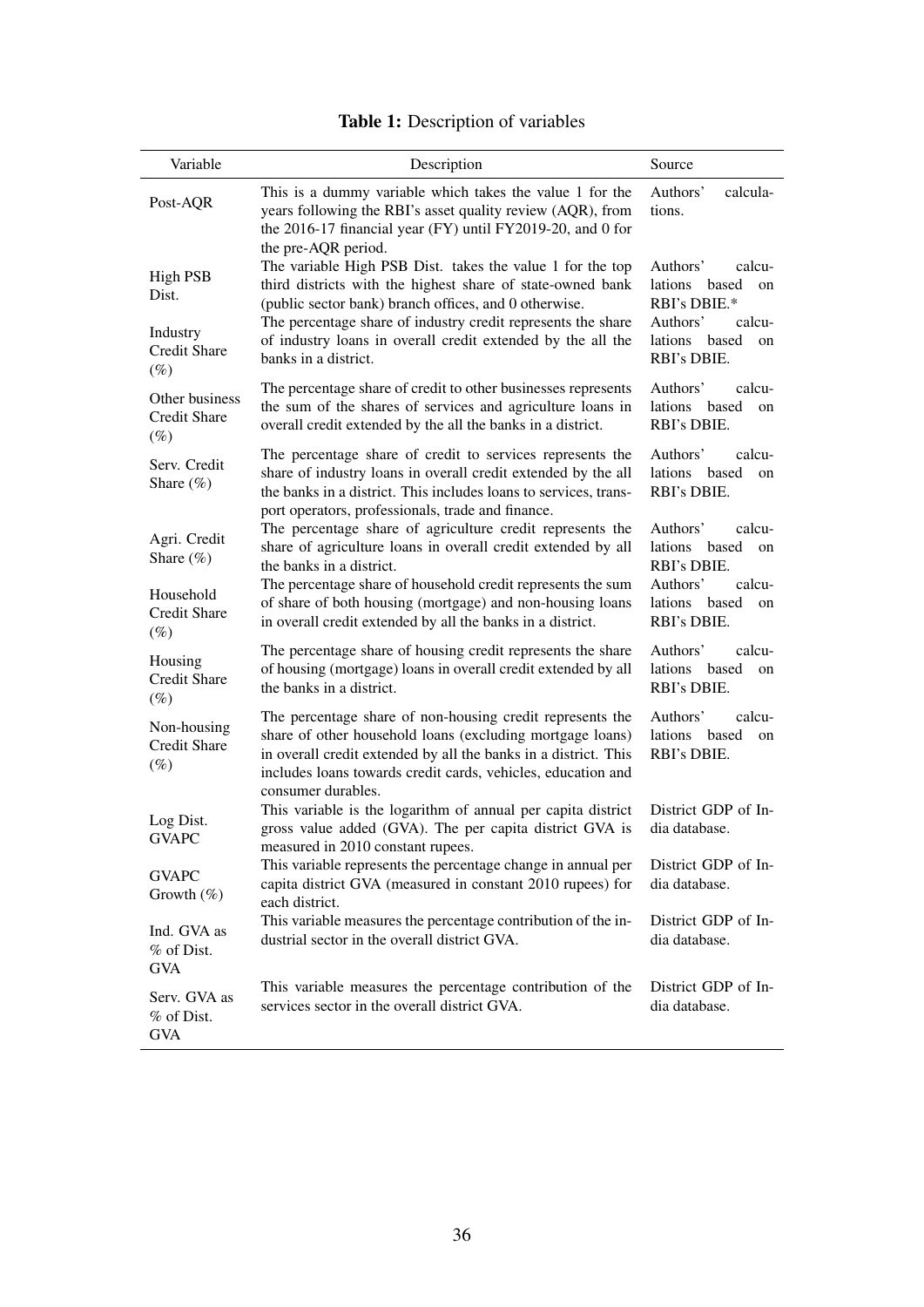<span id="page-37-0"></span>

| Variable                                                            | Description                                                                                                                                                                                                                                                                                                                                     | Source                                                                                                                      |
|---------------------------------------------------------------------|-------------------------------------------------------------------------------------------------------------------------------------------------------------------------------------------------------------------------------------------------------------------------------------------------------------------------------------------------|-----------------------------------------------------------------------------------------------------------------------------|
| Post-AQR                                                            | This is a dummy variable which takes the value 1 for the<br>years following the RBI's asset quality review (AQR), from<br>the 2016-17 financial year (FY) until FY2019-20, and 0 for<br>the pre-AQR period.                                                                                                                                     | Authors'<br>calcula-<br>tions.                                                                                              |
| <b>High PSB</b><br>Dist.<br>Industry<br><b>Credit Share</b>         | The variable High PSB Dist. takes the value 1 for the top<br>third districts with the highest share of state-owned bank<br>(public sector bank) branch offices, and 0 otherwise.<br>The percentage share of industry credit represents the share<br>of industry loans in overall credit extended by the all the<br>banks in a district.         | Authors'<br>calcu-<br>lations<br>based<br>on<br>RBI's DBIE.*<br>Authors'<br>calcu-<br>lations<br>based<br>on<br>RBI's DBIE. |
| $(\%)$<br>Other business<br><b>Credit Share</b><br>$(\%)$           | The percentage share of credit to other businesses represents<br>the sum of the shares of services and agriculture loans in<br>overall credit extended by the all the banks in a district.                                                                                                                                                      | Authors'<br>calcu-<br>lations<br>based<br>on<br>RBI's DBIE.                                                                 |
| Serv. Credit<br>Share $(\%)$                                        | The percentage share of credit to services represents the<br>share of industry loans in overall credit extended by the all<br>the banks in a district. This includes loans to services, trans-<br>port operators, professionals, trade and finance.                                                                                             | Authors'<br>calcu-<br>lations based<br>on<br>RBI's DBIE.                                                                    |
| Agri. Credit<br>Share $(\%)$<br>Household<br>Credit Share<br>$(\%)$ | The percentage share of agriculture credit represents the<br>share of agriculture loans in overall credit extended by all<br>the banks in a district.<br>The percentage share of household credit represents the sum<br>of share of both housing (mortgage) and non-housing loans<br>in overall credit extended by all the banks in a district. | Authors'<br>calcu-<br>lations based<br>on<br>RBI's DBIE.<br>Authors'<br>calcu-<br>lations based<br>on<br>RBI's DBIE.        |
| Housing<br><b>Credit Share</b><br>$(\%)$                            | The percentage share of housing credit represents the share<br>of housing (mortgage) loans in overall credit extended by all<br>the banks in a district.                                                                                                                                                                                        | Authors'<br>calcu-<br>lations based<br>on<br>RBI's DBIE.                                                                    |
| Non-housing<br><b>Credit Share</b><br>$(\%)$                        | The percentage share of non-housing credit represents the<br>share of other household loans (excluding mortgage loans)<br>in overall credit extended by all the banks in a district. This<br>includes loans towards credit cards, vehicles, education and<br>consumer durables.                                                                 | Authors'<br>calcu-<br>lations based<br>on<br>RBI's DBIE.                                                                    |
| Log Dist.<br><b>GVAPC</b>                                           | This variable is the logarithm of annual per capita district<br>gross value added (GVA). The per capita district GVA is<br>measured in 2010 constant rupees.                                                                                                                                                                                    | District GDP of In-<br>dia database.                                                                                        |
| <b>GVAPC</b><br>Growth $(\%)$                                       | This variable represents the percentage change in annual per<br>capita district GVA (measured in constant 2010 rupees) for<br>each district.                                                                                                                                                                                                    | District GDP of In-<br>dia database.                                                                                        |
| Ind. GVA as<br>% of Dist.<br><b>GVA</b>                             | This variable measures the percentage contribution of the in-<br>dustrial sector in the overall district GVA.                                                                                                                                                                                                                                   | District GDP of In-<br>dia database.                                                                                        |
| Serv. GVA as<br>% of Dist.<br><b>GVA</b>                            | This variable measures the percentage contribution of the<br>services sector in the overall district GVA.                                                                                                                                                                                                                                       | District GDP of In-<br>dia database.                                                                                        |

## Table 1: Description of variables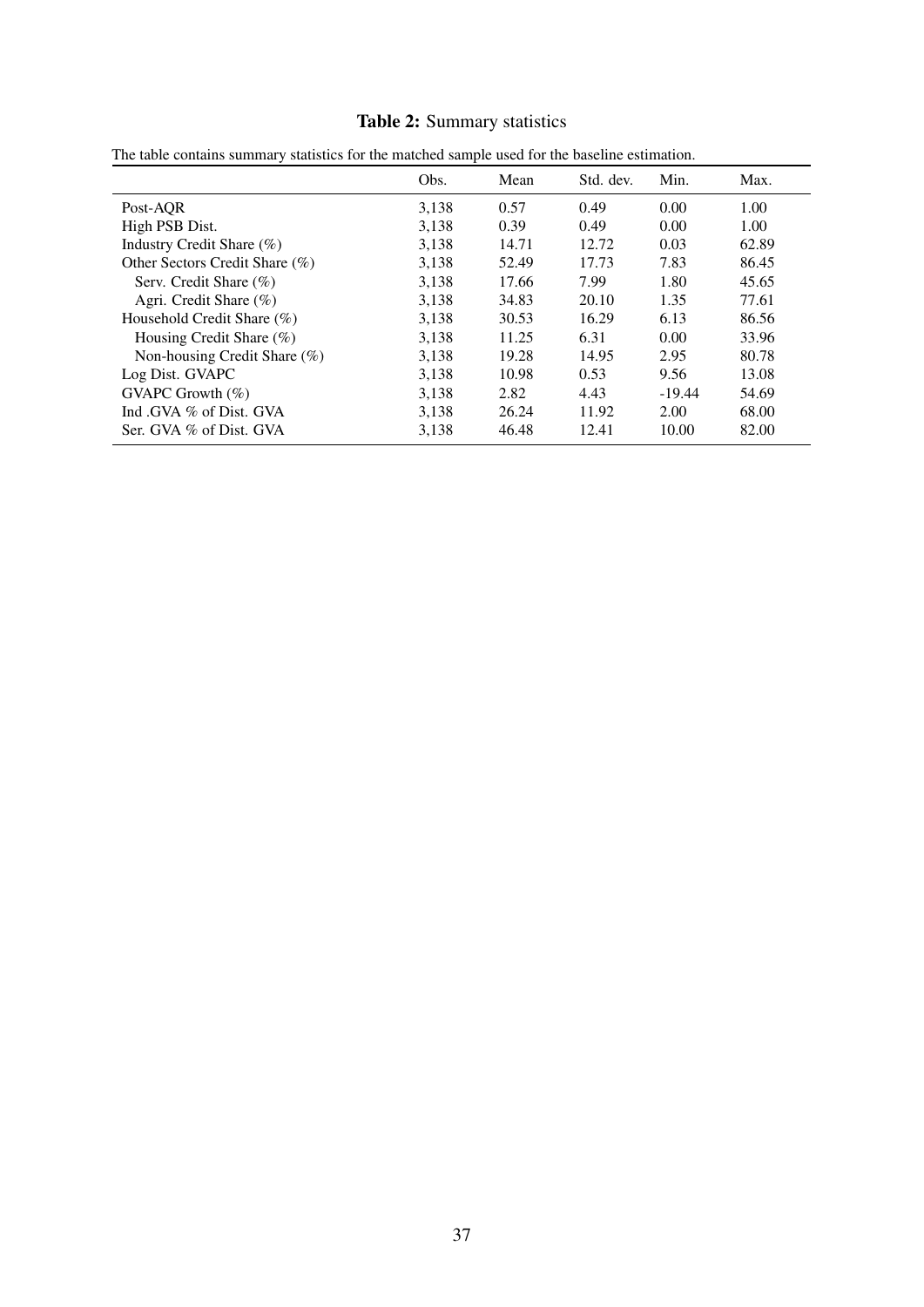## Table 2: Summary statistics

|                                | Obs.  | Mean  | Std. dev. | Min.     | Max.  |
|--------------------------------|-------|-------|-----------|----------|-------|
| Post-AOR                       | 3,138 | 0.57  | 0.49      | 0.00     | 1.00  |
| High PSB Dist.                 | 3,138 | 0.39  | 0.49      | 0.00     | 1.00  |
| Industry Credit Share (%)      | 3,138 | 14.71 | 12.72     | 0.03     | 62.89 |
| Other Sectors Credit Share (%) | 3,138 | 52.49 | 17.73     | 7.83     | 86.45 |
| Serv. Credit Share $(\% )$     | 3,138 | 17.66 | 7.99      | 1.80     | 45.65 |
| Agri. Credit Share (%)         | 3.138 | 34.83 | 20.10     | 1.35     | 77.61 |
| Household Credit Share (%)     | 3,138 | 30.53 | 16.29     | 6.13     | 86.56 |
| Housing Credit Share (%)       | 3,138 | 11.25 | 6.31      | 0.00     | 33.96 |
| Non-housing Credit Share (%)   | 3,138 | 19.28 | 14.95     | 2.95     | 80.78 |
| Log Dist. GVAPC                | 3,138 | 10.98 | 0.53      | 9.56     | 13.08 |
| GVAPC Growth $(\% )$           | 3,138 | 2.82  | 4.43      | $-19.44$ | 54.69 |
| Ind GVA % of Dist. GVA         | 3,138 | 26.24 | 11.92     | 2.00     | 68.00 |
| Ser. GVA % of Dist. GVA        | 3,138 | 46.48 | 12.41     | 10.00    | 82.00 |

<span id="page-38-0"></span>

|  |  |  | The table contains summary statistics for the matched sample used for the baseline estimation. |
|--|--|--|------------------------------------------------------------------------------------------------|
|--|--|--|------------------------------------------------------------------------------------------------|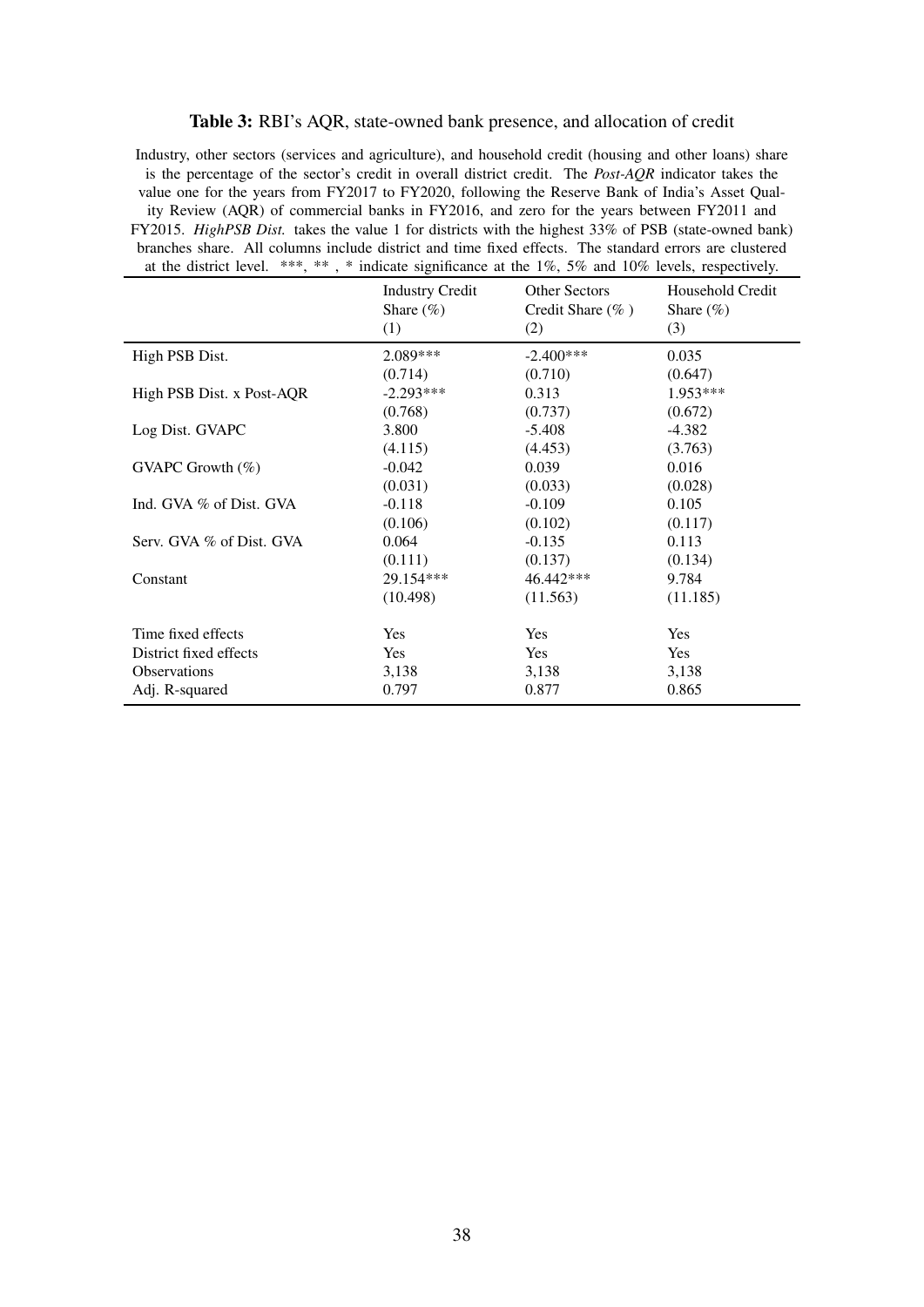#### Table 3: RBI's AQR, state-owned bank presence, and allocation of credit

<span id="page-39-0"></span>Industry, other sectors (services and agriculture), and household credit (housing and other loans) share is the percentage of the sector's credit in overall district credit. The *Post-AQR* indicator takes the value one for the years from FY2017 to FY2020, following the Reserve Bank of India's Asset Quality Review (AQR) of commercial banks in FY2016, and zero for the years between FY2011 and FY2015. *HighPSB Dist.* takes the value 1 for districts with the highest 33% of PSB (state-owned bank) branches share. All columns include district and time fixed effects. The standard errors are clustered at the district level. \*\*\*, \*\* , \* indicate significance at the 1%, 5% and 10% levels, respectively.

|                           | <b>Industry Credit</b><br>Share $(\% )$<br>(1) | <b>Other Sectors</b><br>Credit Share $(\%$ )<br>(2) | Household Credit<br>Share $(\% )$<br>(3) |
|---------------------------|------------------------------------------------|-----------------------------------------------------|------------------------------------------|
| High PSB Dist.            | $2.089***$                                     | $-2.400***$                                         | 0.035                                    |
|                           | (0.714)                                        | (0.710)                                             | (0.647)                                  |
| High PSB Dist. x Post-AQR | $-2.293***$                                    | 0.313                                               | 1.953***                                 |
|                           | (0.768)                                        | (0.737)                                             | (0.672)                                  |
| Log Dist. GVAPC           | 3.800                                          | $-5.408$                                            | $-4.382$                                 |
|                           | (4.115)                                        | (4.453)                                             | (3.763)                                  |
| GVAPC Growth $(\%)$       | $-0.042$                                       | 0.039                                               | 0.016                                    |
|                           | (0.031)                                        | (0.033)                                             | (0.028)                                  |
| Ind. GVA % of Dist. GVA   | $-0.118$                                       | $-0.109$                                            | 0.105                                    |
|                           | (0.106)                                        | (0.102)                                             | (0.117)                                  |
| Serv. GVA % of Dist. GVA  | 0.064                                          | $-0.135$                                            | 0.113                                    |
|                           | (0.111)                                        | (0.137)                                             | (0.134)                                  |
| Constant                  | 29.154***                                      | 46.442***                                           | 9.784                                    |
|                           | (10.498)                                       | (11.563)                                            | (11.185)                                 |
| Time fixed effects        | <b>Yes</b>                                     | <b>Yes</b>                                          | <b>Yes</b>                               |
| District fixed effects    | <b>Yes</b>                                     | <b>Yes</b>                                          | Yes                                      |
| Observations              | 3,138                                          | 3,138                                               | 3,138                                    |
| Adj. R-squared            | 0.797                                          | 0.877                                               | 0.865                                    |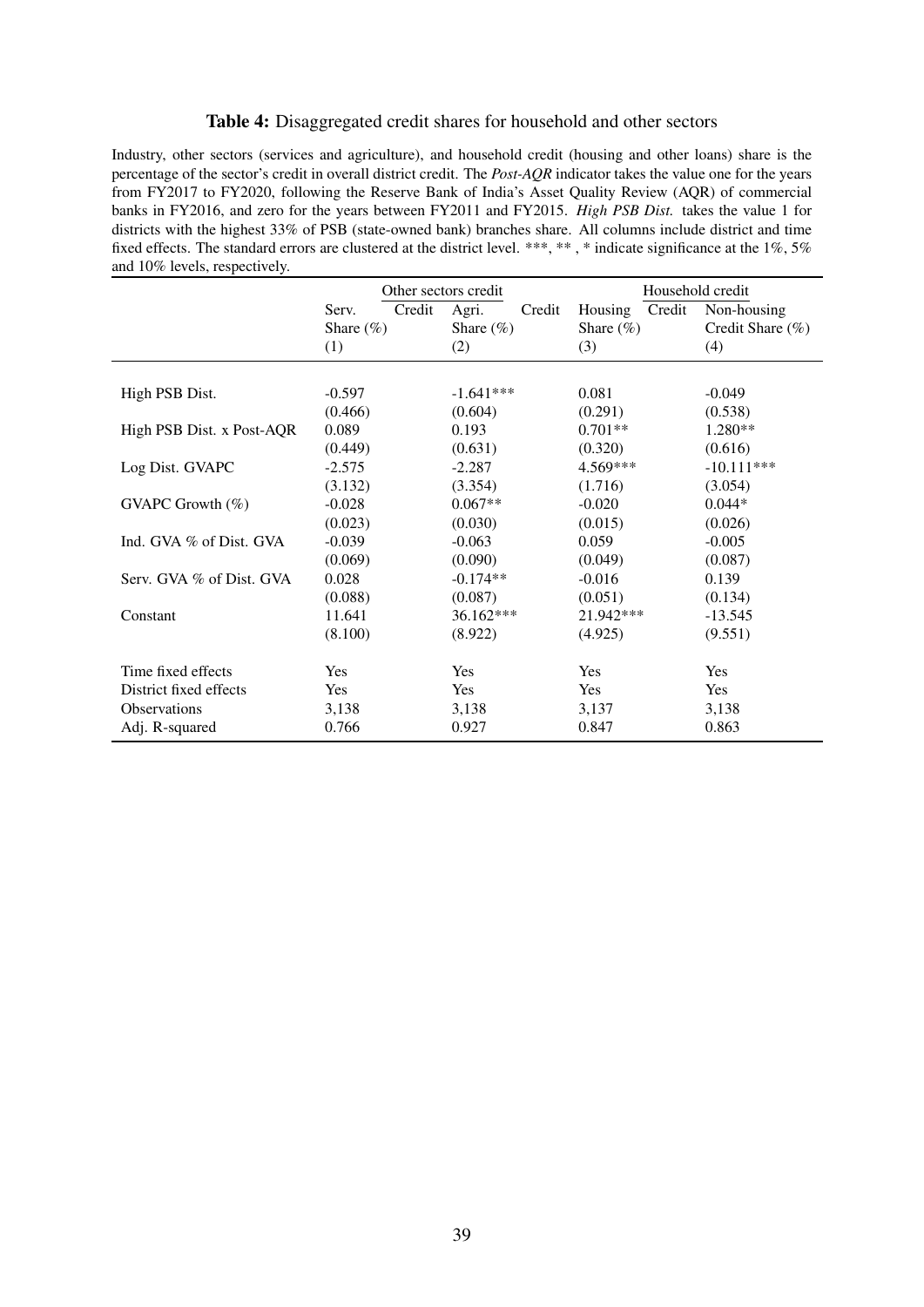#### Table 4: Disaggregated credit shares for household and other sectors

<span id="page-40-0"></span>Industry, other sectors (services and agriculture), and household credit (housing and other loans) share is the percentage of the sector's credit in overall district credit. The *Post-AQR* indicator takes the value one for the years from FY2017 to FY2020, following the Reserve Bank of India's Asset Quality Review (AQR) of commercial banks in FY2016, and zero for the years between FY2011 and FY2015. *High PSB Dist.* takes the value 1 for districts with the highest 33% of PSB (state-owned bank) branches share. All columns include district and time fixed effects. The standard errors are clustered at the district level. \*\*\*, \*\*, \* indicate significance at the 1%, 5% and 10% levels, respectively.

|                           |                 | Other sectors credit |                   | Household credit |
|---------------------------|-----------------|----------------------|-------------------|------------------|
|                           | Credit<br>Serv. | Agri.<br>Credit      | Credit<br>Housing | Non-housing      |
|                           | Share $(\%)$    | Share $(\% )$        | Share $(\%)$      | Credit Share (%) |
|                           | (1)             | (2)                  | (3)               | (4)              |
|                           |                 |                      |                   |                  |
| High PSB Dist.            | $-0.597$        | $-1.641***$          | 0.081             | $-0.049$         |
|                           | (0.466)         | (0.604)              | (0.291)           | (0.538)          |
| High PSB Dist. x Post-AQR | 0.089           | 0.193                | $0.701**$         | $1.280**$        |
|                           | (0.449)         | (0.631)              | (0.320)           | (0.616)          |
| Log Dist. GVAPC           | $-2.575$        | $-2.287$             | $4.569***$        | $-10.111***$     |
|                           | (3.132)         | (3.354)              | (1.716)           | (3.054)          |
| GVAPC Growth (%)          | $-0.028$        | $0.067**$            | $-0.020$          | $0.044*$         |
|                           | (0.023)         | (0.030)              | (0.015)           | (0.026)          |
| Ind. GVA % of Dist. GVA   | $-0.039$        | $-0.063$             | 0.059             | $-0.005$         |
|                           | (0.069)         | (0.090)              | (0.049)           | (0.087)          |
| Serv. GVA % of Dist. GVA  | 0.028           | $-0.174**$           | $-0.016$          | 0.139            |
|                           | (0.088)         | (0.087)              | (0.051)           | (0.134)          |
| Constant                  | 11.641          | 36.162***            | 21.942***         | $-13.545$        |
|                           | (8.100)         | (8.922)              | (4.925)           | (9.551)          |
| Time fixed effects        | Yes             | Yes                  | Yes               | Yes              |
| District fixed effects    | <b>Yes</b>      | Yes                  | Yes               | Yes              |
| <b>Observations</b>       | 3,138           | 3,138                | 3,137             | 3,138            |
| Adj. R-squared            | 0.766           | 0.927                | 0.847             | 0.863            |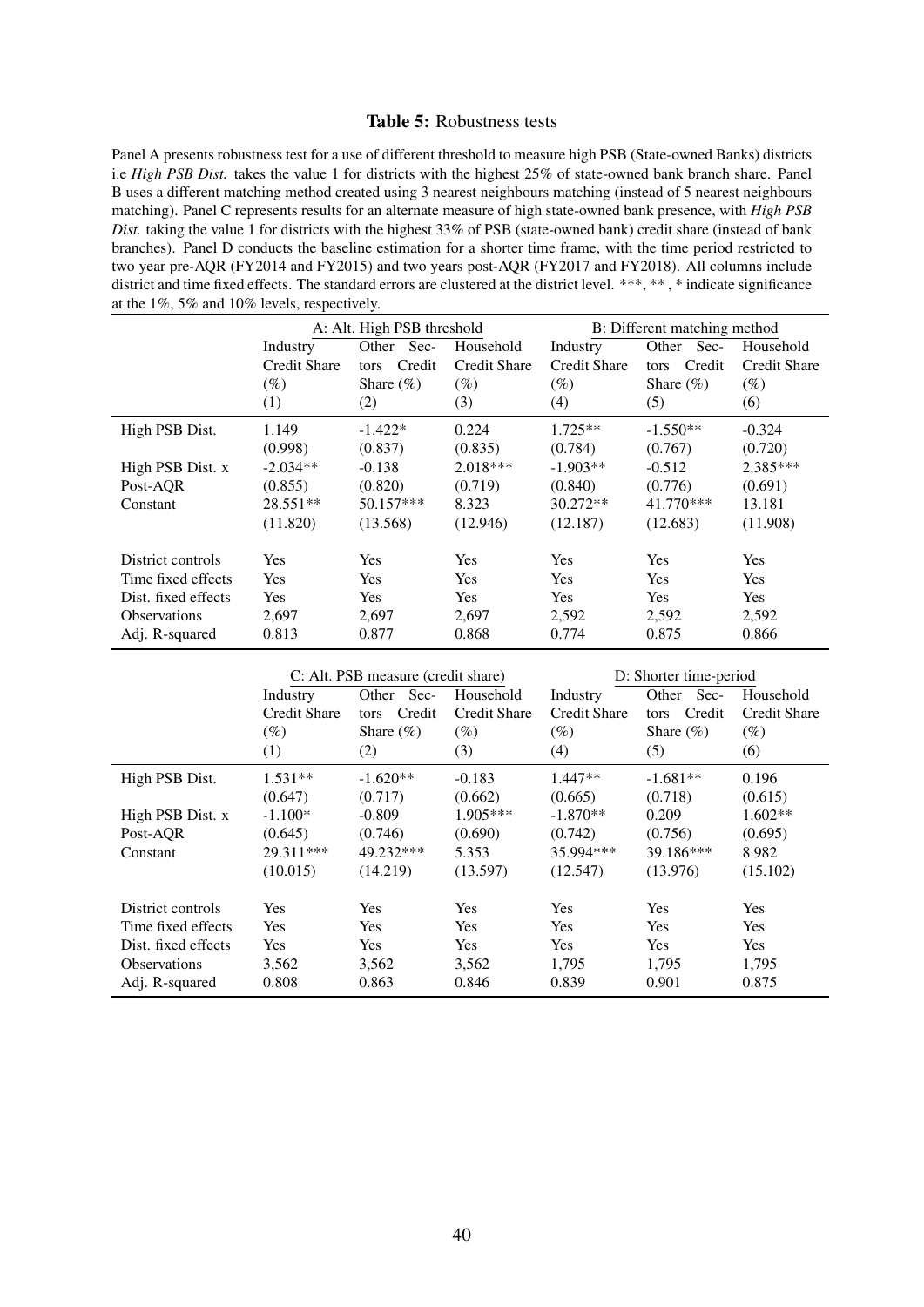#### Table 5: Robustness tests

<span id="page-41-0"></span>Panel A presents robustness test for a use of different threshold to measure high PSB (State-owned Banks) districts i.e *High PSB Dist.* takes the value 1 for districts with the highest 25% of state-owned bank branch share. Panel B uses a different matching method created using 3 nearest neighbours matching (instead of 5 nearest neighbours matching). Panel C represents results for an alternate measure of high state-owned bank presence, with *High PSB Dist.* taking the value 1 for districts with the highest 33% of PSB (state-owned bank) credit share (instead of bank branches). Panel D conducts the baseline estimation for a shorter time frame, with the time period restricted to two year pre-AQR (FY2014 and FY2015) and two years post-AQR (FY2017 and FY2018). All columns include district and time fixed effects. The standard errors are clustered at the district level. \*\*\*, \*\*, \* indicate significance at the 1%, 5% and 10% levels, respectively.

|                     |                     | A: Alt. High PSB threshold |                     |                     | B: Different matching method |                     |
|---------------------|---------------------|----------------------------|---------------------|---------------------|------------------------------|---------------------|
|                     | Industry            | Sec-<br>Other              | Household           | Industry            | Other<br>Sec-                | Household           |
|                     | <b>Credit Share</b> | Credit<br>tors             | <b>Credit Share</b> | <b>Credit Share</b> | Credit<br>tors               | <b>Credit Share</b> |
|                     | $(\%)$              | Share $(\% )$              | $(\%)$              | $(\%)$              | Share $(\% )$                | $(\%)$              |
|                     | (1)                 | (2)                        | (3)                 | (4)                 | (5)                          | (6)                 |
| High PSB Dist.      | 1.149               | $-1.422*$                  | 0.224               | $1.725**$           | $-1.550**$                   | $-0.324$            |
|                     | (0.998)             | (0.837)                    | (0.835)             | (0.784)             | (0.767)                      | (0.720)             |
| High PSB Dist. x    | $-2.034**$          | $-0.138$                   | $2.018***$          | $-1.903**$          | $-0.512$                     | 2.385***            |
| Post-AOR            | (0.855)             | (0.820)                    | (0.719)             | (0.840)             | (0.776)                      | (0.691)             |
| Constant            | 28.551**            | 50.157***                  | 8.323               | 30.272**            | 41.770***                    | 13.181              |
|                     | (11.820)            | (13.568)                   | (12.946)            | (12.187)            | (12.683)                     | (11.908)            |
| District controls   | Yes                 | <b>Yes</b>                 | <b>Yes</b>          | Yes                 | Yes                          | Yes                 |
| Time fixed effects  | <b>Yes</b>          | Yes                        | <b>Yes</b>          | <b>Yes</b>          | Yes                          | <b>Yes</b>          |
| Dist. fixed effects | <b>Yes</b>          | <b>Yes</b>                 | <b>Yes</b>          | Yes                 | <b>Yes</b>                   | <b>Yes</b>          |
| <b>Observations</b> | 2,697               | 2,697                      | 2,697               | 2,592               | 2,592                        | 2,592               |
| Adj. R-squared      | 0.813               | 0.877                      | 0.868               | 0.774               | 0.875                        | 0.866               |

|                     | C: Alt. PSB measure (credit share) |                |                     | D: Shorter time-period |                |                     |
|---------------------|------------------------------------|----------------|---------------------|------------------------|----------------|---------------------|
|                     | Industry                           | Sec-<br>Other  | Household           | Industry               | Other<br>Sec-  | Household           |
|                     | <b>Credit Share</b>                | Credit<br>tors | <b>Credit Share</b> | Credit Share           | Credit<br>tors | <b>Credit Share</b> |
|                     | $(\%)$                             | Share $(\% )$  | $(\%)$              | $(\%)$                 | Share $(\% )$  | $(\%)$              |
|                     | (1)                                | (2)            | (3)                 | (4)                    | (5)            | (6)                 |
| High PSB Dist.      | $1.531**$                          | $-1.620**$     | $-0.183$            | $1.447**$              | $-1.681**$     | 0.196               |
|                     | (0.647)                            | (0.717)        | (0.662)             | (0.665)                | (0.718)        | (0.615)             |
| High PSB Dist. x    | $-1.100*$                          | $-0.809$       | $1.905***$          | $-1.870**$             | 0.209          | $1.602**$           |
| Post-AOR            | (0.645)                            | (0.746)        | (0.690)             | (0.742)                | (0.756)        | (0.695)             |
| Constant            | 29.311***                          | 49.232***      | 5.353               | 35.994***              | 39.186***      | 8.982               |
|                     | (10.015)                           | (14.219)       | (13.597)            | (12.547)               | (13.976)       | (15.102)            |
| District controls   | <b>Yes</b>                         | <b>Yes</b>     | Yes                 | <b>Yes</b>             | Yes            | Yes                 |
| Time fixed effects  | <b>Yes</b>                         | <b>Yes</b>     | <b>Yes</b>          | <b>Yes</b>             | <b>Yes</b>     | <b>Yes</b>          |
| Dist. fixed effects | <b>Yes</b>                         | <b>Yes</b>     | <b>Yes</b>          | <b>Yes</b>             | <b>Yes</b>     | <b>Yes</b>          |
| <b>Observations</b> | 3,562                              | 3,562          | 3,562               | 1,795                  | 1,795          | 1,795               |
| Adj. R-squared      | 0.808                              | 0.863          | 0.846               | 0.839                  | 0.901          | 0.875               |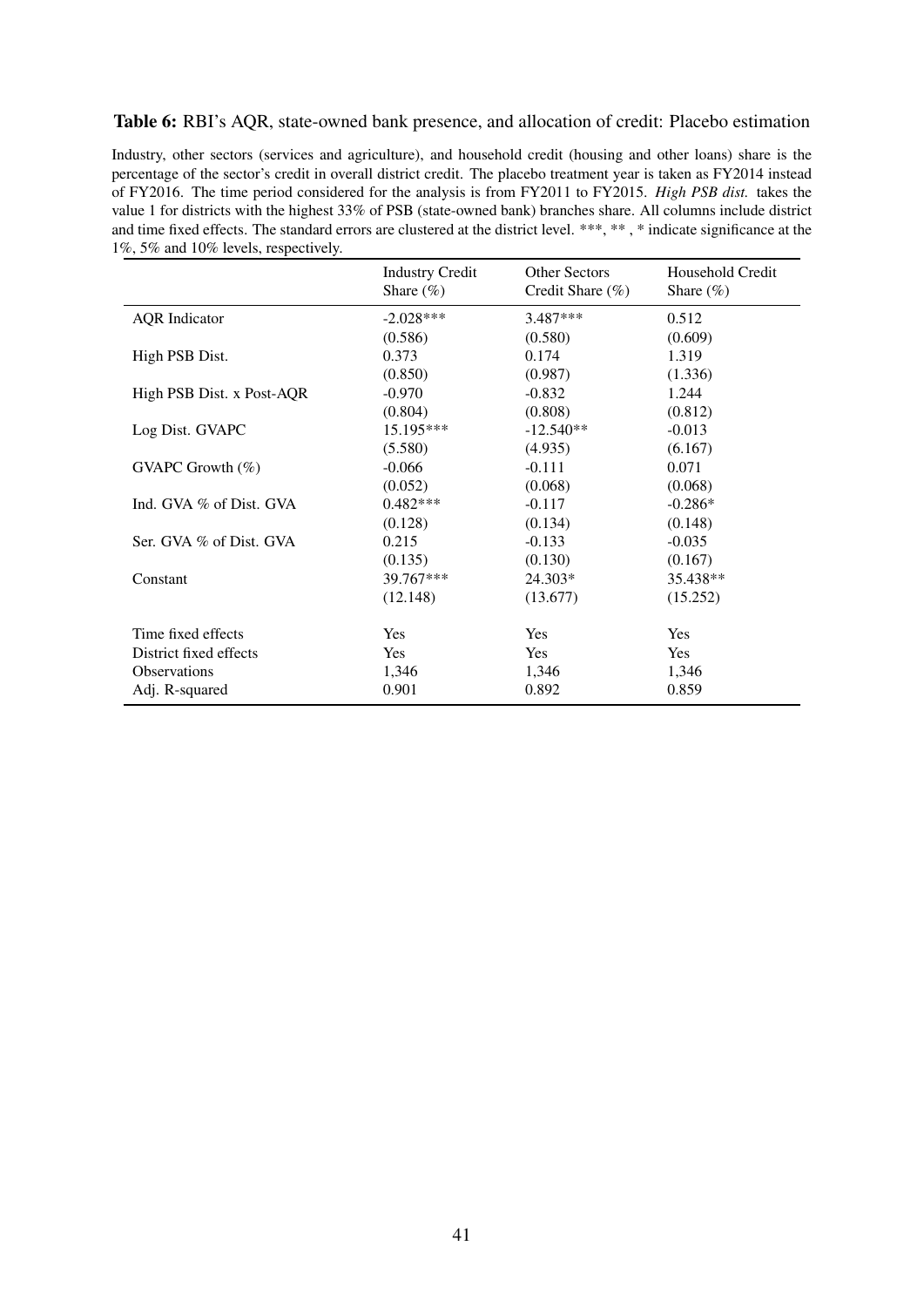#### <span id="page-42-0"></span>Table 6: RBI's AQR, state-owned bank presence, and allocation of credit: Placebo estimation

Industry, other sectors (services and agriculture), and household credit (housing and other loans) share is the percentage of the sector's credit in overall district credit. The placebo treatment year is taken as FY2014 instead of FY2016. The time period considered for the analysis is from FY2011 to FY2015. *High PSB dist.* takes the value 1 for districts with the highest 33% of PSB (state-owned bank) branches share. All columns include district and time fixed effects. The standard errors are clustered at the district level. \*\*\*, \*\*, \* indicate significance at the 1%, 5% and 10% levels, respectively.

|                           | <b>Industry Credit</b><br>Share $(\% )$ | <b>Other Sectors</b><br>Credit Share (%) | Household Credit<br>Share $(\%)$ |
|---------------------------|-----------------------------------------|------------------------------------------|----------------------------------|
| <b>AQR</b> Indicator      | $-2.028***$                             | $3.487***$                               | 0.512                            |
|                           | (0.586)                                 | (0.580)                                  | (0.609)                          |
| High PSB Dist.            | 0.373                                   | 0.174                                    | 1.319                            |
|                           | (0.850)                                 | (0.987)                                  | (1.336)                          |
| High PSB Dist. x Post-AQR | $-0.970$                                | $-0.832$                                 | 1.244                            |
|                           | (0.804)                                 | (0.808)                                  | (0.812)                          |
| Log Dist. GVAPC           | 15.195***                               | $-12.540**$                              | $-0.013$                         |
|                           | (5.580)                                 | (4.935)                                  | (6.167)                          |
| GVAPC Growth (%)          | $-0.066$                                | $-0.111$                                 | 0.071                            |
|                           | (0.052)                                 | (0.068)                                  | (0.068)                          |
| Ind. GVA % of Dist. GVA   | $0.482***$                              | $-0.117$                                 | $-0.286*$                        |
|                           | (0.128)                                 | (0.134)                                  | (0.148)                          |
| Ser. GVA % of Dist. GVA   | 0.215                                   | $-0.133$                                 | $-0.035$                         |
|                           | (0.135)                                 | (0.130)                                  | (0.167)                          |
| Constant                  | 39.767***                               | 24.303*                                  | 35.438**                         |
|                           | (12.148)                                | (13.677)                                 | (15.252)                         |
| Time fixed effects        | <b>Yes</b>                              | <b>Yes</b>                               | <b>Yes</b>                       |
| District fixed effects    | <b>Yes</b>                              | <b>Yes</b>                               | Yes                              |
| <b>Observations</b>       | 1,346                                   | 1,346                                    | 1,346                            |
| Adj. R-squared            | 0.901                                   | 0.892                                    | 0.859                            |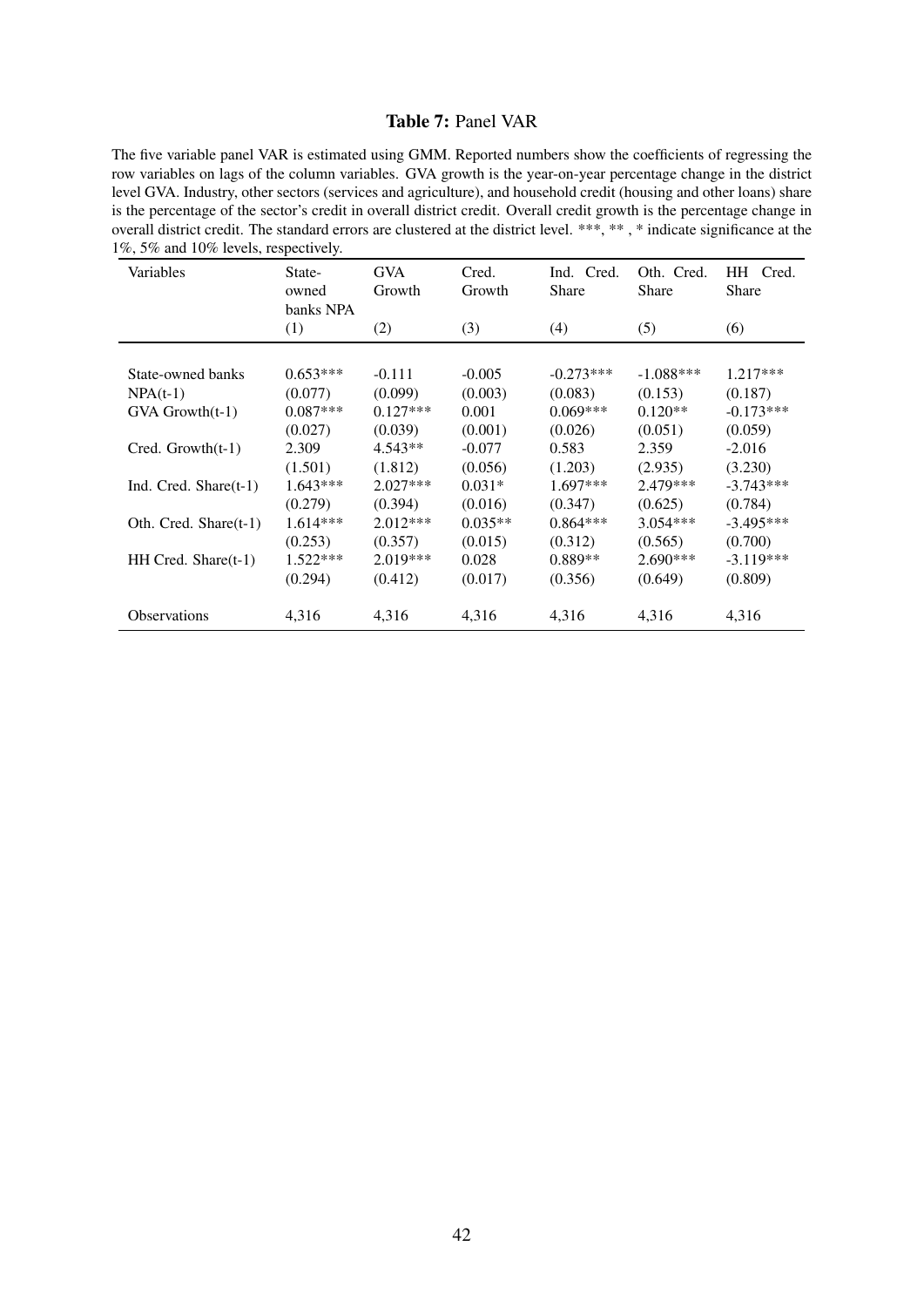#### Table 7: Panel VAR

<span id="page-43-0"></span>The five variable panel VAR is estimated using GMM. Reported numbers show the coefficients of regressing the row variables on lags of the column variables. GVA growth is the year-on-year percentage change in the district level GVA. Industry, other sectors (services and agriculture), and household credit (housing and other loans) share is the percentage of the sector's credit in overall district credit. Overall credit growth is the percentage change in overall district credit. The standard errors are clustered at the district level. \*\*\*, \*\* , \* indicate significance at the 1%, 5% and 10% levels, respectively.

| Variables                | State-<br>owned<br>banks NPA | <b>GVA</b><br>Growth | Cred.<br>Growth | Ind. Cred.<br><b>Share</b> | Oth. Cred.<br>Share | HH Cred.<br>Share |
|--------------------------|------------------------------|----------------------|-----------------|----------------------------|---------------------|-------------------|
|                          | (1)                          | (2)                  | (3)             | (4)                        | (5)                 | (6)               |
|                          |                              |                      |                 |                            |                     |                   |
| State-owned banks        | $0.653***$                   | $-0.111$             | $-0.005$        | $-0.273***$                | $-1.088***$         | $1.217***$        |
| $NPA(t-1)$               | (0.077)                      | (0.099)              | (0.003)         | (0.083)                    | (0.153)             | (0.187)           |
| $GVA$ Growth $(t-1)$     | $0.087***$                   | $0.127***$           | 0.001           | $0.069***$                 | $0.120**$           | $-0.173***$       |
|                          | (0.027)                      | (0.039)              | (0.001)         | (0.026)                    | (0.051)             | (0.059)           |
| $Cred. Growth(t-1)$      | 2.309                        | $4.543**$            | $-0.077$        | 0.583                      | 2.359               | $-2.016$          |
|                          | (1.501)                      | (1.812)              | (0.056)         | (1.203)                    | (2.935)             | (3.230)           |
| Ind. Cred. Share $(t-1)$ | $1.643***$                   | $2.027***$           | $0.031*$        | $1.697***$                 | 2.479***            | $-3.743***$       |
|                          | (0.279)                      | (0.394)              | (0.016)         | (0.347)                    | (0.625)             | (0.784)           |
| Oth. Cred. Share(t-1)    | $1.614***$                   | $2.012***$           | $0.035**$       | $0.864***$                 | $3.054***$          | $-3.495***$       |
|                          | (0.253)                      | (0.357)              | (0.015)         | (0.312)                    | (0.565)             | (0.700)           |
| $HH$ Cred. Share $(t-1)$ | $1.522***$                   | $2.019***$           | 0.028           | $0.889**$                  | 2.690***            | $-3.119***$       |
|                          | (0.294)                      | (0.412)              | (0.017)         | (0.356)                    | (0.649)             | (0.809)           |
| <b>Observations</b>      | 4,316                        | 4,316                | 4,316           | 4,316                      | 4,316               | 4,316             |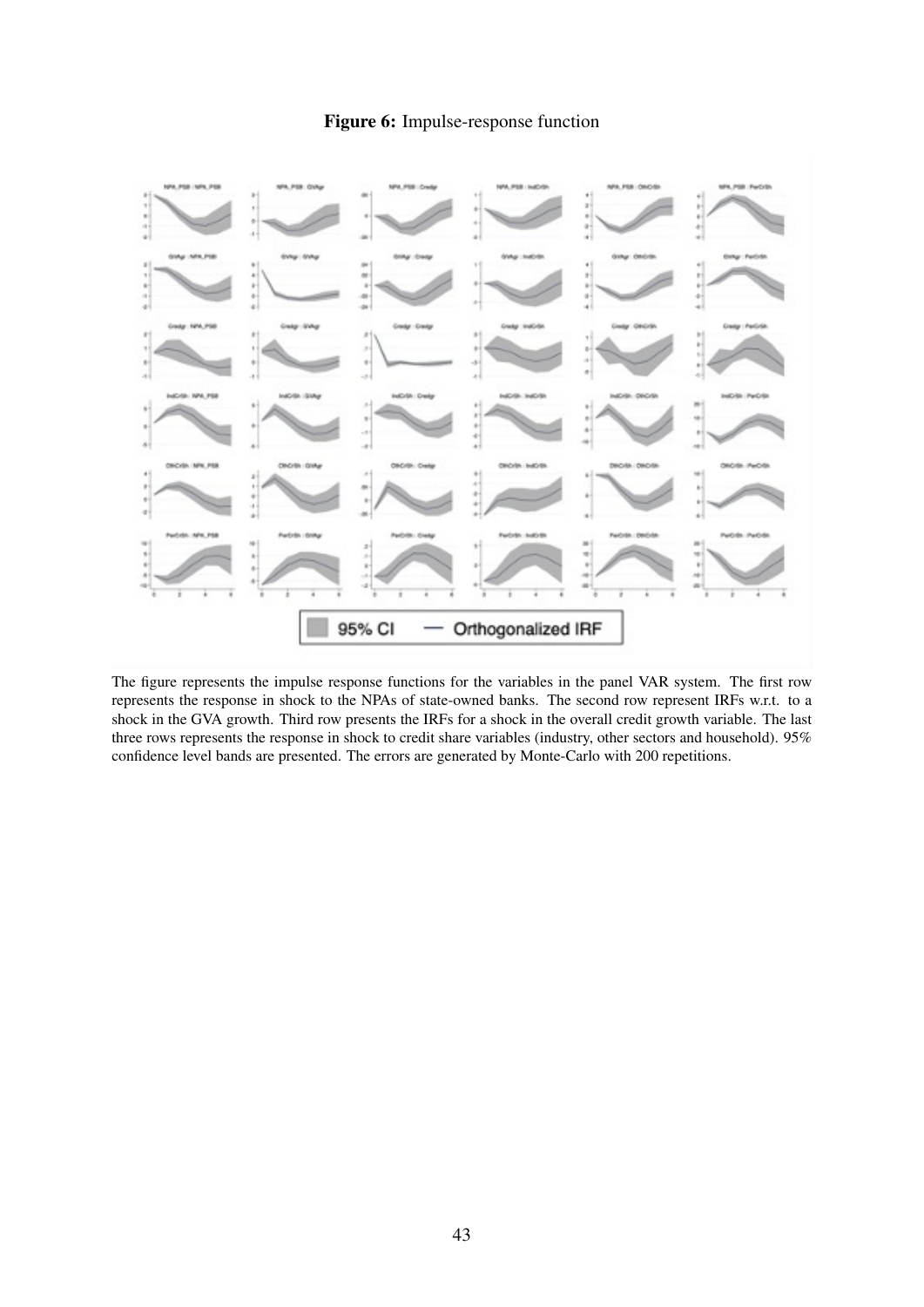#### Figure 6: Impulse-response function

<span id="page-44-0"></span>

The figure represents the impulse response functions for the variables in the panel VAR system. The first row represents the response in shock to the NPAs of state-owned banks. The second row represent IRFs w.r.t. to a shock in the GVA growth. Third row presents the IRFs for a shock in the overall credit growth variable. The last three rows represents the response in shock to credit share variables (industry, other sectors and household). 95% confidence level bands are presented. The errors are generated by Monte-Carlo with 200 repetitions.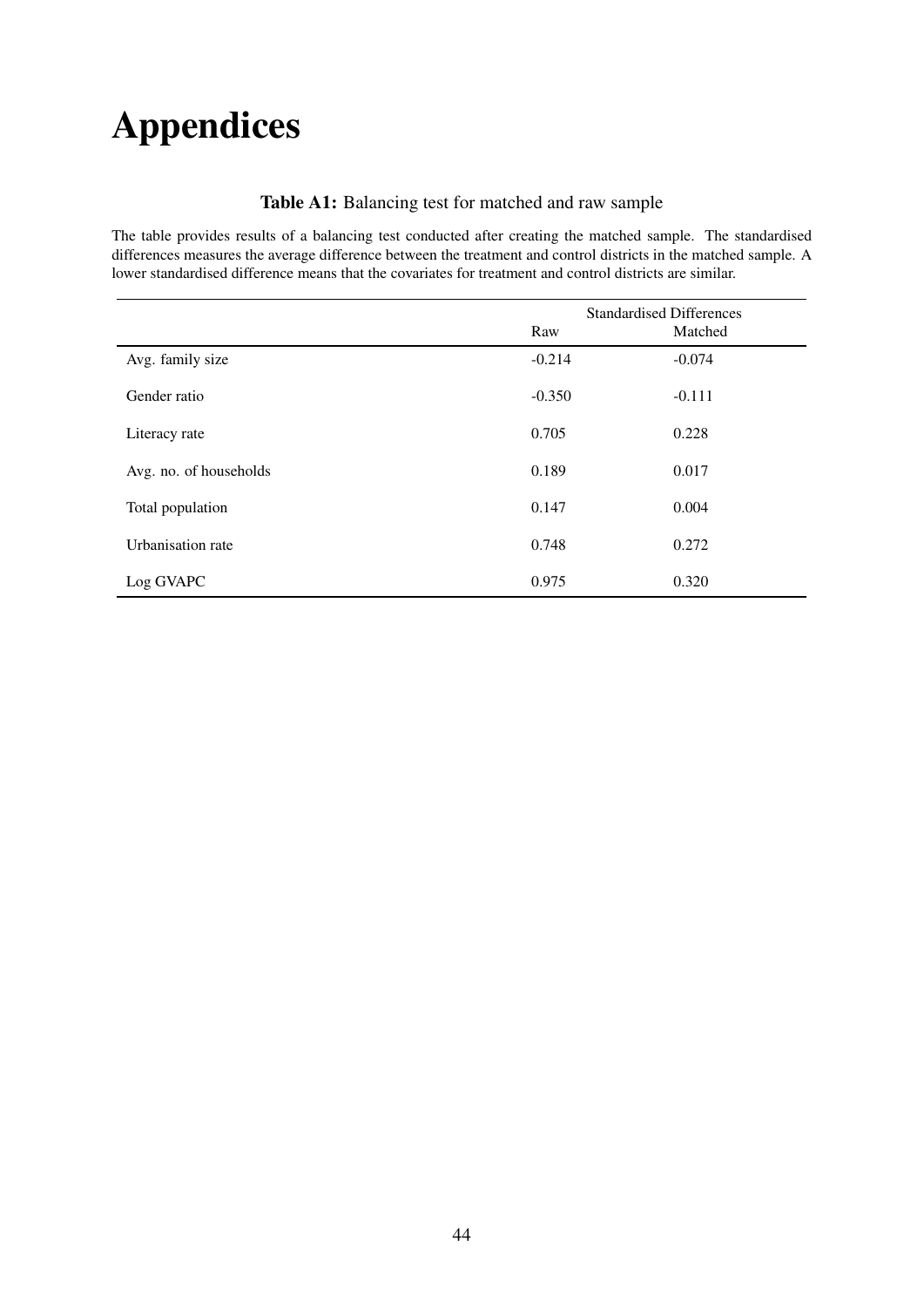# Appendices

#### Table A1: Balancing test for matched and raw sample

<span id="page-45-0"></span>The table provides results of a balancing test conducted after creating the matched sample. The standardised differences measures the average difference between the treatment and control districts in the matched sample. A lower standardised difference means that the covariates for treatment and control districts are similar.

|                        |          | <b>Standardised Differences</b> |
|------------------------|----------|---------------------------------|
|                        | Raw      | Matched                         |
| Avg. family size       | $-0.214$ | $-0.074$                        |
| Gender ratio           | $-0.350$ | $-0.111$                        |
| Literacy rate          | 0.705    | 0.228                           |
| Avg. no. of households | 0.189    | 0.017                           |
| Total population       | 0.147    | 0.004                           |
| Urbanisation rate      | 0.748    | 0.272                           |
| Log GVAPC              | 0.975    | 0.320                           |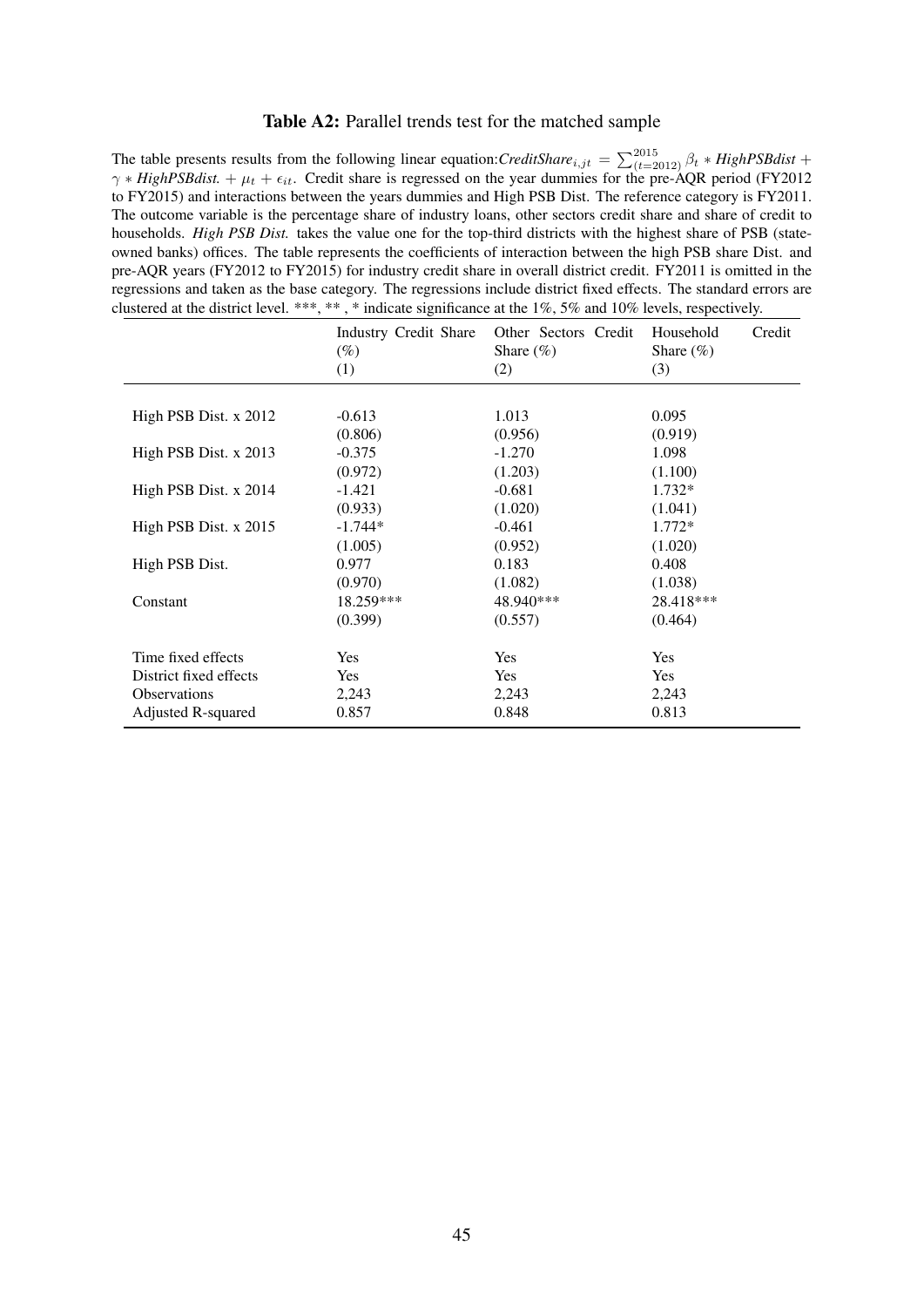#### Table A2: Parallel trends test for the matched sample

<span id="page-46-0"></span>The table presents results from the following linear equation:*CreditShare*<sub>i,jt</sub> =  $\sum_{(t=2012)}^{2015} \beta_t * High PSB dist +$  $\gamma * High PSBdist. + \mu_t + \epsilon_{it}$ . Credit share is regressed on the year dummies for the pre-AQR period (FY2012) to FY2015) and interactions between the years dummies and High PSB Dist. The reference category is FY2011. The outcome variable is the percentage share of industry loans, other sectors credit share and share of credit to households. *High PSB Dist*. takes the value one for the top-third districts with the highest share of PSB (stateowned banks) offices. The table represents the coefficients of interaction between the high PSB share Dist. and pre-AQR years (FY2012 to FY2015) for industry credit share in overall district credit. FY2011 is omitted in the regressions and taken as the base category. The regressions include district fixed effects. The standard errors are clustered at the district level. \*\*\*, \*\* , \* indicate significance at the 1%, 5% and 10% levels, respectively.

|                         | Industry Credit Share<br>$(\%)$<br>(1) | Other Sectors Credit<br>Share $(\% )$<br>(2) | Household<br>Credit<br>Share $(\% )$<br>(3) |
|-------------------------|----------------------------------------|----------------------------------------------|---------------------------------------------|
| High PSB Dist. x 2012   | $-0.613$                               | 1.013                                        | 0.095                                       |
|                         | (0.806)                                | (0.956)                                      | (0.919)                                     |
| High PSB Dist. x 2013   | $-0.375$                               | $-1.270$                                     | 1.098                                       |
|                         | (0.972)                                | (1.203)                                      | (1.100)                                     |
| High PSB Dist. x 2014   | $-1.421$                               | $-0.681$                                     | 1.732*                                      |
|                         | (0.933)                                | (1.020)                                      | (1.041)                                     |
| High PSB Dist. $x$ 2015 | $-1.744*$                              | $-0.461$                                     | $1.772*$                                    |
|                         | (1.005)                                | (0.952)                                      | (1.020)                                     |
| High PSB Dist.          | 0.977                                  | 0.183                                        | 0.408                                       |
|                         | (0.970)                                | (1.082)                                      | (1.038)                                     |
| Constant                | 18.259***                              | 48.940***                                    | 28.418***                                   |
|                         | (0.399)                                | (0.557)                                      | (0.464)                                     |
| Time fixed effects      | Yes                                    | Yes                                          | Yes                                         |
| District fixed effects  | Yes                                    | Yes                                          | Yes                                         |
| <b>Observations</b>     | 2,243                                  | 2,243                                        | 2,243                                       |
| Adjusted R-squared      | 0.857                                  | 0.848                                        | 0.813                                       |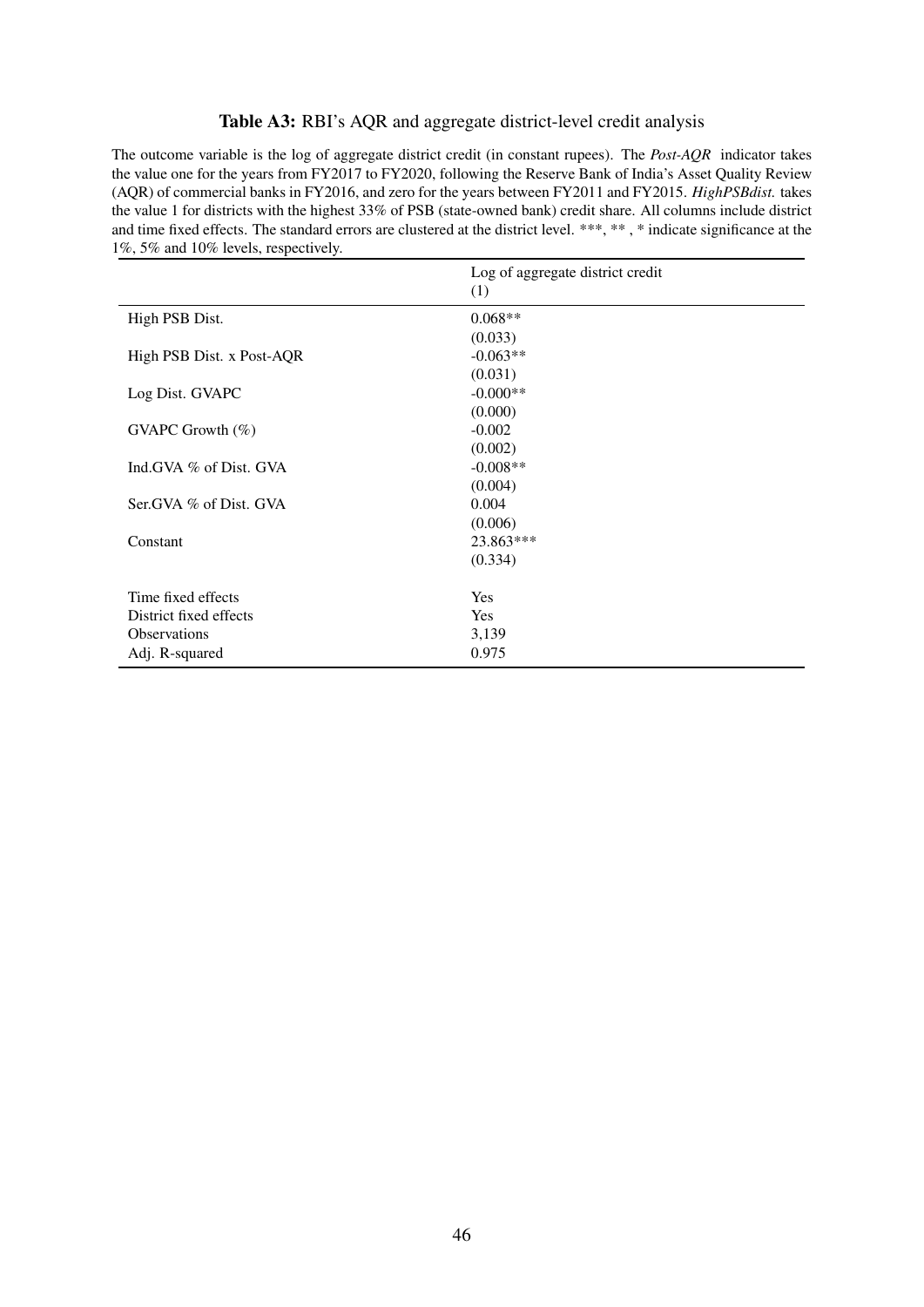#### Table A3: RBI's AQR and aggregate district-level credit analysis

<span id="page-47-0"></span>The outcome variable is the log of aggregate district credit (in constant rupees). The *Post-AQR* indicator takes the value one for the years from FY2017 to FY2020, following the Reserve Bank of India's Asset Quality Review (AQR) of commercial banks in FY2016, and zero for the years between FY2011 and FY2015. *HighPSBdist.* takes the value 1 for districts with the highest 33% of PSB (state-owned bank) credit share. All columns include district and time fixed effects. The standard errors are clustered at the district level. \*\*\*, \*\*, \* indicate significance at the 1%, 5% and 10% levels, respectively.

|                           | Log of aggregate district credit<br>(1) |
|---------------------------|-----------------------------------------|
| High PSB Dist.            | $0.068**$                               |
|                           | (0.033)                                 |
| High PSB Dist. x Post-AQR | $-0.063**$                              |
|                           | (0.031)                                 |
| Log Dist. GVAPC           | $-0.000**$                              |
|                           | (0.000)                                 |
| GVAPC Growth $(\%)$       | $-0.002$                                |
|                           | (0.002)                                 |
| Ind.GVA % of Dist. GVA    | $-0.008**$                              |
|                           | (0.004)                                 |
| Ser. GVA % of Dist. GVA   | 0.004                                   |
|                           | (0.006)                                 |
| Constant                  | 23.863***                               |
|                           | (0.334)                                 |
| Time fixed effects        | <b>Yes</b>                              |
| District fixed effects    | <b>Yes</b>                              |
| <b>Observations</b>       | 3,139                                   |
| Adj. R-squared            | 0.975                                   |